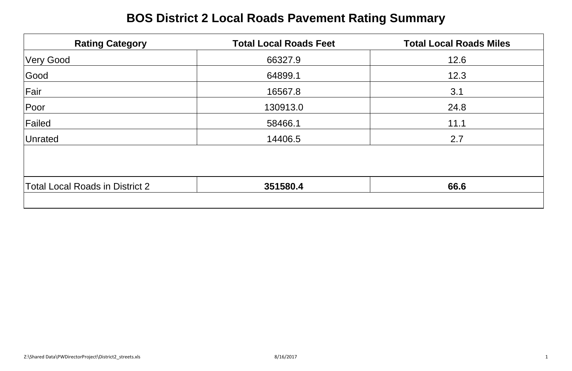# **BOS District 2 Local Roads Pavement Rating Summary**

| <b>Rating Category</b>                 | <b>Total Local Roads Feet</b> | <b>Total Local Roads Miles</b> |
|----------------------------------------|-------------------------------|--------------------------------|
| <b>Very Good</b>                       | 66327.9                       | 12.6                           |
| Good                                   | 64899.1                       | 12.3                           |
| Fair                                   | 16567.8                       | 3.1                            |
| Poor                                   | 130913.0                      | 24.8                           |
| Failed                                 | 58466.1                       | 11.1                           |
| Unrated                                | 14406.5                       | 2.7                            |
|                                        |                               |                                |
| <b>Total Local Roads in District 2</b> | 351580.4                      | 66.6                           |
|                                        |                               |                                |

| <b>Total Local Roads in District 2</b> | 580.4 |  |
|----------------------------------------|-------|--|
|                                        |       |  |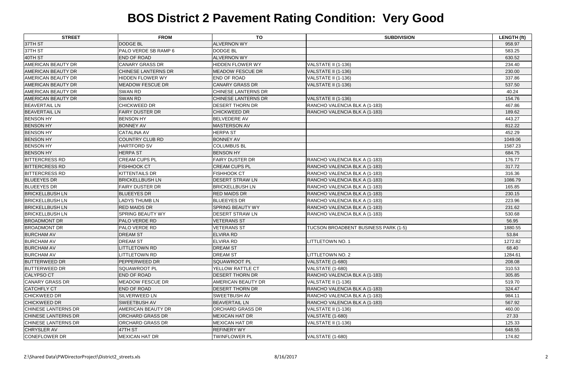| <b>STREET</b>              | <b>FROM</b>               | <b>TO</b>                  | <b>SUBDIVISION</b>                   | <b>LENGTH (ft)</b> |
|----------------------------|---------------------------|----------------------------|--------------------------------------|--------------------|
| 37TH ST                    | <b>DODGE BL</b>           | <b>ALVERNON WY</b>         |                                      | 958.97             |
| 37TH ST                    | PALO VERDE SB RAMP 6      | <b>DODGE BL</b>            |                                      | 583.25             |
| 40TH ST                    | <b>END OF ROAD</b>        | <b>ALVERNON WY</b>         |                                      | 630.52             |
| AMERICAN BEAUTY DR         | <b>CANARY GRASS DR</b>    | HIDDEN FLOWER WY           | VALSTATE II (1-136)                  | 234.40             |
| AMERICAN BEAUTY DR         | CHINESE LANTERNS DR       | <b>MEADOW FESCUE DR</b>    | <b>VALSTATE II (1-136)</b>           | 230.00             |
| AMERICAN BEAUTY DR         | <b>HIDDEN FLOWER WY</b>   | <b>END OF ROAD</b>         | VALSTATE II (1-136)                  | 337.86             |
| AMERICAN BEAUTY DR         | <b>MEADOW FESCUE DR</b>   | <b>CANARY GRASS DR</b>     | VALSTATE II (1-136)                  | 537.50             |
| <b>AMERICAN BEAUTY DR</b>  | <b>SWAN RD</b>            | CHINESE LANTERNS DR        |                                      | 40.24              |
| <b>AMERICAN BEAUTY DR</b>  | <b>SWAN RD</b>            | <b>CHINESE LANTERNS DR</b> | VALSTATE II (1-136)                  | 154.76             |
| <b>BEAVERTAIL LN</b>       | <b>CHICKWEED DR</b>       | <b>DESERT THORN DR</b>     | RANCHO VALENCIA BLK A (1-183)        | 467.86             |
| <b>BEAVERTAIL LN</b>       | <b>FAIRY DUSTER DR</b>    | <b>CHICKWEED DR</b>        | RANCHO VALENCIA BLK A (1-183)        | 189.62             |
| <b>BENSON HY</b>           | <b>BENSON HY</b>          | <b>BELVEDERE AV</b>        |                                      | 443.27             |
| <b>BENSON HY</b>           | <b>BONNEY AV</b>          | MASTERSON AV               |                                      | 812.22             |
| <b>BENSON HY</b>           | <b>CATALINA AV</b>        | <b>HERPA ST</b>            |                                      | 452.29             |
| <b>BENSON HY</b>           | <b>COUNTRY CLUB RD</b>    | <b>BONNEY AV</b>           |                                      | 1049.06            |
| <b>BENSON HY</b>           | <b>HARTFORD SV</b>        | <b>COLUMBUS BL</b>         |                                      | 1587.23            |
| <b>BENSON HY</b>           | <b>HERPA ST</b>           | <b>BENSON HY</b>           |                                      | 684.75             |
| <b>BITTERCRESS RD</b>      | <b>CREAM CUPS PL</b>      | <b>FAIRY DUSTER DR</b>     | RANCHO VALENCIA BLK A (1-183)        | 176.77             |
| <b>BITTERCRESS RD</b>      | <b>FISHHOOK CT</b>        | <b>CREAM CUPS PL</b>       | RANCHO VALENCIA BLK A (1-183)        | 317.72             |
| <b>BITTERCRESS RD</b>      | <b>KITTENTAILS DR</b>     | <b>FISHHOOK CT</b>         | RANCHO VALENCIA BLK A (1-183)        | 316.36             |
| <b>BLUEEYES DR</b>         | <b>BRICKELLBUSH LN</b>    | <b>DESERT STRAW LN</b>     | RANCHO VALENCIA BLK A (1-183)        | 1086.79            |
| <b>BLUEEYES DR</b>         | <b>FAIRY DUSTER DR</b>    | <b>BRICKELLBUSH LN</b>     | RANCHO VALENCIA BLK A (1-183)        | 165.85             |
| <b>BRICKELLBUSH LN</b>     | <b>BLUEEYES DR</b>        | <b>RED MAIDS DR</b>        | RANCHO VALENCIA BLK A (1-183)        | 230.15             |
| <b>BRICKELLBUSH LN</b>     | <b>LADYS THUMB LN</b>     | <b>BLUEEYES DR</b>         | RANCHO VALENCIA BLK A (1-183)        | 223.96             |
| <b>BRICKELLBUSH LN</b>     | <b>RED MAIDS DR</b>       | <b>SPRING BEAUTY WY</b>    | RANCHO VALENCIA BLK A (1-183)        | 231.62             |
| <b>BRICKELLBUSH LN</b>     | <b>SPRING BEAUTY WY</b>   | <b>DESERT STRAW LN</b>     | RANCHO VALENCIA BLK A (1-183)        | 530.68             |
| <b>BROADMONT DR</b>        | PALO VERDE RD             | <b>VETERANS ST</b>         |                                      | 56.95              |
| <b>BROADMONT DR</b>        | PALO VERDE RD             | <b>VETERANS ST</b>         | TUCSON BROADBENT BUSINESS PARK (1-5) | 1880.55            |
| <b>BURCHAM AV</b>          | <b>DREAM ST</b>           | <b>ELVIRA RD</b>           |                                      | 53.84              |
| <b>BURCHAM AV</b>          | DREAM ST                  | <b>ELVIRA RD</b>           | LITTLETOWN NO. 1                     | 1272.82            |
| <b>BURCHAM AV</b>          | <b>LITTLETOWN RD</b>      | <b>DREAM ST</b>            |                                      | 68.40              |
| <b>BURCHAM AV</b>          | <b>LITTLETOWN RD</b>      | <b>DREAM ST</b>            | LITTLETOWN NO. 2                     | 1284.61            |
| <b>BUTTERWEED DR</b>       | PEPPERWEED DR             | SQUAWROOT PL               | <b>VALSTATE (1-680)</b>              | 208.08             |
| <b>BUTTERWEED DR</b>       | <b>SQUAWROOT PL</b>       | YELLOW RATTLE CT           | VALSTATE (1-680)                     | 310.53             |
| <b>CALYPSO CT</b>          | <b>END OF ROAD</b>        | <b>DESERT THORN DR</b>     | RANCHO VALENCIA BLK A (1-183)        | 305.85             |
| <b>CANARY GRASS DR</b>     | <b>MEADOW FESCUE DR</b>   | AMERICAN BEAUTY DR         | VALSTATE II (1-136)                  | 519.70             |
| <b>CATCHFLY CT</b>         | <b>END OF ROAD</b>        | <b>DESERT THORN DR</b>     | RANCHO VALENCIA BLK A (1-183)        | 324.47             |
| <b>CHICKWEED DR</b>        | SILVERWEED LN             | <b>SWEETBUSH AV</b>        | RANCHO VALENCIA BLK A (1-183)        | 984.11             |
| <b>CHICKWEED DR</b>        | <b>SWEETBUSH AV</b>       | <b>BEAVERTAIL LN</b>       | RANCHO VALENCIA BLK A (1-183)        | 567.92             |
| <b>CHINESE LANTERNS DR</b> | <b>AMERICAN BEAUTY DR</b> | <b>ORCHARD GRASS DR</b>    | VALSTATE II (1-136)                  | 460.00             |
| <b>CHINESE LANTERNS DR</b> | <b>ORCHARD GRASS DR</b>   | <b>MEXICAN HAT DR</b>      | VALSTATE (1-680)                     | 27.33              |
| <b>CHINESE LANTERNS DR</b> | <b>ORCHARD GRASS DR</b>   | <b>MEXICAN HAT DR</b>      | VALSTATE II (1-136)                  | 125.33             |
| <b>CHRYSLER AV</b>         | 47TH ST                   | <b>REFINERY WY</b>         |                                      | 648.55             |
| CONEFLOWER DR              | <b>MEXICAN HAT DR</b>     | <b>TWINFLOWER PL</b>       | <b>VALSTATE (1-680)</b>              | 174.82             |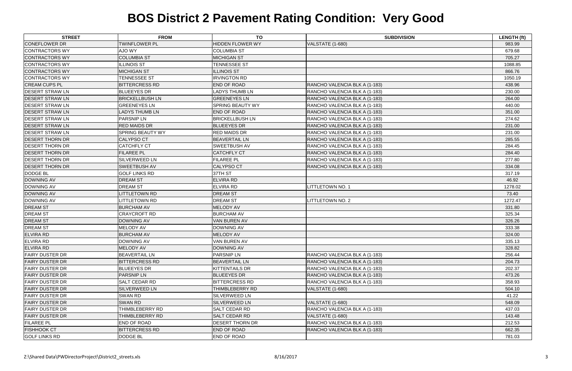| <b>STREET</b>          | <b>FROM</b>             | <b>TO</b>               | <b>SUBDIVISION</b>            | <b>LENGTH (ft)</b> |
|------------------------|-------------------------|-------------------------|-------------------------------|--------------------|
| <b>CONEFLOWER DR</b>   | <b>TWINFLOWER PL</b>    | <b>HIDDEN FLOWER WY</b> | VALSTATE (1-680)              | 983.99             |
| <b>CONTRACTORS WY</b>  | AJO WY                  | <b>COLUMBIA ST</b>      |                               | 679.68             |
| <b>CONTRACTORS WY</b>  | <b>COLUMBIA ST</b>      | <b>MICHIGAN ST</b>      |                               | 705.27             |
| <b>CONTRACTORS WY</b>  | <b>ILLINOIS ST</b>      | <b>TENNESSEE ST</b>     |                               | 1088.85            |
| <b>CONTRACTORS WY</b>  | <b>MICHIGAN ST</b>      | <b>ILLINOIS ST</b>      |                               | 866.76             |
| <b>CONTRACTORS WY</b>  | <b>TENNESSEE ST</b>     | <b>IRVINGTON RD</b>     |                               | 1050.19            |
| <b>CREAM CUPS PL</b>   | <b>BITTERCRESS RD</b>   | <b>END OF ROAD</b>      | RANCHO VALENCIA BLK A (1-183) | 438.96             |
| <b>DESERT STRAW LN</b> | <b>BLUEEYES DR</b>      | <b>LADYS THUMB LN</b>   | RANCHO VALENCIA BLK A (1-183) | 230.00             |
| <b>DESERT STRAW LN</b> | <b>BRICKELLBUSH LN</b>  | <b>GREENEYES LN</b>     | RANCHO VALENCIA BLK A (1-183) | 264.00             |
| <b>DESERT STRAW LN</b> | <b>GREENEYES LN</b>     | <b>SPRING BEAUTY WY</b> | RANCHO VALENCIA BLK A (1-183) | 440.00             |
| <b>DESERT STRAW LN</b> | <b>LADYS THUMB LN</b>   | <b>END OF ROAD</b>      | RANCHO VALENCIA BLK A (1-183) | 351.00             |
| <b>DESERT STRAW LN</b> | <b>PARSNIP LN</b>       | <b>BRICKELLBUSH LN</b>  | RANCHO VALENCIA BLK A (1-183) | 274.62             |
| <b>DESERT STRAW LN</b> | <b>RED MAIDS DR</b>     | <b>BLUEEYES DR</b>      | RANCHO VALENCIA BLK A (1-183) | 231.00             |
| <b>DESERT STRAW LN</b> | <b>SPRING BEAUTY WY</b> | <b>RED MAIDS DR</b>     | RANCHO VALENCIA BLK A (1-183) | 231.00             |
| <b>DESERT THORN DR</b> | <b>CALYPSO CT</b>       | <b>BEAVERTAIL LN</b>    | RANCHO VALENCIA BLK A (1-183) | 285.55             |
| <b>DESERT THORN DR</b> | <b>CATCHFLY CT</b>      | <b>SWEETBUSH AV</b>     | RANCHO VALENCIA BLK A (1-183) | 284.45             |
| <b>DESERT THORN DR</b> | <b>FILAREE PL</b>       | <b>CATCHFLY CT</b>      | RANCHO VALENCIA BLK A (1-183) | 284.40             |
| <b>DESERT THORN DR</b> | <b>SILVERWEED LN</b>    | <b>FILAREE PL</b>       | RANCHO VALENCIA BLK A (1-183) | 277.80             |
| <b>DESERT THORN DR</b> | <b>SWEETBUSH AV</b>     | <b>CALYPSO CT</b>       | RANCHO VALENCIA BLK A (1-183) | 334.08             |
| <b>DODGE BL</b>        | <b>GOLF LINKS RD</b>    | 37TH ST                 |                               | 317.19             |
| <b>DOWNING AV</b>      | <b>DREAM ST</b>         | <b>ELVIRA RD</b>        |                               | 46.92              |
| <b>DOWNING AV</b>      | <b>DREAM ST</b>         | <b>ELVIRA RD</b>        | LITTLETOWN NO. 1              | 1278.02            |
| <b>DOWNING AV</b>      | <b>LITTLETOWN RD</b>    | <b>DREAM ST</b>         |                               | 73.40              |
| <b>DOWNING AV</b>      | <b>LITTLETOWN RD</b>    | <b>DREAM ST</b>         | LITTLETOWN NO. 2              | 1272.47            |
| <b>DREAM ST</b>        | <b>BURCHAM AV</b>       | <b>MELODY AV</b>        |                               | 331.80             |
| <b>DREAM ST</b>        | <b>CRAYCROFT RD</b>     | <b>BURCHAM AV</b>       |                               | 325.34             |
| <b>DREAM ST</b>        | <b>DOWNING AV</b>       | <b>VAN BUREN AV</b>     |                               | 326.26             |
| <b>DREAM ST</b>        | MELODY AV               | DOWNING AV              |                               | 333.38             |
| <b>ELVIRA RD</b>       | <b>BURCHAM AV</b>       | <b>MELODY AV</b>        |                               | 324.00             |
| <b>ELVIRA RD</b>       | DOWNING AV              | VAN BUREN AV            |                               | 335.13             |
| <b>ELVIRA RD</b>       | <b>MELODY AV</b>        | DOWNING AV              |                               | 328.82             |
| <b>FAIRY DUSTER DR</b> | <b>BEAVERTAIL LN</b>    | <b>PARSNIP LN</b>       | RANCHO VALENCIA BLK A (1-183) | 256.44             |
| <b>FAIRY DUSTER DR</b> | <b>BITTERCRESS RD</b>   | <b>BEAVERTAIL LN</b>    | RANCHO VALENCIA BLK A (1-183) | 204.73             |
| <b>FAIRY DUSTER DR</b> | <b>BLUEEYES DR</b>      | <b>KITTENTAILS DR</b>   | RANCHO VALENCIA BLK A (1-183) | 202.37             |
| <b>FAIRY DUSTER DR</b> | <b>PARSNIP LN</b>       | <b>BLUEEYES DR</b>      | RANCHO VALENCIA BLK A (1-183) | 473.26             |
| <b>FAIRY DUSTER DR</b> | SALT CEDAR RD           | <b>BITTERCRESS RD</b>   | RANCHO VALENCIA BLK A (1-183) | 358.93             |
| <b>FAIRY DUSTER DR</b> | <b>SILVERWEED LN</b>    | THIMBLEBERRY RD         | VALSTATE (1-680)              | 504.10             |
| <b>FAIRY DUSTER DR</b> | SWAN RD                 | <b>SILVERWEED LN</b>    |                               | 41.22              |
| <b>FAIRY DUSTER DR</b> | <b>SWAN RD</b>          | <b>SILVERWEED LN</b>    | VALSTATE (1-680)              | 548.09             |
| <b>FAIRY DUSTER DR</b> | THIMBLEBERRY RD         | <b>SALT CEDAR RD</b>    | RANCHO VALENCIA BLK A (1-183) | 437.03             |
| <b>FAIRY DUSTER DR</b> | THIMBLEBERRY RD         | <b>SALT CEDAR RD</b>    | VALSTATE (1-680)              | 143.48             |
| <b>FILAREE PL</b>      | <b>END OF ROAD</b>      | <b>DESERT THORN DR</b>  | RANCHO VALENCIA BLK A (1-183) | 212.53             |
| <b>FISHHOOK CT</b>     | <b>BITTERCRESS RD</b>   | <b>END OF ROAD</b>      | RANCHO VALENCIA BLK A (1-183) | 662.35             |
| <b>GOLF LINKS RD</b>   | <b>DODGE BL</b>         | <b>END OF ROAD</b>      |                               | 781.03             |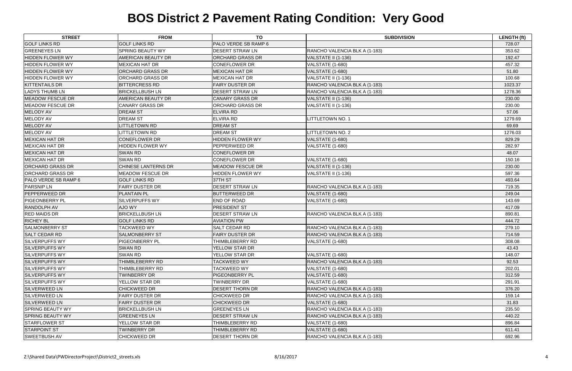| <b>STREET</b>           | <b>FROM</b>               | <b>TO</b>               | <b>SUBDIVISION</b>            | <b>LENGTH (ft)</b> |
|-------------------------|---------------------------|-------------------------|-------------------------------|--------------------|
| <b>GOLF LINKS RD</b>    | <b>GOLF LINKS RD</b>      | PALO VERDE SB RAMP 6    |                               | 728.07             |
| <b>GREENEYES LN</b>     | <b>SPRING BEAUTY WY</b>   | <b>DESERT STRAW LN</b>  | RANCHO VALENCIA BLK A (1-183) | 353.62             |
| <b>HIDDEN FLOWER WY</b> | <b>AMERICAN BEAUTY DR</b> | <b>ORCHARD GRASS DR</b> | VALSTATE II (1-136)           | 192.47             |
| <b>HIDDEN FLOWER WY</b> | <b>MEXICAN HAT DR</b>     | <b>CONEFLOWER DR</b>    | VALSTATE (1-680)              | 457.32             |
| <b>HIDDEN FLOWER WY</b> | <b>ORCHARD GRASS DR</b>   | <b>MEXICAN HAT DR</b>   | VALSTATE (1-680)              | 51.80              |
| <b>HIDDEN FLOWER WY</b> | ORCHARD GRASS DR          | <b>MEXICAN HAT DR</b>   | VALSTATE II (1-136)           | 100.68             |
| <b>KITTENTAILS DR</b>   | <b>BITTERCRESS RD</b>     | <b>FAIRY DUSTER DR</b>  | RANCHO VALENCIA BLK A (1-183) | 1023.37            |
| <b>LADYS THUMB LN</b>   | <b>BRICKELLBUSH LN</b>    | DESERT STRAW LN         | RANCHO VALENCIA BLK A (1-183) | 1278.36            |
| <b>MEADOW FESCUE DR</b> | <b>AMERICAN BEAUTY DR</b> | <b>CANARY GRASS DR</b>  | VALSTATE II (1-136)           | 230.00             |
| <b>MEADOW FESCUE DR</b> | <b>CANARY GRASS DR</b>    | ORCHARD GRASS DR        | VALSTATE II (1-136)           | 230.00             |
| <b>MELODY AV</b>        | <b>DREAM ST</b>           | <b>ELVIRA RD</b>        |                               | 57.06              |
| <b>MELODY AV</b>        | <b>DREAM ST</b>           | <b>ELVIRA RD</b>        | <b>LITTLETOWN NO. 1</b>       | 1279.69            |
| <b>MELODY AV</b>        | <b>ITTLETOWN RD</b>       | <b>DREAM ST</b>         |                               | 69.69              |
| MELODY AV               | <b>ITTLETOWN RD</b>       | <b>DREAM ST</b>         | LITTLETOWN NO. 2              | 1276.03            |
| <b>MEXICAN HAT DR</b>   | <b>CONEFLOWER DR</b>      | <b>HIDDEN FLOWER WY</b> | VALSTATE (1-680)              | 829.29             |
| <b>MEXICAN HAT DR</b>   | HIDDEN FLOWER WY          | PEPPERWEED DR           | VALSTATE (1-680)              | 282.97             |
| <b>MEXICAN HAT DR</b>   | <b>SWAN RD</b>            | <b>CONEFLOWER DR</b>    |                               | 48.07              |
| <b>MEXICAN HAT DR</b>   | <b>SWAN RD</b>            | <b>CONEFLOWER DR</b>    | VALSTATE (1-680)              | 150.16             |
| <b>ORCHARD GRASS DR</b> | CHINESE LANTERNS DR       | <b>MEADOW FESCUE DR</b> | VALSTATE II (1-136)           | 230.00             |
| <b>ORCHARD GRASS DR</b> | <b>MEADOW FESCUE DR</b>   | <b>HIDDEN FLOWER WY</b> | VALSTATE II (1-136)           | 597.36             |
| PALO VERDE SB RAMP 6    | <b>GOLF LINKS RD</b>      | 37TH ST                 |                               | 493.64             |
| <b>PARSNIP LN</b>       | <b>FAIRY DUSTER DR</b>    | DESERT STRAW LN         | RANCHO VALENCIA BLK A (1-183) | 719.35             |
| <b>PEPPERWEED DR</b>    | <b>PLANTAIN PL</b>        | <b>BUTTERWEED DR</b>    | VALSTATE (1-680)              | 249.04             |
| <b>PIGEONBERRY PL</b>   | <b>SILVERPUFFS WY</b>     | END OF ROAD             | VALSTATE (1-680)              | 143.69             |
| <b>RANDOLPH AV</b>      | AJO WY                    | PRESIDENT ST            |                               | 417.09             |
| <b>RED MAIDS DR</b>     | <b>BRICKELLBUSH LN</b>    | DESERT STRAW LN         | RANCHO VALENCIA BLK A (1-183) | 890.81             |
| <b>RICHEY BL</b>        | <b>GOLF LINKS RD</b>      | <b>AVIATION PW</b>      |                               | 444.72             |
| <b>SALMONBERRY ST</b>   | <b>TACKWEED WY</b>        | SALT CEDAR RD           | RANCHO VALENCIA BLK A (1-183) | 279.10             |
| <b>SALT CEDAR RD</b>    | <b>SALMONBERRY ST</b>     | <b>FAIRY DUSTER DR</b>  | RANCHO VALENCIA BLK A (1-183) | 714.59             |
| SILVERPUFFS WY          | <b>PIGEONBERRY PL</b>     | <b>THIMBLEBERRY RD</b>  | VALSTATE (1-680)              | 308.08             |
| <b>SILVERPUFFS WY</b>   | <b>SWAN RD</b>            | YELLOW STAR DR          |                               | 43.43              |
| <b>SILVERPUFFS WY</b>   | SWAN RD                   | YELLOW STAR DR          | VALSTATE (1-680)              | 148.07             |
| <b>SILVERPUFFS WY</b>   | THIMBLEBERRY RD           | <b>TACKWEED WY</b>      | RANCHO VALENCIA BLK A (1-183) | 92.53              |
| <b>SILVERPUFFS WY</b>   | THIMBLEBERRY RD           | TACKWEED WY             | VALSTATE (1-680)              | 202.01             |
| <b>SILVERPUFFS WY</b>   | <b>TWINBERRY DR</b>       | <b>PIGEONBERRY PL</b>   | VALSTATE (1-680)              | 312.59             |
| <b>SILVERPUFFS WY</b>   | YELLOW STAR DR            | <b>TWINBERRY DR</b>     | VALSTATE (1-680)              | 291.91             |
| <b>SILVERWEED LN</b>    | <b>CHICKWEED DR</b>       | <b>DESERT THORN DR</b>  | RANCHO VALENCIA BLK A (1-183) | 376.20             |
| <b>SILVERWEED LN</b>    | <b>FAIRY DUSTER DR</b>    | <b>CHICKWEED DR</b>     | RANCHO VALENCIA BLK A (1-183) | 159.14             |
| <b>SILVERWEED LN</b>    | <b>FAIRY DUSTER DR</b>    | <b>CHICKWEED DR</b>     | VALSTATE (1-680)              | 31.83              |
| <b>SPRING BEAUTY WY</b> | <b>BRICKELLBUSH LN</b>    | <b>GREENEYES LN</b>     | RANCHO VALENCIA BLK A (1-183) | 235.50             |
| <b>SPRING BEAUTY WY</b> | <b>GREENEYES LN</b>       | <b>DESERT STRAW LN</b>  | RANCHO VALENCIA BLK A (1-183) | 440.22             |
| <b>STARFLOWER ST</b>    | YELLOW STAR DR            | THIMBLEBERRY RD         | VALSTATE (1-680)              | 896.84             |
| <b>STARPOINT ST</b>     | <b>TWINBERRY DR</b>       | THIMBLEBERRY RD         | VALSTATE (1-680)              | 611.41             |
| <b>SWEETBUSH AV</b>     | <b>CHICKWEED DR</b>       | DESERT THORN DR         | RANCHO VALENCIA BLK A (1-183) | 692.96             |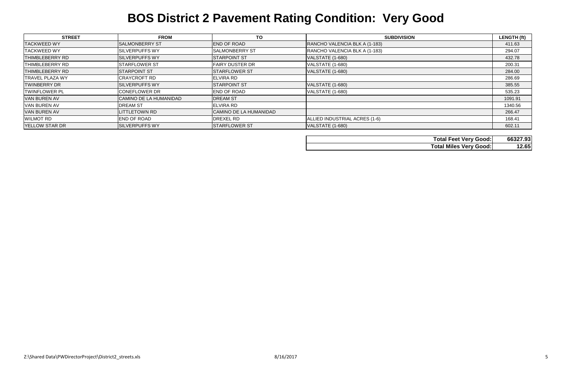| <b>STREET</b>          | <b>FROM</b>            | <b>TO</b>              | <b>SUBDIVISION</b>            | <b>LENGTH (ft)</b> |
|------------------------|------------------------|------------------------|-------------------------------|--------------------|
| <b>TACKWEED WY</b>     | <b>SALMONBERRY ST</b>  | <b>END OF ROAD</b>     | RANCHO VALENCIA BLK A (1-183) | 411.63             |
| <b>TACKWEED WY</b>     | <b>ISILVERPUFFS WY</b> | <b>SALMONBERRY ST</b>  | RANCHO VALENCIA BLK A (1-183) | 294.07             |
| <b>THIMBLEBERRY RD</b> | <b>SILVERPUFFS WY</b>  | <b>STARPOINT ST</b>    | VALSTATE (1-680)              | 432.78             |
| THIMBLEBERRY RD        | <b>STARFLOWER ST</b>   | <b>FAIRY DUSTER DR</b> | VALSTATE (1-680)              | 200.31             |
| <b>THIMBLEBERRY RD</b> | <b>STARPOINT ST</b>    | <b>STARFLOWER ST</b>   | VALSTATE (1-680)              | 284.00             |
| <b>TRAVEL PLAZA WY</b> | <b>CRAYCROFT RD</b>    | <b>ELVIRA RD</b>       |                               | 286.69             |
| <b>TWINBERRY DR</b>    | <b>SILVERPUFFS WY</b>  | <b>STARPOINT ST</b>    | VALSTATE (1-680)              | 385.55             |
| <b>TWINFLOWER PL</b>   | <b>CONEFLOWER DR</b>   | <b>END OF ROAD</b>     | VALSTATE (1-680)              | 535.23             |
| <b>VAN BUREN AV</b>    | CAMINO DE LA HUMANIDAD | <b>DREAM ST</b>        |                               | 1091.91            |
| <b>VAN BUREN AV</b>    | <b>DREAM ST</b>        | <b>ELVIRA RD</b>       |                               | 1340.56            |
| <b>VAN BUREN AV</b>    | <b>LITTLETOWN RD</b>   | CAMINO DE LA HUMANIDAD |                               | 266.47             |
| <b>WILMOT RD</b>       | <b>END OF ROAD</b>     | <b>DREXEL RD</b>       | ALLIED INDUSTRIAL ACRES (1-6) | 168.41             |
| <b>YELLOW STAR DR</b>  | <b>SILVERPUFFS WY</b>  | <b>STARFLOWER ST</b>   | VALSTATE (1-680)              | 602.11             |

| <b>Total Feet Very Good:</b>  | 66327.93 |
|-------------------------------|----------|
| <b>Total Miles Very Good:</b> | 12.65    |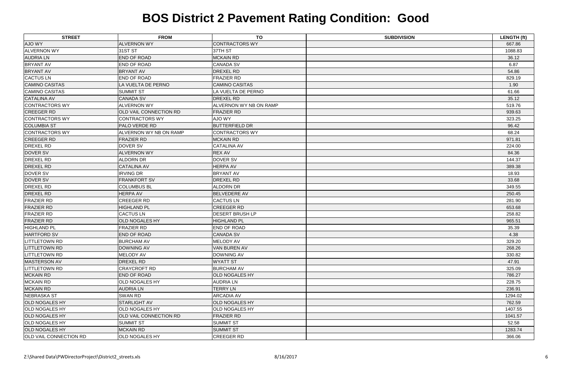| <b>STREET</b>                 | <b>FROM</b>                   | <b>TO</b>              | <b>SUBDIVISION</b> | <b>LENGTH (ft)</b> |
|-------------------------------|-------------------------------|------------------------|--------------------|--------------------|
| AJO WY                        | <b>ALVERNON WY</b>            | <b>CONTRACTORS WY</b>  |                    | 667.86             |
| <b>ALVERNON WY</b>            | 31ST ST                       | 37TH ST                |                    | 1088.83            |
| <b>AUDRIA LN</b>              | <b>END OF ROAD</b>            | <b>MCKAIN RD</b>       |                    | 36.12              |
| <b>BRYANT AV</b>              | <b>END OF ROAD</b>            | <b>CANADA SV</b>       |                    | 6.87               |
| <b>BRYANT AV</b>              | <b>BRYANT AV</b>              | <b>DREXEL RD</b>       |                    | 54.86              |
| <b>CACTUS LN</b>              | <b>END OF ROAD</b>            | <b>FRAZIER RD</b>      |                    | 829.19             |
| <b>CAMINO CASITAS</b>         | LA VUELTA DE PERNO            | <b>CAMINO CASITAS</b>  |                    | 1.90               |
| <b>CAMINO CASITAS</b>         | <b>SUMMIT ST</b>              | LA VUELTA DE PERNO     |                    | 61.66              |
| <b>CATALINA AV</b>            | <b>CANADA SV</b>              | <b>DREXEL RD</b>       |                    | 35.12              |
| <b>CONTRACTORS WY</b>         | <b>ALVERNON WY</b>            | ALVERNON WY NB ON RAMP |                    | 519.76             |
| <b>CREEGER RD</b>             | <b>OLD VAIL CONNECTION RD</b> | <b>FRAZIER RD</b>      |                    | 939.63             |
| <b>CONTRACTORS WY</b>         | CONTRACTORS WY                | AJO WY                 |                    | 323.25             |
| <b>COLUMBIA ST</b>            | <b>PALO VERDE RD</b>          | <b>BUTTERFIELD DR</b>  |                    | 96.42              |
| <b>CONTRACTORS WY</b>         | ALVERNON WY NB ON RAMP        | <b>CONTRACTORS WY</b>  |                    | 68.24              |
| <b>CREEGER RD</b>             | <b>FRAZIER RD</b>             | <b>MCKAIN RD</b>       |                    | 971.81             |
| <b>DREXEL RD</b>              | DOVER SV                      | <b>CATALINA AV</b>     |                    | 224.00             |
| <b>DOVER SV</b>               | <b>ALVERNON WY</b>            | <b>REX AV</b>          |                    | 84.36              |
| <b>DREXEL RD</b>              | <b>ALDORN DR</b>              | DOVER SV               |                    | 144.37             |
| <b>DREXEL RD</b>              | <b>CATALINA AV</b>            | <b>HERPA AV</b>        |                    | 389.38             |
| DOVER SV                      | <b>IRVING DR</b>              | <b>BRYANT AV</b>       |                    | 18.93              |
| <b>DOVER SV</b>               | <b>FRANKFORT SV</b>           | <b>DREXEL RD</b>       |                    | 33.68              |
| DREXEL RD                     | <b>COLUMBUS BL</b>            | <b>ALDORN DR</b>       |                    | 349.55             |
| <b>DREXEL RD</b>              | <b>HERPA AV</b>               | <b>BELVEDERE AV</b>    |                    | 250.45             |
| <b>FRAZIER RD</b>             | <b>CREEGER RD</b>             | <b>CACTUS LN</b>       |                    | 281.90             |
| <b>FRAZIER RD</b>             | <b>HIGHLAND PL</b>            | <b>CREEGER RD</b>      |                    | 653.68             |
| <b>FRAZIER RD</b>             | <b>CACTUS LN</b>              | <b>DESERT BRUSH LP</b> |                    | 258.82             |
| <b>FRAZIER RD</b>             | <b>OLD NOGALES HY</b>         | <b>HIGHLAND PL</b>     |                    | 965.51             |
| <b>HIGHLAND PL</b>            | <b>FRAZIER RD</b>             | <b>END OF ROAD</b>     |                    | 35.39              |
| <b>HARTFORD SV</b>            | <b>END OF ROAD</b>            | <b>CANADA SV</b>       |                    | 4.38               |
| <b>LITTLETOWN RD</b>          | <b>BURCHAM AV</b>             | MELODY AV              |                    | 329.20             |
| <b>LITTLETOWN RD</b>          | DOWNING AV                    | <b>VAN BUREN AV</b>    |                    | 268.26             |
| <b>LITTLETOWN RD</b>          | <b>MELODY AV</b>              | DOWNING AV             |                    | 330.82             |
| <b>MASTERSON AV</b>           | DREXEL RD                     | <b>WYATT ST</b>        |                    | 47.91              |
| <b>LITTLETOWN RD</b>          | <b>CRAYCROFT RD</b>           | <b>BURCHAM AV</b>      |                    | 325.09             |
| <b>MCKAIN RD</b>              | <b>END OF ROAD</b>            | <b>OLD NOGALES HY</b>  |                    | 786.27             |
| <b>MCKAIN RD</b>              | <b>OLD NOGALES HY</b>         | <b>AUDRIA LN</b>       |                    | 228.75             |
| <b>MCKAIN RD</b>              | <b>AUDRIA LN</b>              | <b>TERRY LN</b>        |                    | 236.91             |
| <b>NEBRASKA ST</b>            | <b>SWAN RD</b>                | <b>ARCADIA AV</b>      |                    | 1294.02            |
| <b>OLD NOGALES HY</b>         | <b>STARLIGHT AV</b>           | <b>OLD NOGALES HY</b>  |                    | 762.59             |
| <b>OLD NOGALES HY</b>         | <b>OLD NOGALES HY</b>         | <b>OLD NOGALES HY</b>  |                    | 1407.55            |
| <b>OLD NOGALES HY</b>         | <b>OLD VAIL CONNECTION RD</b> | <b>FRAZIER RD</b>      |                    | 1041.57            |
| <b>OLD NOGALES HY</b>         | <b>SUMMIT ST</b>              | <b>SUMMIT ST</b>       |                    | 52.58              |
| <b>OLD NOGALES HY</b>         | <b>MCKAIN RD</b>              | <b>SUMMIT ST</b>       |                    | 1283.74            |
| <b>OLD VAIL CONNECTION RD</b> | <b>OLD NOGALES HY</b>         | <b>CREEGER RD</b>      |                    | 366.06             |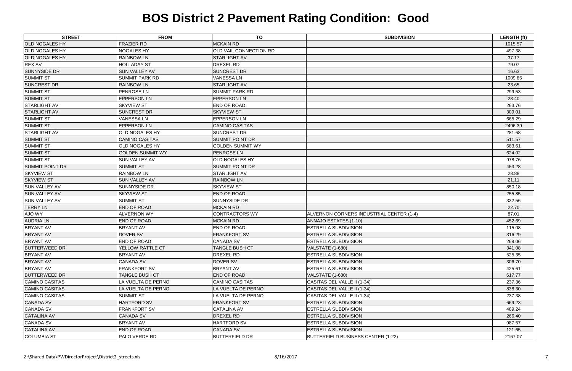| <b>STREET</b>          | <b>FROM</b>             | <b>TO</b>               | <b>SUBDIVISION</b>                        | <b>LENGTH (ft)</b> |
|------------------------|-------------------------|-------------------------|-------------------------------------------|--------------------|
| <b>OLD NOGALES HY</b>  | <b>FRAZIER RD</b>       | <b>MCKAIN RD</b>        |                                           | 1015.57            |
| <b>OLD NOGALES HY</b>  | <b>NOGALES HY</b>       | OLD VAIL CONNECTION RD  |                                           | 497.38             |
| <b>OLD NOGALES HY</b>  | <b>RAINBOW LN</b>       | <b>STARLIGHT AV</b>     |                                           | 37.17              |
| <b>REX AV</b>          | <b>HOLLADAY ST</b>      | DREXEL RD               |                                           | 79.07              |
| <b>SUNNYSIDE DR</b>    | <b>SUN VALLEY AV</b>    | <b>SUNCREST DR</b>      |                                           | 16.63              |
| <b>SUMMIT ST</b>       | <b>SUMMIT PARK RD</b>   | <b>VANESSA LN</b>       |                                           | 1009.85            |
| <b>SUNCREST DR</b>     | <b>RAINBOW LN</b>       | <b>STARLIGHT AV</b>     |                                           | 23.65              |
| <b>SUMMIT ST</b>       | PENROSE LN              | <b>SUMMIT PARK RD</b>   |                                           | 299.53             |
| <b>SUMMIT ST</b>       | <b>EPPERSON LN</b>      | <b>EPPERSON LN</b>      |                                           | 23.40              |
| <b>STARLIGHT AV</b>    | <b>SKYVIEW ST</b>       | END OF ROAD             |                                           | 263.76             |
| <b>STARLIGHT AV</b>    | <b>SUNCREST DR</b>      | <b>SKYVIEW ST</b>       |                                           | 309.01             |
| <b>SUMMIT ST</b>       | <b>VANESSALN</b>        | <b>EPPERSON LN</b>      |                                           | 665.29             |
| <b>SUMMIT ST</b>       | <b>EPPERSON LN</b>      | <b>CAMINO CASITAS</b>   |                                           | 2496.39            |
| <b>STARLIGHT AV</b>    | OLD NOGALES HY          | <b>SUNCREST DR</b>      |                                           | 281.68             |
| <b>SUMMIT ST</b>       | <b>CAMINO CASITAS</b>   | <b>SUMMIT POINT DR</b>  |                                           | 511.57             |
| <b>SUMMIT ST</b>       | OLD NOGALES HY          | <b>GOLDEN SUMMIT WY</b> |                                           | 683.61             |
| <b>SUMMIT ST</b>       | <b>GOLDEN SUMMIT WY</b> | PENROSE LN              |                                           | 624.02             |
| <b>SUMMIT ST</b>       | <b>SUN VALLEY AV</b>    | <b>OLD NOGALES HY</b>   |                                           | 978.76             |
| <b>SUMMIT POINT DR</b> | <b>SUMMIT ST</b>        | <b>SUMMIT POINT DR</b>  |                                           | 453.28             |
| <b>SKYVIEW ST</b>      | <b>RAINBOW LN</b>       | <b>STARLIGHT AV</b>     |                                           | 28.88              |
| <b>SKYVIEW ST</b>      | <b>SUN VALLEY AV</b>    | <b>RAINBOW LN</b>       |                                           | 21.11              |
| <b>SUN VALLEY AV</b>   | <b>SUNNYSIDE DR</b>     | <b>SKYVIEW ST</b>       |                                           | 850.18             |
| <b>SUN VALLEY AV</b>   | <b>SKYVIEW ST</b>       | <b>END OF ROAD</b>      |                                           | 255.85             |
| <b>SUN VALLEY AV</b>   | <b>SUMMIT ST</b>        | <b>SUNNYSIDE DR</b>     |                                           | 332.56             |
| <b>TERRY LN</b>        | <b>END OF ROAD</b>      | <b>MCKAIN RD</b>        |                                           | 22.70              |
| AJO WY                 | <b>ALVERNON WY</b>      | <b>CONTRACTORS WY</b>   | ALVERNON CORNERS INDUSTRIAL CENTER (1-4)  | 87.01              |
| <b>AUDRIA LN</b>       | <b>END OF ROAD</b>      | <b>MCKAIN RD</b>        | ANNAJO ESTATES (1-10)                     | 452.69             |
| <b>BRYANT AV</b>       | <b>BRYANT AV</b>        | END OF ROAD             | ESTRELLA SUBDIVISION                      | 115.08             |
| <b>BRYANT AV</b>       | <b>DOVER SV</b>         | <b>FRANKFORT SV</b>     | <b>ESTRELLA SUBDIVISION</b>               | 316.29             |
| <b>BRYANT AV</b>       | <b>END OF ROAD</b>      | <b>CANADA SV</b>        | <b>ESTRELLA SUBDIVISION</b>               | 269.06             |
| <b>BUTTERWEED DR</b>   | <b>YELLOW RATTLE CT</b> | <b>TANGLE BUSH CT</b>   | VALSTATE (1-680)                          | 341.08             |
| <b>BRYANT AV</b>       | <b>BRYANT AV</b>        | DREXEL RD               | <b>ESTRELLA SUBDIVISION</b>               | 525.35             |
| <b>BRYANT AV</b>       | <b>CANADA SV</b>        | <b>DOVER SV</b>         | <b>ESTRELLA SUBDIVISION</b>               | 306.70             |
| <b>BRYANT AV</b>       | <b>FRANKFORT SV</b>     | <b>BRYANT AV</b>        | <b>ESTRELLA SUBDIVISION</b>               | 425.61             |
| <b>BUTTERWEED DR</b>   | <b>TANGLE BUSH CT</b>   | <b>END OF ROAD</b>      | VALSTATE (1-680)                          | 617.77             |
| <b>CAMINO CASITAS</b>  | LA VUELTA DE PERNO      | <b>CAMINO CASITAS</b>   | CASITAS DEL VALLE II (1-34)               | 237.36             |
| <b>CAMINO CASITAS</b>  | LA VUELTA DE PERNO      | LA VUELTA DE PERNO      | CASITAS DEL VALLE II (1-34)               | 838.30             |
| <b>CAMINO CASITAS</b>  | <b>SUMMIT ST</b>        | LA VUELTA DE PERNO      | CASITAS DEL VALLE II (1-34)               | 237.38             |
| <b>CANADA SV</b>       | HARTFORD SV             | <b>FRANKFORT SV</b>     | <b>ESTRELLA SUBDIVISION</b>               | 669.23             |
| <b>CANADA SV</b>       | <b>FRANKFORT SV</b>     | <b>CATALINA AV</b>      | <b>ESTRELLA SUBDIVISION</b>               | 489.24             |
| <b>CATALINA AV</b>     | <b>CANADA SV</b>        | <b>DREXEL RD</b>        | <b>ESTRELLA SUBDIVISION</b>               | 266.40             |
| <b>CANADA SV</b>       | <b>BRYANT AV</b>        | <b>HARTFORD SV</b>      | ESTRELLA SUBDIVISION                      | 987.57             |
| <b>CATALINA AV</b>     | <b>END OF ROAD</b>      | <b>CANADA SV</b>        | <b>ESTRELLA SUBDIVISION</b>               | 121.65             |
| <b>COLUMBIA ST</b>     | PALO VERDE RD           | <b>BUTTERFIELD DR</b>   | <b>BUTTERFIELD BUSINESS CENTER (1-22)</b> | 2167.07            |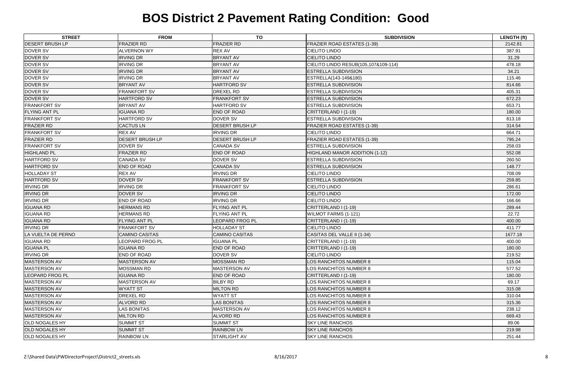| <b>STREET</b>          | <b>FROM</b>            | <b>TO</b>              | <b>SUBDIVISION</b>                   | <b>LENGTH (ft)</b> |
|------------------------|------------------------|------------------------|--------------------------------------|--------------------|
| <b>DESERT BRUSH LP</b> | <b>FRAZIER RD</b>      | <b>FRAZIER RD</b>      | FRAZIER ROAD ESTATES (1-39)          | 2142.81            |
| DOVER SV               | <b>ALVERNON WY</b>     | <b>REX AV</b>          | <b>CIELITO LINDO</b>                 | 387.91             |
| <b>DOVER SV</b>        | <b>IRVING DR</b>       | <b>BRYANT AV</b>       | <b>CIELITO LINDO</b>                 | 31.29              |
| <b>DOVER SV</b>        | <b>IRVING DR</b>       | <b>BRYANT AV</b>       | CIELITO LINDO RESUB(105,107&109-114) | 478.18             |
| <b>DOVER SV</b>        | <b>IRVING DR</b>       | <b>BRYANT AV</b>       | <b>ESTRELLA SUBDIVISION</b>          | 34.21              |
| DOVER SV               | <b>IRVING DR</b>       | <b>BRYANT AV</b>       | ESTRELLA(143-149&180)                | 115.46             |
| <b>DOVER SV</b>        | <b>BRYANT AV</b>       | <b>HARTFORD SV</b>     | <b>ESTRELLA SUBDIVISION</b>          | 814.66             |
| DOVER SV               | <b>FRANKFORT SV</b>    | <b>DREXEL RD</b>       | <b>ESTRELLA SUBDIVISION</b>          | 405.31             |
| <b>DOVER SV</b>        | <b>HARTFORD SV</b>     | <b>FRANKFORT SV</b>    | <b>ESTRELLA SUBDIVISION</b>          | 672.23             |
| <b>FRANKFORT SV</b>    | <b>BRYANT AV</b>       | HARTFORD SV            | <b>ESTRELLA SUBDIVISION</b>          | 653.71             |
| <b>FLYING ANT PL</b>   | <b>IGUANA RD</b>       | END OF ROAD            | CRITTERLAND I (1-19)                 | 180.00             |
| <b>FRANKFORT SV</b>    | HARTFORD SV            | <b>DOVER SV</b>        | ESTRELLA SUBDIVISION                 | 813.18             |
| <b>FRAZIER RD</b>      | <b>CACTUS LN</b>       | DESERT BRUSH LP        | FRAZIER ROAD ESTATES (1-39)          | 314.54             |
| <b>FRANKFORT SV</b>    | <b>REX AV</b>          | <b>IRVING DR</b>       | <b>CIELITO LINDO</b>                 | 664.71             |
| <b>FRAZIER RD</b>      | <b>DESERT BRUSH LP</b> | <b>DESERT BRUSH LP</b> | <b>FRAZIER ROAD ESTATES (1-39)</b>   | 795.24             |
| <b>FRANKFORT SV</b>    | DOVER SV               | <b>CANADA SV</b>       | <b>ESTRELLA SUBDIVISION</b>          | 258.03             |
| <b>HIGHLAND PL</b>     | <b>FRAZIER RD</b>      | END OF ROAD            | HIGHLAND MANOR ADDITION (1-12)       | 552.08             |
| HARTFORD SV            | <b>CANADA SV</b>       | DOVER SV               | <b>ESTRELLA SUBDIVISION</b>          | 260.50             |
| <b>HARTFORD SV</b>     | <b>END OF ROAD</b>     | <b>CANADA SV</b>       | <b>ESTRELLA SUBDIVISION</b>          | 148.77             |
| <b>HOLLADAY ST</b>     | <b>REX AV</b>          | <b>IRVING DR</b>       | <b>CIELITO LINDO</b>                 | 708.09             |
| <b>HARTFORD SV</b>     | DOVER SV               | <b>FRANKFORT SV</b>    | <b>ESTRELLA SUBDIVISION</b>          | 259.85             |
| <b>IRVING DR</b>       | <b>IRVING DR</b>       | <b>FRANKFORT SV</b>    | <b>CIELITO LINDO</b>                 | 286.61             |
| <b>IRVING DR</b>       | DOVER SV               | <b>IRVING DR</b>       | <b>CIELITO LINDO</b>                 | 172.00             |
| <b>IRVING DR</b>       | <b>END OF ROAD</b>     | <b>IRVING DR</b>       | <b>CIELITO LINDO</b>                 | 166.66             |
| <b>IGUANA RD</b>       | <b>HERMANS RD</b>      | FLYING ANT PL          | CRITTERLAND I (1-19)                 | 289.44             |
| <b>IGUANA RD</b>       | <b>HERMANS RD</b>      | FLYING ANT PL          | WILMOT FARMS (1-121)                 | 22.72              |
| <b>IGUANA RD</b>       | <b>FLYING ANT PL</b>   | <b>LEOPARD FROG PL</b> | CRITTERLAND I (1-19)                 | 400.00             |
| <b>IRVING DR</b>       | <b>FRANKFORT SV</b>    | <b>HOLLADAY ST</b>     | <b>CIELITO LINDO</b>                 | 411.77             |
| LA VUELTA DE PERNO     | <b>CAMINO CASITAS</b>  | <b>CAMINO CASITAS</b>  | CASITAS DEL VALLE II (1-34)          | 1677.18            |
| <b>IGUANA RD</b>       | <b>LEOPARD FROG PL</b> | <b>IGUANA PL</b>       | CRITTERLAND I (1-19)                 | 400.00             |
| <b>IGUANA PL</b>       | <b>IGUANA RD</b>       | END OF ROAD            | CRITTERLAND I (1-19)                 | 180.00             |
| <b>IRVING DR</b>       | <b>END OF ROAD</b>     | DOVER SV               | <b>CIELITO LINDO</b>                 | 219.52             |
| <b>MASTERSON AV</b>    | <b>MASTERSON AV</b>    | <b>MOSSMAN RD</b>      | <b>LOS RANCHITOS NUMBER 8</b>        | 115.04             |
| MASTERSON AV           | <b>MOSSMAN RD</b>      | <b>MASTERSON AV</b>    | LOS RANCHITOS NUMBER 8               | 577.52             |
| <b>LEOPARD FROG PL</b> | <b>IGUANA RD</b>       | END OF ROAD            | CRITTERLAND I (1-19)                 | 180.00             |
| MASTERSON AV           | <b>MASTERSON AV</b>    | <b>BILBY RD</b>        | LOS RANCHITOS NUMBER 8               | 69.17              |
| <b>MASTERSON AV</b>    | <b>WYATT ST</b>        | <b>MILTON RD</b>       | LOS RANCHITOS NUMBER 8               | 315.08             |
| MASTERSON AV           | <b>DREXEL RD</b>       | <b>WYATT ST</b>        | LOS RANCHITOS NUMBER 8               | 310.04             |
| <b>MASTERSON AV</b>    | ALVORD RD              | <b>LAS BONITAS</b>     | LOS RANCHITOS NUMBER 8               | 315.36             |
| MASTERSON AV           | <b>LAS BONITAS</b>     | MASTERSON AV           | LOS RANCHITOS NUMBER 8               | 238.12             |
| <b>MASTERSON AV</b>    | <b>MILTON RD</b>       | <b>ALVORD RD</b>       | LOS RANCHITOS NUMBER 8               | 669.43             |
| <b>OLD NOGALES HY</b>  | <b>SUMMIT ST</b>       | <b>SUMMIT ST</b>       | <b>SKY LINE RANCHOS</b>              | 89.06              |
| <b>OLD NOGALES HY</b>  | <b>SUMMIT ST</b>       | <b>RAINBOW LN</b>      | <b>SKY LINE RANCHOS</b>              | 219.98             |
| <b>OLD NOGALES HY</b>  | <b>RAINBOW LN</b>      | STARLIGHT AV           | <b>SKY LINE RANCHOS</b>              | 251.44             |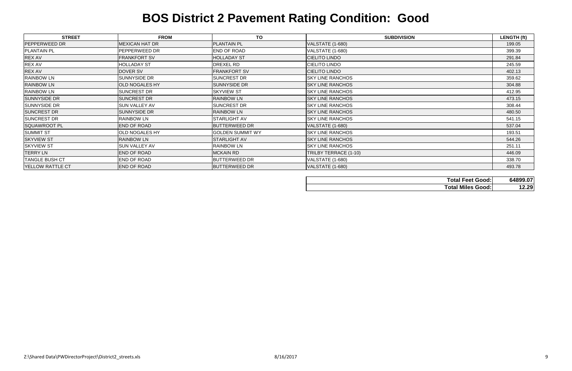| <b>STREET</b>         | <b>FROM</b>           | TO                      | <b>SUBDIVISION</b>      | <b>LENGTH (ft)</b>                      |
|-----------------------|-----------------------|-------------------------|-------------------------|-----------------------------------------|
| <b>PEPPERWEED DR</b>  | <b>MEXICAN HAT DR</b> | <b>PLANTAIN PL</b>      | VALSTATE (1-680)        | 199.05                                  |
| <b>PLANTAIN PL</b>    | PEPPERWEED DR         | <b>END OF ROAD</b>      | VALSTATE (1-680)        | 399.39                                  |
| REX AV                | <b>FRANKFORT SV</b>   | <b>HOLLADAY ST</b>      | <b>CIELITO LINDO</b>    | 291.84                                  |
| <b>REX AV</b>         | <b>HOLLADAY ST</b>    | <b>DREXEL RD</b>        | <b>CIELITO LINDO</b>    | 245.59                                  |
| <b>REX AV</b>         | DOVER SV              | <b>FRANKFORT SV</b>     | <b>CIELITO LINDO</b>    | 402.13                                  |
| <b>RAINBOW LN</b>     | <b>SUNNYSIDE DR</b>   | <b>SUNCREST DR</b>      | <b>SKY LINE RANCHOS</b> | 359.62                                  |
| <b>RAINBOW LN</b>     | <b>OLD NOGALES HY</b> | <b>SUNNYSIDE DR</b>     | <b>SKY LINE RANCHOS</b> | 304.88                                  |
| <b>RAINBOW LN</b>     | <b>SUNCREST DR</b>    | <b>SKYVIEW ST</b>       | <b>SKY LINE RANCHOS</b> | 412.95                                  |
| <b>SUNNYSIDE DR</b>   | <b>SUNCREST DR</b>    | <b>RAINBOW LN</b>       | <b>SKY LINE RANCHOS</b> | 473.15                                  |
| <b>SUNNYSIDE DR</b>   | <b>SUN VALLEY AV</b>  | <b>SUNCREST DR</b>      | <b>SKY LINE RANCHOS</b> | 308.44                                  |
| <b>SUNCREST DR</b>    | <b>SUNNYSIDE DR</b>   | <b>RAINBOW LN</b>       | <b>SKY LINE RANCHOS</b> | 480.50                                  |
| <b>SUNCREST DR</b>    | <b>RAINBOW LN</b>     | <b>STARLIGHT AV</b>     | <b>SKY LINE RANCHOS</b> | 541.15                                  |
| <b>SQUAWROOT PL</b>   | <b>END OF ROAD</b>    | <b>BUTTERWEED DR</b>    | VALSTATE (1-680)        | 537.04                                  |
| <b>SUMMIT ST</b>      | <b>OLD NOGALES HY</b> | <b>GOLDEN SUMMIT WY</b> | <b>SKY LINE RANCHOS</b> | 193.51                                  |
| <b>SKYVIEW ST</b>     | <b>RAINBOW LN</b>     | <b>STARLIGHT AV</b>     | <b>SKY LINE RANCHOS</b> | 544.26                                  |
| <b>SKYVIEW ST</b>     | <b>SUN VALLEY AV</b>  | <b>RAINBOW LN</b>       | <b>SKY LINE RANCHOS</b> | 251.11                                  |
| <b>TERRY LN</b>       | <b>END OF ROAD</b>    | <b>MCKAIN RD</b>        | TRILBY TERRACE (1-10)   | 446.09                                  |
| <b>TANGLE BUSH CT</b> | <b>END OF ROAD</b>    | <b>BUTTERWEED DR</b>    | <b>VALSTATE (1-680)</b> | 338.70                                  |
| YELLOW RATTLE CT      | <b>END OF ROAD</b>    | <b>BUTTERWEED DR</b>    | VALSTATE (1-680)        | 493.78                                  |
|                       |                       |                         |                         | 0.400007<br>$T = 1 - 1$ $T = 1$ $C = 1$ |

| <b>Total Feet Good:</b>  | 64899.07 |
|--------------------------|----------|
| <b>Total Miles Good:</b> | 12.29    |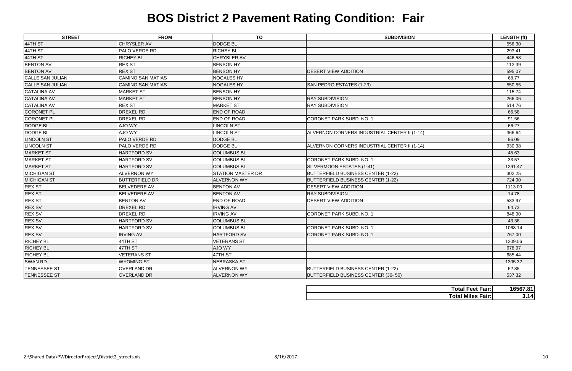| <b>STREET</b>           | <b>FROM</b>              | <b>TO</b>                | <b>SUBDIVISION</b>                           | <b>LENGTH (ft)</b> |
|-------------------------|--------------------------|--------------------------|----------------------------------------------|--------------------|
| 44TH ST                 | CHRYSLER AV              | <b>DODGE BL</b>          |                                              | 556.30             |
| 44TH ST                 | PALO VERDE RD            | <b>RICHEY BL</b>         |                                              | 293.41             |
| 44TH ST                 | <b>RICHEY BL</b>         | CHRYSLER AV              |                                              | 446.58             |
| <b>BENTON AV</b>        | <b>REX ST</b>            | <b>BENSON HY</b>         |                                              | 112.39             |
| <b>BENTON AV</b>        | <b>REX ST</b>            | <b>BENSON HY</b>         | <b>DESERT VIEW ADDITION</b>                  | 595.07             |
| <b>CALLE SAN JULIAN</b> | <b>CAMINO SAN MATIAS</b> | <b>NOGALES HY</b>        |                                              | 68.77              |
| <b>CALLE SAN JULIAN</b> | <b>CAMINO SAN MATIAS</b> | <b>NOGALES HY</b>        | SAN PEDRO ESTATES (1-23)                     | 550.55             |
| <b>CATALINA AV</b>      | <b>MARKET ST</b>         | <b>BENSON HY</b>         |                                              | 115.74             |
| <b>CATALINA AV</b>      | <b>MARKET ST</b>         | <b>BENSON HY</b>         | <b>RAY SUBDIVISION</b>                       | 266.06             |
| <b>CATALINA AV</b>      | <b>REX ST</b>            | <b>MARKET ST</b>         | <b>RAY SUBDIVISION</b>                       | 514.76             |
| <b>CORONET PL</b>       | DREXEL RD                | END OF ROAD              |                                              | 66.58              |
| <b>CORONET PL</b>       | DREXEL RD                | END OF ROAD              | CORONET PARK SUBD. NO. 1                     | 91.56              |
| <b>DODGE BL</b>         | <b>AJO WY</b>            | <b>LINCOLN ST</b>        |                                              | 66.27              |
| <b>DODGE BL</b>         | AJO WY                   | <b>LINCOLN ST</b>        | ALVERNON CORNERS INDUSTRIAL CENTER II (1-14) | 366.64             |
| <b>LINCOLN ST</b>       | PALO VERDE RD            | <b>DODGE BL</b>          |                                              | 96.09              |
| <b>LINCOLN ST</b>       | PALO VERDE RD            | DODGE BL                 | ALVERNON CORNERS INDUSTRIAL CENTER II (1-14) | 930.38             |
| <b>MARKET ST</b>        | <b>HARTFORD SV</b>       | <b>COLUMBUS BL</b>       |                                              | 45.63              |
| <b>MARKET ST</b>        | <b>HARTFORD SV</b>       | <b>COLUMBUS BL</b>       | CORONET PARK SUBD. NO. 1                     | 33.57              |
| <b>MARKET ST</b>        | <b>HARTFORD SV</b>       | <b>COLUMBUS BL</b>       | SILVERMOON ESTATES (1-41)                    | 1291.47            |
| <b>MICHIGAN ST</b>      | <b>ALVERNON WY</b>       | <b>STATION MASTER DR</b> | BUTTERFIELD BUSINESS CENTER (1-22)           | 302.25             |
| <b>MICHIGAN ST</b>      | <b>BUTTERFIELD DR</b>    | <b>ALVERNON WY</b>       | BUTTERFIELD BUSINESS CENTER (1-22)           | 724.90             |
| <b>REX ST</b>           | <b>BELVEDERE AV</b>      | <b>BENTON AV</b>         | <b>DESERT VIEW ADDITION</b>                  | 1113.00            |
| <b>REX ST</b>           | <b>BELVEDERE AV</b>      | <b>BENTON AV</b>         | <b>RAY SUBDIVISION</b>                       | 14.78              |
| <b>REX ST</b>           | <b>BENTON AV</b>         | END OF ROAD              | <b>DESERT VIEW ADDITION</b>                  | 533.97             |
| <b>REX SV</b>           | DREXEL RD                | <b>IRVING AV</b>         |                                              | 64.73              |
| <b>REX SV</b>           | DREXEL RD                | <b>IRVING AV</b>         | CORONET PARK SUBD. NO. 1                     | 848.90             |
| <b>REX SV</b>           | <b>HARTFORD SV</b>       | <b>COLUMBUS BL</b>       |                                              | 43.36              |
| <b>REX SV</b>           | HARTFORD SV              | <b>COLUMBUS BL</b>       | CORONET PARK SUBD. NO. 1                     | 1068.14            |
| <b>REX SV</b>           | <b>IRVING AV</b>         | <b>HARTFORD SV</b>       | CORONET PARK SUBD. NO. 1                     | 767.00             |
| <b>RICHEY BL</b>        | 44TH ST                  | <b>VETERANS ST</b>       |                                              | 1309.06            |
| <b>RICHEY BL</b>        | 47TH ST                  | AJO WY                   |                                              | 678.97             |
| <b>RICHEY BL</b>        | <b>VETERANS ST</b>       | 47TH ST                  |                                              | 685.44             |
| <b>SWAN RD</b>          | <b>WYOMING ST</b>        | <b>NEBRASKA ST</b>       |                                              | 1305.32            |
| <b>TENNESSEE ST</b>     | <b>OVERLAND DR</b>       | <b>ALVERNON WY</b>       | BUTTERFIELD BUSINESS CENTER (1-22)           | 62.85              |
| <b>TENNESSEE ST</b>     | <b>OVERLAND DR</b>       | <b>ALVERNON WY</b>       | BUTTERFIELD BUSINESS CENTER (36-50)          | 537.32             |

| <b>Total Feet Fair:</b>  | 16567.81 |
|--------------------------|----------|
| <b>Total Miles Fair:</b> | 3.14     |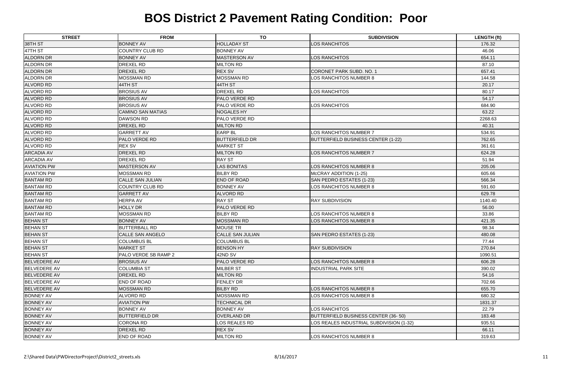| <b>STREET</b>       | <b>FROM</b>              | <b>TO</b>               | <b>SUBDIVISION</b>                        | <b>LENGTH (ft)</b> |
|---------------------|--------------------------|-------------------------|-------------------------------------------|--------------------|
| 38TH ST             | <b>BONNEY AV</b>         | <b>HOLLADAY ST</b>      | LOS RANCHITOS                             | 176.32             |
| 47TH ST             | <b>COUNTRY CLUB RD</b>   | <b>BONNEY AV</b>        |                                           | 46.06              |
| <b>ALDORN DR</b>    | <b>BONNEY AV</b>         | <b>MASTERSON AV</b>     | LOS RANCHITOS                             | 654.11             |
| ALDORN DR           | <b>DREXEL RD</b>         | <b>MILTON RD</b>        |                                           | 87.10              |
| <b>ALDORN DR</b>    | DREXEL RD                | <b>REX SV</b>           | CORONET PARK SUBD. NO. 1                  | 657.41             |
| <b>ALDORN DR</b>    | <b>MOSSMAN RD</b>        | <b>MOSSMAN RD</b>       | LOS RANCHITOS NUMBER 8                    | 144.58             |
| <b>ALVORD RD</b>    | 44TH ST                  | 44TH ST                 |                                           | 20.17              |
| <b>ALVORD RD</b>    | <b>BROSIUS AV</b>        | <b>DREXEL RD</b>        | LOS RANCHITOS                             | 80.17              |
| <b>ALVORD RD</b>    | <b>BROSIUS AV</b>        | <b>PALO VERDE RD</b>    |                                           | 54.17              |
| <b>ALVORD RD</b>    | <b>BROSIUS AV</b>        | <b>PALO VERDE RD</b>    | LOS RANCHITOS                             | 684.90             |
| <b>ALVORD RD</b>    | <b>CAMINO SAN MATIAS</b> | <b>NOGALES HY</b>       |                                           | 63.22              |
| <b>ALVORD RD</b>    | <b>DAWSON RD</b>         | <b>PALO VERDE RD</b>    |                                           | 2268.63            |
| <b>ALVORD RD</b>    | DREXEL RD                | <b>MILTON RD</b>        |                                           | 40.31              |
| <b>ALVORD RD</b>    | <b>GARRETT AV</b>        | <b>EARP BL</b>          | LOS RANCHITOS NUMBER 7                    | 534.91             |
| <b>ALVORD RD</b>    | <b>PALO VERDE RD</b>     | <b>BUTTERFIELD DR</b>   | <b>BUTTERFIELD BUSINESS CENTER (1-22)</b> | 762.65             |
| ALVORD RD           | <b>REX SV</b>            | <b>MARKET ST</b>        |                                           | 361.61             |
| <b>ARCADIA AV</b>   | <b>DREXEL RD</b>         | <b>MILTON RD</b>        | LOS RANCHITOS NUMBER 7                    | 624.28             |
| <b>ARCADIA AV</b>   | <b>DREXEL RD</b>         | <b>RAY ST</b>           |                                           | 51.94              |
| <b>AVIATION PW</b>  | <b>MASTERSON AV</b>      | <b>LAS BONITAS</b>      | LOS RANCHITOS NUMBER 8                    | 205.06             |
| <b>AVIATION PW</b>  | <b>MOSSMAN RD</b>        | <b>BILBY RD</b>         | McCRAY ADDITION (1-25)                    | 605.66             |
| <b>BANTAM RD</b>    | <b>CALLE SAN JULIAN</b>  | <b>END OF ROAD</b>      | SAN PEDRO ESTATES (1-23)                  | 566.34             |
| <b>BANTAM RD</b>    | <b>COUNTRY CLUB RD</b>   | <b>BONNEY AV</b>        | LOS RANCHITOS NUMBER 8                    | 591.60             |
| <b>BANTAM RD</b>    | <b>GARRETT AV</b>        | <b>ALVORD RD</b>        |                                           | 629.78             |
| <b>BANTAM RD</b>    | <b>HERPA AV</b>          | <b>RAY ST</b>           | <b>RAY SUBDIVISION</b>                    | 1140.40            |
| <b>BANTAM RD</b>    | <b>HOLLY DR</b>          | <b>PALO VERDE RD</b>    |                                           | 56.00              |
| <b>BANTAM RD</b>    | <b>MOSSMAN RD</b>        | <b>BILBY RD</b>         | LOS RANCHITOS NUMBER 8                    | 33.86              |
| <b>BEHAN ST</b>     | <b>BONNEY AV</b>         | <b>MOSSMAN RD</b>       | <b>LOS RANCHITOS NUMBER 8</b>             | 421.35             |
| <b>BEHAN ST</b>     | <b>BUTTERBALL RD</b>     | <b>MOUSE TR</b>         |                                           | 98.34              |
| <b>BEHAN ST</b>     | <b>CALLE SAN ANGELO</b>  | <b>CALLE SAN JULIAN</b> | SAN PEDRO ESTATES (1-23)                  | 480.08             |
| <b>BEHAN ST</b>     | <b>COLUMBUS BL</b>       | <b>COLUMBUS BL</b>      |                                           | 77.44              |
| <b>BEHAN ST</b>     | <b>MARKET ST</b>         | <b>BENSON HY</b>        | <b>RAY SUBDIVISION</b>                    | 270.84             |
| <b>BEHAN ST</b>     | PALO VERDE SB RAMP 2     | 42ND SV                 |                                           | 1090.51            |
| <b>BELVEDERE AV</b> | <b>BROSIUS AV</b>        | <b>PALO VERDE RD</b>    | LOS RANCHITOS NUMBER 8                    | 606.28             |
| <b>BELVEDERE AV</b> | <b>COLUMBIA ST</b>       | <b>MILBER ST</b>        | <b>INDUSTRIAL PARK SITE</b>               | 390.02             |
| <b>BELVEDERE AV</b> | DREXEL RD                | <b>MILTON RD</b>        |                                           | 54.16              |
| <b>BELVEDERE AV</b> | END OF ROAD              | <b>FENLEY DR</b>        |                                           | 702.66             |
| <b>BELVEDERE AV</b> | <b>MOSSMAN RD</b>        | <b>BILBY RD</b>         | <b>LOS RANCHITOS NUMBER 8</b>             | 655.70             |
| <b>BONNEY AV</b>    | <b>ALVORD RD</b>         | <b>MOSSMAN RD</b>       | LOS RANCHITOS NUMBER 8                    | 680.32             |
| <b>BONNEY AV</b>    | <b>AVIATION PW</b>       | <b>TECHNICAL DR</b>     |                                           | 1831.37            |
| <b>BONNEY AV</b>    | <b>BONNEY AV</b>         | <b>BONNEY AV</b>        | LOS RANCHITOS                             | 22.79              |
| <b>BONNEY AV</b>    | <b>BUTTERFIELD DR</b>    | <b>OVERLAND DR</b>      | BUTTERFIELD BUSINESS CENTER (36-50)       | 183.48             |
| <b>BONNEY AV</b>    | <b>CORONA RD</b>         | LOS REALES RD           | LOS REALES INDUSTRIAL SUBDIVISION (1-32)  | 935.51             |
| <b>BONNEY AV</b>    | DREXEL RD                | <b>REX SV</b>           |                                           | 66.11              |
| <b>BONNEY AV</b>    | END OF ROAD              | <b>MILTON RD</b>        | LOS RANCHITOS NUMBER 8                    | 319.63             |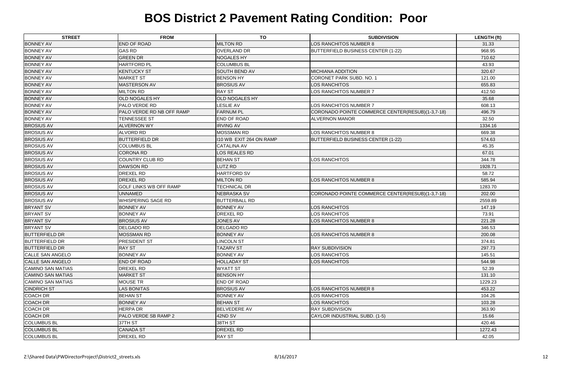| <b>STREET</b>            | <b>FROM</b>               | <b>TO</b>               | <b>SUBDIVISION</b>                               | <b>LENGTH (ft)</b> |
|--------------------------|---------------------------|-------------------------|--------------------------------------------------|--------------------|
| <b>BONNEY AV</b>         | <b>END OF ROAD</b>        | <b>MILTON RD</b>        | LOS RANCHITOS NUMBER 8                           | 31.33              |
| <b>BONNEY AV</b>         | <b>GAS RD</b>             | <b>OVERLAND DR</b>      | <b>BUTTERFIELD BUSINESS CENTER (1-22)</b>        | 968.95             |
| <b>BONNEY AV</b>         | <b>GREEN DR</b>           | <b>NOGALES HY</b>       |                                                  | 710.62             |
| <b>BONNEY AV</b>         | <b>HARTFORD PL</b>        | <b>COLUMBUS BL</b>      |                                                  | 43.93              |
| <b>BONNEY AV</b>         | <b>KENTUCKY ST</b>        | <b>SOUTH BEND AV</b>    | <b>MICHIANA ADDITION</b>                         | 320.67             |
| <b>BONNEY AV</b>         | <b>MARKET ST</b>          | <b>BENSON HY</b>        | <b>CORONET PARK SUBD. NO. 1</b>                  | 121.00             |
| <b>BONNEY AV</b>         | <b>MASTERSON AV</b>       | <b>BROSIUS AV</b>       | LOS RANCHITOS                                    | 655.83             |
| <b>BONNEY AV</b>         | <b>MILTON RD</b>          | <b>RAY ST</b>           | LOS RANCHITOS NUMBER 7                           | 412.50             |
| <b>BONNEY AV</b>         | <b>OLD NOGALES HY</b>     | <b>OLD NOGALES HY</b>   |                                                  | 35.68              |
| <b>BONNEY AV</b>         | PALO VERDE RD             | <b>LESLIE AV</b>        | LOS RANCHITOS NUMBER 7                           | 608.13             |
| <b>BONNEY AV</b>         | PALO VERDE RD NB OFF RAMP | <b>FARNUM PL</b>        | CORONADO POINTE COMMERCE CENTER(RESUB)(1-3,7-18) | 496.79             |
| <b>BONNEY AV</b>         | TENNESSEE ST              | END OF ROAD             | <b>ALVERNON MANOR</b>                            | 32.50              |
| <b>BROSIUS AV</b>        | <b>ALVERNON WY</b>        | <b>IRVING AV</b>        |                                                  | 1334.16            |
| <b>BROSIUS AV</b>        | <b>ALVORD RD</b>          | <b>MOSSMAN RD</b>       | LOS RANCHITOS NUMBER 8                           | 669.38             |
| <b>BROSIUS AV</b>        | <b>BUTTERFIELD DR</b>     | 110 WB EXIT 264 ON RAMP | <b>BUTTERFIELD BUSINESS CENTER (1-22)</b>        | 574.63             |
| <b>BROSIUS AV</b>        | <b>COLUMBUS BL</b>        | <b>CATALINA AV</b>      |                                                  | 45.35              |
| <b>BROSIUS AV</b>        | <b>CORONA RD</b>          | LOS REALES RD           |                                                  | 67.01              |
| <b>BROSIUS AV</b>        | COUNTRY CLUB RD           | <b>BEHAN ST</b>         | LOS RANCHITOS                                    | 344.78             |
| <b>BROSIUS AV</b>        | <b>DAWSON RD</b>          | LUTZ RD                 |                                                  | 1928.71            |
| <b>BROSIUS AV</b>        | <b>DREXEL RD</b>          | <b>HARTFORD SV</b>      |                                                  | 58.72              |
| <b>BROSIUS AV</b>        | <b>DREXEL RD</b>          | <b>MILTON RD</b>        | LOS RANCHITOS NUMBER 8                           | 585.94             |
| <b>BROSIUS AV</b>        | GOLF LINKS WB OFF RAMP    | <b>TECHNICAL DR</b>     |                                                  | 1283.70            |
| <b>BROSIUS AV</b>        | <b>UNNAMED</b>            | <b>NEBRASKA SV</b>      | CORONADO POINTE COMMERCE CENTER(RESUB)(1-3,7-18) | 202.00             |
| <b>BROSIUS AV</b>        | WHISPERING SAGE RD        | <b>BUTTERBALL RD</b>    |                                                  | 2559.89            |
| <b>BRYANT SV</b>         | <b>BONNEY AV</b>          | <b>BONNEY AV</b>        | LOS RANCHITOS                                    | 147.19             |
| <b>BRYANT SV</b>         | <b>BONNEY AV</b>          | <b>DREXEL RD</b>        | LOS RANCHITOS                                    | 73.91              |
| <b>BRYANT SV</b>         | <b>BROSIUS AV</b>         | <b>JONES AV</b>         | LOS RANCHITOS NUMBER 8                           | 221.28             |
| <b>BRYANT SV</b>         | <b>DELGADO RD</b>         | <b>DELGADO RD</b>       |                                                  | 346.53             |
| <b>BUTTERFIELD DR</b>    | <b>MOSSMAN RD</b>         | <b>BONNEY AV</b>        | LOS RANCHITOS NUMBER 8                           | 200.08             |
| <b>BUTTERFIELD DR</b>    | PRESIDENT ST              | <b>LINCOLN ST</b>       |                                                  | 374.81             |
| <b>BUTTERFIELD DR</b>    | <b>RAY ST</b>             | <b>TAZARV ST</b>        | <b>RAY SUBDIVISION</b>                           | 297.73             |
| <b>CALLE SAN ANGELO</b>  | <b>BONNEY AV</b>          | <b>BONNEY AV</b>        | LOS RANCHITOS                                    | 145.51             |
| <b>CALLE SAN ANGELO</b>  | <b>END OF ROAD</b>        | <b>HOLLADAY ST</b>      | LOS RANCHITOS                                    | 544.98             |
| <b>CAMINO SAN MATIAS</b> | DREXEL RD                 | <b>WYATT ST</b>         |                                                  | 52.39              |
| <b>CAMINO SAN MATIAS</b> | <b>MARKET ST</b>          | <b>BENSON HY</b>        |                                                  | 131.10             |
| <b>CAMINO SAN MATIAS</b> | <b>MOUSE TR</b>           | <b>END OF ROAD</b>      |                                                  | 1229.23            |
| <b>CINDRICH ST</b>       | <b>LAS BONITAS</b>        | <b>BROSIUS AV</b>       | <b>LOS RANCHITOS NUMBER 8</b>                    | 453.22             |
| <b>COACH DR</b>          | <b>BEHAN ST</b>           | <b>BONNEY AV</b>        | LOS RANCHITOS                                    | 104.26             |
| <b>COACH DR</b>          | <b>BONNEY AV</b>          | <b>BEHAN ST</b>         | LOS RANCHITOS                                    | 103.28             |
| <b>COACH DR</b>          | HERPA DR                  | <b>BELVEDERE AV</b>     | <b>RAY SUBDIVISION</b>                           | 363.90             |
| <b>COACH DR</b>          | PALO VERDE SB RAMP 2      | 42ND SV                 | CAYLOR INDUSTRIAL SUBD. (1-5)                    | 15.66              |
| <b>COLUMBUS BL</b>       | 37TH ST                   | 38TH ST                 |                                                  | 420.46             |
| <b>COLUMBUS BL</b>       | <b>CANADA ST</b>          | <b>DREXEL RD</b>        |                                                  | 1272.43            |
| <b>COLUMBUS BL</b>       | DREXEL RD                 | <b>RAY ST</b>           |                                                  | 42.05              |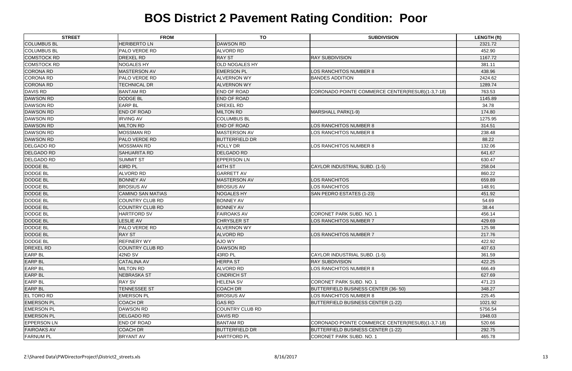| <b>STREET</b>      | <b>FROM</b>              | <b>TO</b>             | <b>SUBDIVISION</b>                               | <b>LENGTH (ft)</b> |
|--------------------|--------------------------|-----------------------|--------------------------------------------------|--------------------|
| <b>COLUMBUS BL</b> | <b>HERIBERTO LN</b>      | <b>DAWSON RD</b>      |                                                  | 2321.72            |
| <b>COLUMBUS BL</b> | <b>PALO VERDE RD</b>     | <b>ALVORD RD</b>      |                                                  | 452.90             |
| <b>COMSTOCK RD</b> | <b>DREXEL RD</b>         | <b>RAY ST</b>         | <b>RAY SUBDIVISION</b>                           | 1167.72            |
| <b>COMSTOCK RD</b> | <b>NOGALES HY</b>        | <b>OLD NOGALES HY</b> |                                                  | 381.11             |
| <b>CORONA RD</b>   | MASTERSON AV             | <b>EMERSON PL</b>     | LOS RANCHITOS NUMBER 8                           | 438.96             |
| <b>CORONA RD</b>   | <b>PALO VERDE RD</b>     | <b>ALVERNON WY</b>    | <b>BANDES ADDITION</b>                           | 2424.62            |
| <b>CORONA RD</b>   | <b>TECHNICAL DR</b>      | <b>ALVERNON WY</b>    |                                                  | 1289.74            |
| <b>DAVIS RD</b>    | <b>BANTAM RD</b>         | <b>END OF ROAD</b>    | CORONADO POINTE COMMERCE CENTER(RESUB)(1-3,7-18) | 763.53             |
| <b>DAWSON RD</b>   | <b>DODGE BL</b>          | <b>END OF ROAD</b>    |                                                  | 1145.89            |
| <b>DAWSON RD</b>   | <b>EARP BL</b>           | <b>DREXEL RD</b>      |                                                  | 34.78              |
| <b>DAWSON RD</b>   | <b>END OF ROAD</b>       | <b>MILTON RD</b>      | MARSHALL PARK(1-9)                               | 174.80             |
| <b>DAWSON RD</b>   | <b>IRVING AV</b>         | <b>COLUMBUS BL</b>    |                                                  | 1275.95            |
| <b>DAWSON RD</b>   | <b>MILTON RD</b>         | <b>END OF ROAD</b>    | <b>LOS RANCHITOS NUMBER 8</b>                    | 314.51             |
| DAWSON RD          | <b>MOSSMAN RD</b>        | <b>MASTERSON AV</b>   | LOS RANCHITOS NUMBER 8                           | 238.48             |
| <b>DAWSON RD</b>   | <b>PALO VERDE RD</b>     | <b>BUTTERFIELD DR</b> |                                                  | 88.22              |
| <b>DELGADO RD</b>  | <b>MOSSMAN RD</b>        | <b>HOLLY DR</b>       | LOS RANCHITOS NUMBER 8                           | 132.06             |
| <b>DELGADO RD</b>  | <b>SAHUARITA RD</b>      | <b>DELGADO RD</b>     |                                                  | 641.67             |
| <b>DELGADO RD</b>  | <b>SUMMIT ST</b>         | <b>EPPERSON LN</b>    |                                                  | 630.47             |
| <b>DODGE BL</b>    | 43RD PL                  | 44TH ST               | CAYLOR INDUSTRIAL SUBD. (1-5)                    | 258.04             |
| <b>DODGE BL</b>    | <b>ALVORD RD</b>         | <b>GARRETT AV</b>     |                                                  | 860.22             |
| <b>DODGE BL</b>    | <b>BONNEY AV</b>         | MASTERSON AV          | LOS RANCHITOS                                    | 659.89             |
| <b>DODGE BL</b>    | <b>BROSIUS AV</b>        | <b>BROSIUS AV</b>     | LOS RANCHITOS                                    | 148.91             |
| <b>DODGE BL</b>    | <b>CAMINO SAN MATIAS</b> | NOGALES HY            | SAN PEDRO ESTATES (1-23)                         | 451.92             |
| <b>DODGE BL</b>    | <b>COUNTRY CLUB RD</b>   | <b>BONNEY AV</b>      |                                                  | 54.69              |
| <b>DODGE BL</b>    | <b>COUNTRY CLUB RD</b>   | <b>BONNEY AV</b>      |                                                  | 38.44              |
| <b>DODGE BL</b>    | <b>HARTFORD SV</b>       | <b>FAIROAKS AV</b>    | <b>CORONET PARK SUBD. NO. 1</b>                  | 456.14             |
| <b>DODGE BL</b>    | <b>LESLIE AV</b>         | <b>CHRYSLER ST</b>    | <b>LOS RANCHITOS NUMBER 7</b>                    | 429.69             |
| <b>DODGE BL</b>    | <b>PALO VERDE RD</b>     | <b>ALVERNON WY</b>    |                                                  | 125.98             |
| <b>DODGE BL</b>    | <b>RAY ST</b>            | <b>ALVORD RD</b>      | LOS RANCHITOS NUMBER 7                           | 217.76             |
| <b>DODGE BL</b>    | <b>REFINERY WY</b>       | AJO WY                |                                                  | 422.92             |
| <b>DREXEL RD</b>   | <b>COUNTRY CLUB RD</b>   | <b>DAWSON RD</b>      |                                                  | 407.63             |
| <b>EARP BL</b>     | 42ND SV                  | 43RD PL               | CAYLOR INDUSTRIAL SUBD. (1-5)                    | 361.59             |
| <b>EARP BL</b>     | <b>CATALINA AV</b>       | <b>HERPA ST</b>       | <b>RAY SUBDIVISION</b>                           | 422.25             |
| <b>EARP BL</b>     | <b>MILTON RD</b>         | <b>ALVORD RD</b>      | LOS RANCHITOS NUMBER 8                           | 666.49             |
| <b>EARP BL</b>     | <b>NEBRASKA ST</b>       | <b>CINDRICH ST</b>    |                                                  | 627.69             |
| <b>EARP BL</b>     | <b>RAY SV</b>            | <b>HELENA SV</b>      | <b>CORONET PARK SUBD. NO. 1</b>                  | 471.23             |
| <b>EARP BL</b>     | <b>TENNESSEE ST</b>      | <b>COACH DR</b>       | BUTTERFIELD BUSINESS CENTER (36-50)              | 348.27             |
| <b>EL TORO RD</b>  | <b>EMERSON PL</b>        | <b>BROSIUS AV</b>     | LOS RANCHITOS NUMBER 8                           | 225.45             |
| <b>EMERSON PL</b>  | COACH DR                 | <b>GAS RD</b>         | <b>BUTTERFIELD BUSINESS CENTER (1-22)</b>        | 1021.92            |
| <b>EMERSON PL</b>  | <b>DAWSON RD</b>         | COUNTRY CLUB RD       |                                                  | 5756.54            |
| <b>EMERSON PL</b>  | <b>DELGADO RD</b>        | <b>DAVIS RD</b>       |                                                  | 1948.03            |
| <b>EPPERSON LN</b> | <b>END OF ROAD</b>       | <b>BANTAM RD</b>      | CORONADO POINTE COMMERCE CENTER(RESUB)(1-3,7-18) | 520.66             |
| <b>FAIROAKS AV</b> | COACH DR                 | <b>BUTTERFIELD DR</b> | BUTTERFIELD BUSINESS CENTER (1-22)               | 292.75             |
| <b>FARNUM PL</b>   | <b>BRYANT AV</b>         | <b>HARTFORD PL</b>    | <b>CORONET PARK SUBD. NO. 1</b>                  | 465.78             |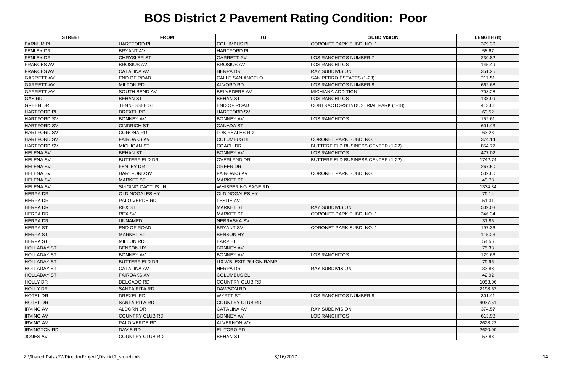| <b>STREET</b>       | <b>FROM</b>              | <b>TO</b>               | <b>SUBDIVISION</b>                         | <b>LENGTH (ft)</b> |
|---------------------|--------------------------|-------------------------|--------------------------------------------|--------------------|
| <b>FARNUM PL</b>    | <b>HARTFORD PL</b>       | <b>COLUMBUS BL</b>      | <b>CORONET PARK SUBD. NO. 1</b>            | 379.30             |
| <b>FENLEY DR</b>    | <b>BRYANT AV</b>         | <b>HARTFORD PL</b>      |                                            | 58.67              |
| <b>FENLEY DR</b>    | <b>CHRYSLER ST</b>       | <b>GARRETT AV</b>       | LOS RANCHITOS NUMBER 7                     | 230.82             |
| <b>FRANCES AV</b>   | <b>BROSIUS AV</b>        | <b>BROSIUS AV</b>       | LOS RANCHITOS                              | 145.49             |
| <b>FRANCES AV</b>   | <b>CATALINA AV</b>       | <b>HERPA DR</b>         | <b>RAY SUBDIVISION</b>                     | 351.25             |
| <b>GARRETT AV</b>   | END OF ROAD              | <b>CALLE SAN ANGELO</b> | SAN PEDRO ESTATES (1-23)                   | 217.51             |
| <b>GARRETT AV</b>   | <b>MILTON RD</b>         | <b>ALVORD RD</b>        | LOS RANCHITOS NUMBER 8                     | 662.68             |
| <b>GARRETT AV</b>   | <b>SOUTH BEND AV</b>     | <b>BELVEDERE AV</b>     | <b>MICHIANA ADDITION</b>                   | 708.28             |
| <b>GAS RD</b>       | <b>BEHAN ST</b>          | <b>BEHAN ST</b>         | LOS RANCHITOS                              | 138.99             |
| <b>GREEN DR</b>     | <b>TENNESSEE ST</b>      | <b>END OF ROAD</b>      | <b>CONTRACTORS' INDUSTRIAL PARK (1-18)</b> | 413.81             |
| <b>HARTFORD PL</b>  | DREXEL RD                | <b>HARTFORD SV</b>      |                                            | 63.52              |
| <b>HARTFORD SV</b>  | <b>BONNEY AV</b>         | <b>BONNEY AV</b>        | LOS RANCHITOS                              | 152.61             |
| <b>HARTFORD SV</b>  | <b>CINDRICH ST</b>       | <b>CANADA ST</b>        |                                            | 601.43             |
| <b>HARTFORD SV</b>  | <b>CORONA RD</b>         | LOS REALES RD           |                                            | 63.23              |
| <b>HARTFORD SV</b>  | <b>FAIROAKS AV</b>       | <b>COLUMBUS BL</b>      | <b>CORONET PARK SUBD. NO. 1</b>            | 374.14             |
| <b>HARTFORD SV</b>  | <b>MICHIGAN ST</b>       | <b>COACH DR</b>         | <b>BUTTERFIELD BUSINESS CENTER (1-22)</b>  | 854.77             |
| <b>HELENA SV</b>    | <b>BEHAN ST</b>          | <b>BONNEY AV</b>        | LOS RANCHITOS                              | 477.02             |
| <b>HELENA SV</b>    | <b>BUTTERFIELD DR</b>    | <b>OVERLAND DR</b>      | <b>BUTTERFIELD BUSINESS CENTER (1-22)</b>  | 1742.74            |
| <b>HELENA SV</b>    | <b>FENLEY DR</b>         | <b>GREEN DR</b>         |                                            | 267.50             |
| <b>HELENA SV</b>    | <b>HARTFORD SV</b>       | <b>FAIROAKS AV</b>      | <b>CORONET PARK SUBD. NO. 1</b>            | 502.80             |
| <b>HELENA SV</b>    | <b>MARKET ST</b>         | <b>MARKET ST</b>        |                                            | 49.78              |
| <b>HELENA SV</b>    | <b>SINGING CACTUS LN</b> | WHISPERING SAGE RD      |                                            | 1334.34            |
| <b>HERPA DR</b>     | <b>OLD NOGALES HY</b>    | OLD NOGALES HY          |                                            | 79.14              |
| <b>HERPA DR</b>     | PALO VERDE RD            | <b>LESLIE AV</b>        |                                            | 51.31              |
| <b>HERPA DR</b>     | <b>REX ST</b>            | <b>MARKET ST</b>        | <b>RAY SUBDIVISION</b>                     | 509.03             |
| <b>HERPA DR</b>     | <b>REX SV</b>            | <b>MARKET ST</b>        | CORONET PARK SUBD. NO. 1                   | 346.34             |
| <b>HERPA DR</b>     | <b>UNNAMED</b>           | NEBRASKA SV             |                                            | 31.86              |
| <b>HERPA ST</b>     | <b>END OF ROAD</b>       | <b>BRYANT SV</b>        | CORONET PARK SUBD. NO. 1                   | 197.36             |
| <b>HERPA ST</b>     | <b>MARKET ST</b>         | <b>BENSON HY</b>        |                                            | 115.23             |
| <b>HERPA ST</b>     | <b>MILTON RD</b>         | <b>EARP BL</b>          |                                            | 54.56              |
| <b>HOLLADAY ST</b>  | <b>BENSON HY</b>         | <b>BONNEY AV</b>        |                                            | 75.38              |
| <b>HOLLADAY ST</b>  | <b>BONNEY AV</b>         | <b>BONNEY AV</b>        | LOS RANCHITOS                              | 129.66             |
| <b>HOLLADAY ST</b>  | <b>BUTTERFIELD DR</b>    | 110 WB EXIT 264 ON RAMP |                                            | 79.96              |
| <b>HOLLADAY ST</b>  | <b>CATALINA AV</b>       | <b>HERPA DR</b>         | <b>RAY SUBDIVISION</b>                     | 33.88              |
| <b>HOLLADAY ST</b>  | <b>FAIROAKS AV</b>       | <b>COLUMBUS BL</b>      |                                            | 42.92              |
| <b>HOLLY DR</b>     | <b>DELGADO RD</b>        | <b>COUNTRY CLUB RD</b>  |                                            | 1053.06            |
| <b>HOLLY DR</b>     | <b>SANTA RITA RD</b>     | <b>DAWSON RD</b>        |                                            | 2198.62            |
| <b>HOTEL DR</b>     | <b>DREXEL RD</b>         | <b>WYATT ST</b>         | LOS RANCHITOS NUMBER 8                     | 301.41             |
| <b>HOTEL DR</b>     | <b>SANTA RITA RD</b>     | <b>COUNTRY CLUB RD</b>  |                                            | 4037.51            |
| <b>IRVING AV</b>    | ALDORN DR                | <b>CATALINA AV</b>      | <b>RAY SUBDIVISION</b>                     | 374.57             |
| <b>IRVING AV</b>    | <b>COUNTRY CLUB RD</b>   | <b>BONNEY AV</b>        | LOS RANCHITOS                              | 613.98             |
| <b>IRVING AV</b>    | PALO VERDE RD            | <b>ALVERNON WY</b>      |                                            | 2628.23            |
| <b>IRVINGTON RD</b> | <b>DAVIS RD</b>          | EL TORO RD              |                                            | 2620.00            |
| JONES AV            | <b>COUNTRY CLUB RD</b>   | <b>BEHAN ST</b>         |                                            | 57.83              |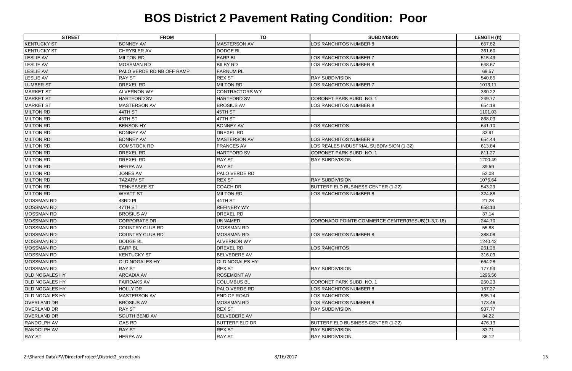| <b>STREET</b>         | <b>FROM</b>               | <b>TO</b>             | <b>SUBDIVISION</b>                               | <b>LENGTH (ft)</b> |
|-----------------------|---------------------------|-----------------------|--------------------------------------------------|--------------------|
| <b>KENTUCKY ST</b>    | <b>BONNEY AV</b>          | <b>MASTERSON AV</b>   | LOS RANCHITOS NUMBER 8                           | 657.82             |
| <b>KENTUCKY ST</b>    | CHRYSLER AV               | <b>DODGE BL</b>       |                                                  | 361.60             |
| <b>LESLIE AV</b>      | <b>MILTON RD</b>          | <b>EARP BL</b>        | LOS RANCHITOS NUMBER 7                           | 515.43             |
| <b>LESLIE AV</b>      | <b>MOSSMAN RD</b>         | <b>BILBY RD</b>       | <b>LOS RANCHITOS NUMBER 8</b>                    | 648.67             |
| <b>LESLIE AV</b>      | PALO VERDE RD NB OFF RAMP | <b>FARNUM PL</b>      |                                                  | 69.57              |
| <b>LESLIE AV</b>      | <b>RAY ST</b>             | <b>REX ST</b>         | <b>RAY SUBDIVISION</b>                           | 540.85             |
| <b>LUMBER ST</b>      | <b>DREXEL RD</b>          | <b>MILTON RD</b>      | LOS RANCHITOS NUMBER 7                           | 1013.11            |
| <b>MARKET ST</b>      | <b>ALVERNON WY</b>        | <b>CONTRACTORS WY</b> |                                                  | 330.22             |
| <b>MARKET ST</b>      | <b>HARTFORD SV</b>        | <b>HARTFORD SV</b>    | CORONET PARK SUBD. NO. 1                         | 249.77             |
| <b>MARKET ST</b>      | <b>MASTERSON AV</b>       | <b>BROSIUS AV</b>     | LOS RANCHITOS NUMBER 8                           | 654.19             |
| <b>MILTON RD</b>      | 44TH ST                   | 45TH ST               |                                                  | 1101.03            |
| <b>MILTON RD</b>      | 45TH ST                   | 47TH ST               |                                                  | 868.03             |
| <b>MILTON RD</b>      | <b>BENSON HY</b>          | <b>BONNEY AV</b>      | <b>LOS RANCHITOS</b>                             | 641.10             |
| <b>MILTON RD</b>      | <b>BONNEY AV</b>          | <b>DREXEL RD</b>      |                                                  | 33.91              |
| <b>MILTON RD</b>      | <b>BONNEY AV</b>          | <b>MASTERSON AV</b>   | LOS RANCHITOS NUMBER 8                           | 654.44             |
| <b>MILTON RD</b>      | <b>COMSTOCK RD</b>        | <b>FRANCES AV</b>     | LOS REALES INDUSTRIAL SUBDIVISION (1-32)         | 613.84             |
| <b>MILTON RD</b>      | <b>DREXEL RD</b>          | <b>HARTFORD SV</b>    | CORONET PARK SUBD. NO. 1                         | 811.27             |
| <b>MILTON RD</b>      | <b>DREXEL RD</b>          | <b>RAY ST</b>         | <b>RAY SUBDIVISION</b>                           | 1200.49            |
| <b>MILTON RD</b>      | <b>HERPA AV</b>           | <b>RAY ST</b>         |                                                  | 39.59              |
| <b>MILTON RD</b>      | <b>JONES AV</b>           | <b>PALO VERDE RD</b>  |                                                  | 52.08              |
| <b>MILTON RD</b>      | <b>TAZARV ST</b>          | <b>REX ST</b>         | <b>RAY SUBDIVISION</b>                           | 1076.64            |
| <b>MILTON RD</b>      | TENNESSEE ST              | <b>COACH DR</b>       | <b>BUTTERFIELD BUSINESS CENTER (1-22)</b>        | 543.29             |
| <b>MILTON RD</b>      | <b>WYATT ST</b>           | <b>MILTON RD</b>      | LOS RANCHITOS NUMBER 8                           | 324.88             |
| <b>MOSSMAN RD</b>     | 43RD PL                   | 44TH ST               |                                                  | 21.28              |
| <b>MOSSMAN RD</b>     | 47TH ST                   | <b>REFINERY WY</b>    |                                                  | 658.13             |
| <b>MOSSMAN RD</b>     | <b>BROSIUS AV</b>         | <b>DREXEL RD</b>      |                                                  | 37.14              |
| <b>MOSSMAN RD</b>     | <b>CORPORATE DR</b>       | <b>UNNAMED</b>        | CORONADO POINTE COMMERCE CENTER(RESUB)(1-3,7-18) | 244.70             |
| <b>MOSSMAN RD</b>     | <b>COUNTRY CLUB RD</b>    | <b>MOSSMAN RD</b>     |                                                  | 55.88              |
| <b>MOSSMAN RD</b>     | <b>COUNTRY CLUB RD</b>    | <b>MOSSMAN RD</b>     | <b>LOS RANCHITOS NUMBER 8</b>                    | 388.08             |
| <b>MOSSMAN RD</b>     | <b>DODGE BL</b>           | <b>ALVERNON WY</b>    |                                                  | 1240.42            |
| <b>MOSSMAN RD</b>     | <b>EARP BL</b>            | <b>DREXEL RD</b>      | <b>LOS RANCHITOS</b>                             | 261.28             |
| <b>MOSSMAN RD</b>     | <b>KENTUCKY ST</b>        | <b>BELVEDERE AV</b>   |                                                  | 316.09             |
| <b>MOSSMAN RD</b>     | OLD NOGALES HY            | <b>OLD NOGALES HY</b> |                                                  | 664.28             |
| <b>MOSSMAN RD</b>     | <b>RAY ST</b>             | <b>REX ST</b>         | <b>RAY SUBDIVISION</b>                           | 177.93             |
| <b>OLD NOGALES HY</b> | <b>ARCADIA AV</b>         | <b>ROSEMONT AV</b>    |                                                  | 1296.56            |
| <b>OLD NOGALES HY</b> | <b>FAIROAKS AV</b>        | <b>COLUMBUS BL</b>    | <b>CORONET PARK SUBD. NO. 1</b>                  | 250.23             |
| <b>OLD NOGALES HY</b> | <b>HOLLY DR</b>           | <b>PALO VERDE RD</b>  | LOS RANCHITOS NUMBER 8                           | 157.27             |
| <b>OLD NOGALES HY</b> | MASTERSON AV              | <b>END OF ROAD</b>    | LOS RANCHITOS                                    | 535.74             |
| <b>OVERLAND DR</b>    | <b>BROSIUS AV</b>         | <b>MOSSMAN RD</b>     | LOS RANCHITOS NUMBER 8                           | 173.46             |
| <b>OVERLAND DR</b>    | <b>RAY ST</b>             | <b>REX ST</b>         | <b>RAY SUBDIVISION</b>                           | 937.77             |
| <b>OVERLAND DR</b>    | <b>SOUTH BEND AV</b>      | <b>BELVEDERE AV</b>   |                                                  | 34.22              |
| <b>RANDOLPH AV</b>    | <b>GAS RD</b>             | <b>BUTTERFIELD DR</b> | <b>BUTTERFIELD BUSINESS CENTER (1-22)</b>        | 476.13             |
| <b>RANDOLPH AV</b>    | <b>RAY ST</b>             | <b>REX ST</b>         | <b>RAY SUBDIVISION</b>                           | 33.71              |
| <b>RAY ST</b>         | <b>HERPA AV</b>           | <b>RAY ST</b>         | <b>RAY SUBDIVISION</b>                           | 36.12              |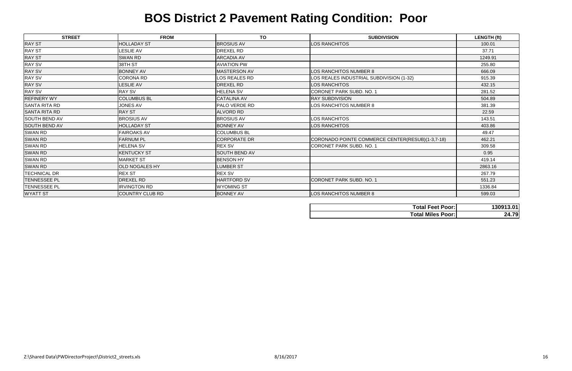| <b>STREET</b>        | <b>FROM</b>            | <b>TO</b>            | <b>SUBDIVISION</b>                               | <b>LENGTH (ft)</b> |
|----------------------|------------------------|----------------------|--------------------------------------------------|--------------------|
| <b>RAY ST</b>        | <b>HOLLADAY ST</b>     | <b>BROSIUS AV</b>    | <b>LOS RANCHITOS</b>                             | 100.01             |
| <b>RAY ST</b>        | <b>LESLIE AV</b>       | <b>DREXEL RD</b>     |                                                  | 37.71              |
| <b>RAY ST</b>        | <b>SWAN RD</b>         | <b>ARCADIA AV</b>    |                                                  | 1249.91            |
| <b>RAY SV</b>        | 38TH ST                | <b>AVIATION PW</b>   |                                                  | 255.80             |
| <b>RAY SV</b>        | <b>BONNEY AV</b>       | MASTERSON AV         | LOS RANCHITOS NUMBER 8                           | 666.09             |
| <b>RAY SV</b>        | <b>CORONA RD</b>       | <b>LOS REALES RD</b> | LOS REALES INDUSTRIAL SUBDIVISION (1-32)         | 915.39             |
| <b>RAY SV</b>        | <b>LESLIE AV</b>       | <b>DREXEL RD</b>     | LOS RANCHITOS                                    | 432.15             |
| <b>RAY SV</b>        | <b>RAY SV</b>          | <b>HELENA SV</b>     | <b>CORONET PARK SUBD. NO. 1</b>                  | 281.52             |
| <b>REFINERY WY</b>   | <b>COLUMBUS BL</b>     | <b>CATALINA AV</b>   | <b>RAY SUBDIVISION</b>                           | 504.89             |
| <b>SANTA RITA RD</b> | <b>JONES AV</b>        | <b>PALO VERDE RD</b> | LOS RANCHITOS NUMBER 8                           | 381.39             |
| SANTA RITA RD        | <b>RAY ST</b>          | <b>ALVORD RD</b>     |                                                  | 22.59              |
| SOUTH BEND AV        | <b>BROSIUS AV</b>      | <b>BROSIUS AV</b>    | LOS RANCHITOS                                    | 143.51             |
| <b>SOUTH BEND AV</b> | <b>HOLLADAY ST</b>     | <b>BONNEY AV</b>     | LOS RANCHITOS                                    | 403.86             |
| SWAN RD              | <b>FAIROAKS AV</b>     | <b>COLUMBUS BL</b>   |                                                  | 49.47              |
| <b>SWAN RD</b>       | <b>FARNUM PL</b>       | <b>CORPORATE DR</b>  | CORONADO POINTE COMMERCE CENTER(RESUB)(1-3,7-18) | 462.21             |
| SWAN RD              | <b>HELENA SV</b>       | <b>REX SV</b>        | <b>CORONET PARK SUBD. NO. 1</b>                  | 309.58             |
| <b>SWAN RD</b>       | <b>KENTUCKY ST</b>     | <b>SOUTH BEND AV</b> |                                                  | 0.95               |
| <b>SWAN RD</b>       | <b>MARKET ST</b>       | <b>BENSON HY</b>     |                                                  | 419.14             |
| <b>SWAN RD</b>       | <b>OLD NOGALES HY</b>  | <b>LUMBER ST</b>     |                                                  | 2863.16            |
| <b>TECHNICAL DR</b>  | <b>REX ST</b>          | <b>REX SV</b>        |                                                  | 267.79             |
| <b>TENNESSEE PL</b>  | <b>DREXEL RD</b>       | <b>HARTFORD SV</b>   | <b>CORONET PARK SUBD. NO. 1</b>                  | 551.23             |
| <b>TENNESSEE PL</b>  | <b>IRVINGTON RD</b>    | <b>WYOMING ST</b>    |                                                  | 1336.84            |
| <b>WYATT ST</b>      | <b>COUNTRY CLUB RD</b> | <b>BONNEY AV</b>     | <b>LOS RANCHITOS NUMBER 8</b>                    | 599.03             |

| Tota         |
|--------------|
| <b>Total</b> |

| <b>Total Feet Poor:</b>  | 130913.01 |
|--------------------------|-----------|
| <b>Total Miles Poor:</b> | 24.79     |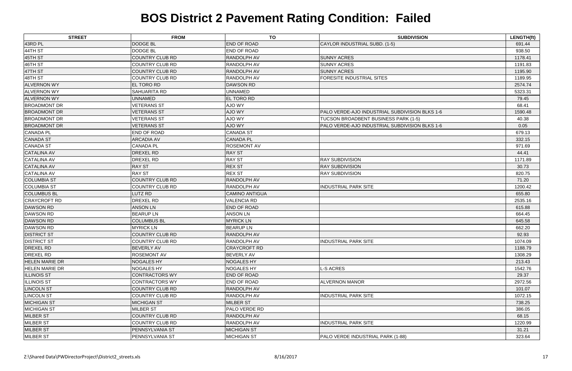| <b>STREET</b>         | <b>FROM</b>            | <b>TO</b>             | <b>SUBDIVISION</b>                             | LENGTH(ft) |
|-----------------------|------------------------|-----------------------|------------------------------------------------|------------|
| 43RD PL               | <b>DODGE BL</b>        | <b>END OF ROAD</b>    | CAYLOR INDUSTRIAL SUBD. (1-5)                  | 691.44     |
| 44TH ST               | <b>DODGE BL</b>        | <b>END OF ROAD</b>    |                                                | 938.50     |
| 45TH ST               | <b>COUNTRY CLUB RD</b> | <b>RANDOLPH AV</b>    | <b>SUNNY ACRES</b>                             | 1178.41    |
| 46TH ST               | <b>COUNTRY CLUB RD</b> | RANDOLPH AV           | <b>SUNNY ACRES</b>                             | 1191.83    |
| 47TH ST               | <b>COUNTRY CLUB RD</b> | <b>RANDOLPH AV</b>    | <b>SUNNY ACRES</b>                             | 1195.90    |
| 48TH ST               | <b>COUNTRY CLUB RD</b> | RANDOLPH AV           | <b>FORESITE INDUSTRIAL SITES</b>               | 1189.95    |
| <b>ALVERNON WY</b>    | <b>EL TORO RD</b>      | <b>DAWSON RD</b>      |                                                | 2574.74    |
| <b>ALVERNON WY</b>    | <b>SAHUARITA RD</b>    | <b>UNNAMED</b>        |                                                | 5323.31    |
| <b>ALVERNON WY</b>    | <b>UNNAMED</b>         | <b>EL TORO RD</b>     |                                                | 79.45      |
| <b>BROADMONT DR</b>   | <b>VETERANS ST</b>     | AJO WY                |                                                | 68.41      |
| <b>BROADMONT DR</b>   | <b>VETERANS ST</b>     | AJO WY                | PALO VERDE-AJO INDUSTRIAL SUBDIVISION BLKS 1-6 | 1590.48    |
| <b>BROADMONT DR</b>   | <b>VETERANS ST</b>     | AJO WY                | TUCSON BROADBENT BUSINESS PARK (1-5)           | 40.38      |
| <b>BROADMONT DR</b>   | <b>VETERANS ST</b>     | AJO WY                | PALO VERDE-AJO INDUSTRIAL SUBDIVISION BLKS 1-6 | 0.05       |
| <b>CANADA PL</b>      | END OF ROAD            | <b>CANADA ST</b>      |                                                | 679.13     |
| <b>CANADA ST</b>      | <b>ARCADIA AV</b>      | <b>CANADA PL</b>      |                                                | 332.15     |
| <b>CANADA ST</b>      | <b>CANADA PL</b>       | <b>ROSEMONT AV</b>    |                                                | 971.69     |
| <b>CATALINA AV</b>    | <b>DREXEL RD</b>       | <b>RAY ST</b>         |                                                | 44.41      |
| <b>CATALINA AV</b>    | DREXEL RD              | <b>RAY ST</b>         | <b>RAY SUBDIVISION</b>                         | 1171.89    |
| <b>CATALINA AV</b>    | <b>RAY ST</b>          | <b>REX ST</b>         | <b>RAY SUBDIVISION</b>                         | 30.73      |
| <b>CATALINA AV</b>    | <b>RAY ST</b>          | <b>REX ST</b>         | <b>RAY SUBDIVISION</b>                         | 820.75     |
| <b>COLUMBIA ST</b>    | <b>COUNTRY CLUB RD</b> | <b>RANDOLPH AV</b>    |                                                | 71.20      |
| <b>COLUMBIA ST</b>    | <b>COUNTRY CLUB RD</b> | <b>RANDOLPH AV</b>    | <b>INDUSTRIAL PARK SITE</b>                    | 1200.42    |
| <b>COLUMBUS BL</b>    | LUTZ RD                | <b>CAMINO ANTIGUA</b> |                                                | 655.80     |
| <b>CRAYCROFT RD</b>   | <b>DREXEL RD</b>       | <b>VALENCIA RD</b>    |                                                | 2535.16    |
| <b>DAWSON RD</b>      | <b>ANSON LN</b>        | <b>END OF ROAD</b>    |                                                | 615.88     |
| <b>DAWSON RD</b>      | <b>BEARUPLN</b>        | <b>ANSON LN</b>       |                                                | 664.45     |
| <b>DAWSON RD</b>      | <b>COLUMBUS BL</b>     | <b>MYRICK LN</b>      |                                                | 645.58     |
| <b>DAWSON RD</b>      | <b>MYRICK LN</b>       | <b>BEARUPLN</b>       |                                                | 662.20     |
| <b>DISTRICT ST</b>    | <b>COUNTRY CLUB RD</b> | <b>RANDOLPH AV</b>    |                                                | 92.93      |
| <b>DISTRICT ST</b>    | <b>COUNTRY CLUB RD</b> | <b>RANDOLPH AV</b>    | <b>INDUSTRIAL PARK SITE</b>                    | 1074.09    |
| <b>DREXEL RD</b>      | <b>BEVERLY AV</b>      | <b>CRAYCROFT RD</b>   |                                                | 1188.79    |
| DREXEL RD             | <b>ROSEMONT AV</b>     | <b>BEVERLY AV</b>     |                                                | 1308.29    |
| <b>HELEN MARIE DR</b> | <b>NOGALES HY</b>      | <b>NOGALES HY</b>     |                                                | 213.43     |
| <b>HELEN MARIE DR</b> | <b>NOGALES HY</b>      | <b>NOGALES HY</b>     | -S ACRES                                       | 1542.76    |
| <b>ILLINOIS ST</b>    | <b>CONTRACTORS WY</b>  | END OF ROAD           |                                                | 29.37      |
| <b>ILLINOIS ST</b>    | <b>CONTRACTORS WY</b>  | <b>END OF ROAD</b>    | <b>ALVERNON MANOR</b>                          | 2972.56    |
| <b>LINCOLN ST</b>     | <b>COUNTRY CLUB RD</b> | RANDOLPH AV           |                                                | 101.07     |
| <b>LINCOLN ST</b>     | <b>COUNTRY CLUB RD</b> | RANDOLPH AV           | <b>INDUSTRIAL PARK SITE</b>                    | 1072.15    |
| <b>MICHIGAN ST</b>    | <b>MICHIGAN ST</b>     | <b>MILBER ST</b>      |                                                | 738.25     |
| <b>MICHIGAN ST</b>    | <b>MILBER ST</b>       | PALO VERDE RD         |                                                | 386.05     |
| <b>MILBER ST</b>      | <b>COUNTRY CLUB RD</b> | <b>RANDOLPH AV</b>    |                                                | 68.15      |
| <b>MILBER ST</b>      | <b>COUNTRY CLUB RD</b> | RANDOLPH AV           | <b>INDUSTRIAL PARK SITE</b>                    | 1220.99    |
| <b>MILBER ST</b>      | PENNSYLVANIA ST        | <b>MICHIGAN ST</b>    |                                                | 31.21      |
| <b>MILBER ST</b>      | PENNSYLVANIA ST        | <b>MICHIGAN ST</b>    | PALO VERDE INDUSTRIAL PARK (1-88)              | 323.64     |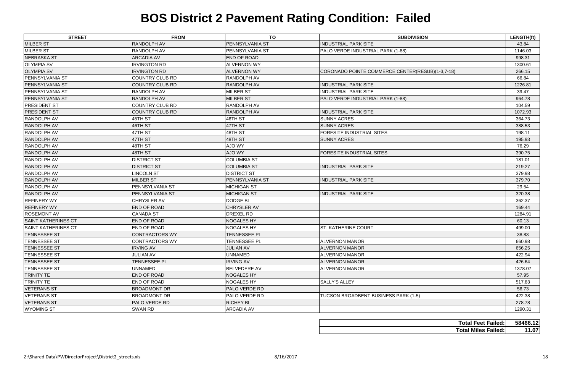| <b>STREET</b>              | <b>FROM</b>            | <b>TO</b>              | <b>SUBDIVISION</b>                               | LENGTH(ft)                            |
|----------------------------|------------------------|------------------------|--------------------------------------------------|---------------------------------------|
| <b>MILBER ST</b>           | RANDOLPH AV            | <b>PENNSYLVANIA ST</b> | <b>INDUSTRIAL PARK SITE</b>                      | 43.84                                 |
| <b>MILBER ST</b>           | RANDOLPH AV            | PENNSYLVANIA ST        | PALO VERDE INDUSTRIAL PARK (1-88)                | 1146.03                               |
| <b>NEBRASKA ST</b>         | <b>ARCADIA AV</b>      | <b>END OF ROAD</b>     |                                                  | 998.31                                |
| <b>OLYMPIA SV</b>          | <b>IRVINGTON RD</b>    | <b>ALVERNON WY</b>     |                                                  | 1300.61                               |
| <b>OLYMPIA SV</b>          | <b>IRVINGTON RD</b>    | <b>ALVERNON WY</b>     | CORONADO POINTE COMMERCE CENTER(RESUB)(1-3,7-18) | 266.15                                |
| <b>PENNSYLVANIA ST</b>     | COUNTRY CLUB RD        | RANDOLPH AV            |                                                  | 66.84                                 |
| PENNSYLVANIA ST            | <b>COUNTRY CLUB RD</b> | <b>RANDOLPH AV</b>     | <b>INDUSTRIAL PARK SITE</b>                      | 1226.81                               |
| <b>PENNSYLVANIA ST</b>     | RANDOLPH AV            | <b>MILBER ST</b>       | <b>INDUSTRIAL PARK SITE</b>                      | 39.47                                 |
| <b>PENNSYLVANIA ST</b>     | RANDOLPH AV            | <b>MILBER ST</b>       | PALO VERDE INDUSTRIAL PARK (1-88)                | 964.78                                |
| <b>PRESIDENT ST</b>        | <b>COUNTRY CLUB RD</b> | <b>RANDOLPH AV</b>     |                                                  | 104.59                                |
| <b>PRESIDENT ST</b>        | <b>COUNTRY CLUB RD</b> | <b>RANDOLPH AV</b>     | <b>INDUSTRIAL PARK SITE</b>                      | 1072.93                               |
| <b>RANDOLPH AV</b>         | 45TH ST                | 46TH ST                | <b>SUNNY ACRES</b>                               | 364.73                                |
| RANDOLPH AV                | 46TH ST                | 47TH ST                | <b>SUNNY ACRES</b>                               | 388.53                                |
| RANDOLPH AV                | 47TH ST                | 48TH ST                | <b>FORESITE INDUSTRIAL SITES</b>                 | 198.11                                |
| RANDOLPH AV                | 47TH ST                | 48TH ST                | <b>SUNNY ACRES</b>                               | 195.93                                |
| <b>RANDOLPH AV</b>         | 48TH ST                | AJO WY                 |                                                  | 76.29                                 |
| RANDOLPH AV                | 48TH ST                | <b>AJO WY</b>          | <b>FORESITE INDUSTRIAL SITES</b>                 | 390.75                                |
| RANDOLPH AV                | <b>DISTRICT ST</b>     | <b>COLUMBIA ST</b>     |                                                  | 181.01                                |
| <b>RANDOLPH AV</b>         | <b>DISTRICT ST</b>     | <b>COLUMBIA ST</b>     | <b>INDUSTRIAL PARK SITE</b>                      | 219.27                                |
| RANDOLPH AV                | <b>LINCOLN ST</b>      | <b>DISTRICT ST</b>     |                                                  | 379.98                                |
| <b>RANDOLPH AV</b>         | <b>MILBER ST</b>       | <b>PENNSYLVANIA ST</b> | <b>INDUSTRIAL PARK SITE</b>                      | 379.70                                |
| <b>RANDOLPH AV</b>         | PENNSYLVANIA ST        | MICHIGAN ST            |                                                  | 29.54                                 |
| <b>RANDOLPH AV</b>         | PENNSYLVANIA ST        | MICHIGAN ST            | <b>INDUSTRIAL PARK SITE</b>                      | 320.38                                |
| <b>REFINERY WY</b>         | CHRYSLER AV            | <b>DODGE BL</b>        |                                                  | 362.37                                |
| <b>REFINERY WY</b>         | <b>END OF ROAD</b>     | CHRYSLER AV            |                                                  | 169.44                                |
| <b>ROSEMONT AV</b>         | <b>CANADA ST</b>       | <b>DREXEL RD</b>       |                                                  | 1284.91                               |
| <b>SAINT KATHERINES CT</b> | <b>END OF ROAD</b>     | <b>NOGALES HY</b>      |                                                  | 60.13                                 |
| SAINT KATHERINES CT        | END OF ROAD            | <b>NOGALES HY</b>      | <b>ST. KATHERINE COURT</b>                       | 499.00                                |
| <b>TENNESSEE ST</b>        | <b>CONTRACTORS WY</b>  | TENNESSEE PL           |                                                  | 38.83                                 |
| <b>TENNESSEE ST</b>        | <b>CONTRACTORS WY</b>  | TENNESSEE PL           | <b>ALVERNON MANOR</b>                            | 660.98                                |
| <b>TENNESSEE ST</b>        | <b>IRVING AV</b>       | <b>JULIAN AV</b>       | <b>ALVERNON MANOR</b>                            | 656.25                                |
| <b>TENNESSEE ST</b>        | <b>JULIAN AV</b>       | <b>UNNAMED</b>         | <b>ALVERNON MANOR</b>                            | 422.94                                |
| <b>TENNESSEE ST</b>        | <b>TENNESSEE PL</b>    | <b>IRVING AV</b>       | <b>ALVERNON MANOR</b>                            | 426.64                                |
| <b>TENNESSEE ST</b>        | <b>UNNAMED</b>         | <b>BELVEDERE AV</b>    | <b>ALVERNON MANOR</b>                            | 1378.07                               |
| <b>TRINITY TE</b>          | <b>END OF ROAD</b>     | <b>NOGALES HY</b>      |                                                  | 57.95                                 |
| TRINITY TE                 | END OF ROAD            | <b>NOGALES HY</b>      | <b>SALLY'S ALLEY</b>                             | 517.83                                |
| <b>VETERANS ST</b>         | <b>BROADMONT DR</b>    | <b>PALO VERDE RD</b>   |                                                  | 56.73                                 |
| <b>VETERANS ST</b>         | <b>BROADMONT DR</b>    | <b>PALO VERDE RD</b>   | TUCSON BROADBENT BUSINESS PARK (1-5)             | 422.38                                |
| <b>VETERANS ST</b>         | PALO VERDE RD          | <b>RICHEY BL</b>       |                                                  | 278.78                                |
| <b>WYOMING ST</b>          | <b>SWAN RD</b>         | <b>ARCADIA AV</b>      |                                                  | 1290.31                               |
|                            |                        |                        |                                                  |                                       |
|                            |                        |                        |                                                  | 58466.12<br><b>Total Feet Failed:</b> |
|                            |                        |                        | <b>Total Miles Failed:</b>                       | 11.07                                 |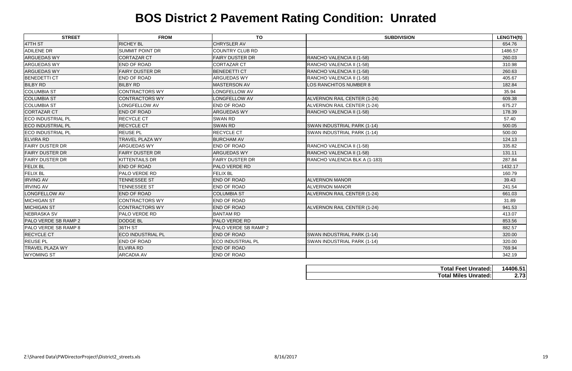| <b>STREET</b>            | <b>FROM</b>              | <b>TO</b>                | <b>SUBDIVISION</b>                 | LENGTH(ft) |
|--------------------------|--------------------------|--------------------------|------------------------------------|------------|
| 47TH ST                  | <b>RICHEY BL</b>         | <b>CHRYSLER AV</b>       |                                    | 654.76     |
| <b>ADILENE DR</b>        | <b>SUMMIT POINT DR</b>   | <b>COUNTRY CLUB RD</b>   |                                    | 1486.57    |
| <b>ARGUEDAS WY</b>       | <b>CORTAZAR CT</b>       | <b>FAIRY DUSTER DR</b>   | RANCHO VALENCIA II (1-58)          | 260.03     |
| <b>ARGUEDAS WY</b>       | <b>END OF ROAD</b>       | <b>CORTAZAR CT</b>       | RANCHO VALENCIA II (1-58)          | 310.98     |
| <b>ARGUEDAS WY</b>       | <b>FAIRY DUSTER DR</b>   | <b>BENEDETTI CT</b>      | RANCHO VALENCIA II (1-58)          | 260.63     |
| <b>BENEDETTI CT</b>      | <b>END OF ROAD</b>       | <b>ARGUEDAS WY</b>       | RANCHO VALENCIA II (1-58)          | 405.67     |
| <b>BILBY RD</b>          | <b>BILBY RD</b>          | <b>MASTERSON AV</b>      | LOS RANCHITOS NUMBER 8             | 182.84     |
| <b>COLUMBIA ST</b>       | <b>CONTRACTORS WY</b>    | LONGFELLOW AV            |                                    | 35.94      |
| <b>COLUMBIA ST</b>       | <b>CONTRACTORS WY</b>    | LONGFELLOW AV            | ALVERNON RAIL CENTER (1-24)        | 609.38     |
| <b>COLUMBIA ST</b>       | LONGFELLOW AV            | <b>END OF ROAD</b>       | ALVERNON RAIL CENTER (1-24)        | 675.27     |
| <b>CORTAZAR CT</b>       | <b>END OF ROAD</b>       | <b>ARGUEDAS WY</b>       | RANCHO VALENCIA II (1-58)          | 178.39     |
| <b>ECO INDUSTRIAL PL</b> | <b>RECYCLE CT</b>        | <b>SWAN RD</b>           |                                    | 57.40      |
| <b>ECO INDUSTRIAL PL</b> | <b>RECYCLE CT</b>        | <b>SWAN RD</b>           | SWAN INDUSTRIAL PARK (1-14)        | 500.05     |
| <b>ECO INDUSTRIAL PL</b> | <b>REUSE PL</b>          | RECYCLE CT               | SWAN INDUSTRIAL PARK (1-14)        | 500.00     |
| <b>ELVIRA RD</b>         | TRAVEL PLAZA WY          | <b>BURCHAM AV</b>        |                                    | 124.13     |
| <b>FAIRY DUSTER DR</b>   | <b>ARGUEDAS WY</b>       | <b>END OF ROAD</b>       | RANCHO VALENCIA II (1-58)          | 335.82     |
| <b>FAIRY DUSTER DR</b>   | <b>FAIRY DUSTER DR</b>   | ARGUEDAS WY              | RANCHO VALENCIA II (1-58)          | 131.11     |
| <b>FAIRY DUSTER DR</b>   | <b>KITTENTAILS DR</b>    | <b>FAIRY DUSTER DR</b>   | RANCHO VALENCIA BLK A (1-183)      | 287.84     |
| <b>FELIX BL</b>          | <b>END OF ROAD</b>       | PALO VERDE RD            |                                    | 1432.17    |
| <b>FELIX BL</b>          | <b>PALO VERDE RD</b>     | <b>FELIX BL</b>          |                                    | 160.79     |
| <b>IRVING AV</b>         | <b>TENNESSEE ST</b>      | <b>END OF ROAD</b>       | <b>ALVERNON MANOR</b>              | 39.43      |
| <b>IRVING AV</b>         | <b>TENNESSEE ST</b>      | END OF ROAD              | <b>ALVERNON MANOR</b>              | 241.54     |
| LONGFELLOW AV            | <b>END OF ROAD</b>       | <b>COLUMBIA ST</b>       | <b>ALVERNON RAIL CENTER (1-24)</b> | 661.03     |
| <b>MICHIGAN ST</b>       | <b>CONTRACTORS WY</b>    | END OF ROAD              |                                    | 31.89      |
| <b>MICHIGAN ST</b>       | <b>CONTRACTORS WY</b>    | <b>END OF ROAD</b>       | ALVERNON RAIL CENTER (1-24)        | 941.53     |
| <b>NEBRASKA SV</b>       | <b>PALO VERDE RD</b>     | <b>BANTAM RD</b>         |                                    | 413.07     |
| PALO VERDE SB RAMP 2     | <b>DODGE BL</b>          | <b>PALO VERDE RD</b>     |                                    | 853.56     |
| PALO VERDE SB RAMP 8     | 36TH ST                  | PALO VERDE SB RAMP 2     |                                    | 882.57     |
| <b>RECYCLE CT</b>        | <b>ECO INDUSTRIAL PL</b> | <b>END OF ROAD</b>       | SWAN INDUSTRIAL PARK (1-14)        | 320.00     |
| <b>REUSE PL</b>          | <b>END OF ROAD</b>       | <b>ECO INDUSTRIAL PL</b> | SWAN INDUSTRIAL PARK (1-14)        | 320.00     |
| <b>TRAVEL PLAZA WY</b>   | <b>ELVIRA RD</b>         | <b>END OF ROAD</b>       |                                    | 769.94     |
| <b>WYOMING ST</b>        | <b>ARCADIA AV</b>        | <b>END OF ROAD</b>       |                                    | 342.19     |

| <b>Total Feet Unrated:</b>  | 14406.51 |
|-----------------------------|----------|
| <b>Total Miles Unrated:</b> | 2.73     |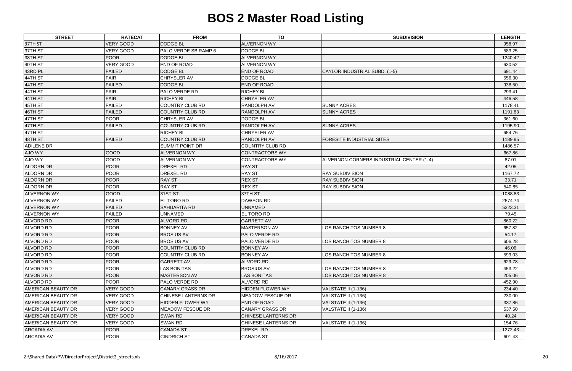| <b>RATECAT</b><br><b>STREET</b><br><b>TO</b><br><b>FROM</b>                                            | <b>SUBDIVISION</b><br><b>LENGTH</b>               |
|--------------------------------------------------------------------------------------------------------|---------------------------------------------------|
| <b>VERY GOOD</b><br><b>DODGE BL</b><br>37TH ST<br><b>ALVERNON WY</b>                                   | 958.97                                            |
| <b>VERY GOOD</b><br>37TH ST<br><b>PALO VERDE SB RAMP 6</b><br><b>DODGE BL</b>                          | 583.25                                            |
| POOR<br>38TH ST<br><b>DODGE BL</b><br><b>ALVERNON WY</b>                                               | 1240.42                                           |
| VERY GOOD<br>40TH ST<br><b>END OF ROAD</b><br><b>ALVERNON WY</b>                                       | 630.52                                            |
| 43RD PL<br><b>FAILED</b><br><b>DODGE BL</b><br><b>END OF ROAD</b>                                      | CAYLOR INDUSTRIAL SUBD. (1-5)<br>691.44           |
| 44TH ST<br><b>FAIR</b><br><b>CHRYSLER AV</b><br><b>DODGE BL</b>                                        | 556.30                                            |
| 44TH ST<br><b>DODGE BL</b><br><b>FAILED</b><br><b>END OF ROAD</b>                                      | 938.50                                            |
| <b>FAIR</b><br>44TH ST<br>PALO VERDE RD<br><b>RICHEY BL</b>                                            | 293.41                                            |
| <b>FAIR</b><br>44TH ST<br><b>RICHEY BL</b><br>CHRYSLER AV                                              | 446.58                                            |
| 45TH ST<br><b>FAILED</b><br><b>COUNTRY CLUB RD</b><br>RANDOLPH AV                                      | <b>SUNNY ACRES</b><br>1178.41                     |
| 46TH ST<br><b>FAILED</b><br><b>COUNTRY CLUB RD</b><br>RANDOLPH AV                                      | <b>SUNNY ACRES</b><br>1191.83                     |
| <b>POOR</b><br>47TH ST<br><b>CHRYSLER AV</b><br><b>DODGE BL</b>                                        | 361.60                                            |
| <b>FAILED</b><br>47TH ST<br><b>COUNTRY CLUB RD</b><br>RANDOLPH AV                                      | <b>SUNNY ACRES</b><br>1195.90                     |
| 47TH ST<br><b>RICHEY BL</b><br><b>CHRYSLER AV</b>                                                      | 654.76                                            |
| <b>FAILED</b><br>48TH ST<br><b>COUNTRY CLUB RD</b><br>RANDOLPH AV                                      | <b>FORESITE INDUSTRIAL SITES</b><br>1189.95       |
| <b>ADILENE DR</b><br><b>SUMMIT POINT DR</b><br><b>COUNTRY CLUB RD</b>                                  | 1486.57                                           |
| GOOD<br>AJO WY<br><b>ALVERNON WY</b><br><b>CONTRACTORS WY</b>                                          | 667.86                                            |
| GOOD<br>AJO WY<br><b>ALVERNON WY</b><br><b>CONTRACTORS WY</b>                                          | ALVERNON CORNERS INDUSTRIAL CENTER (1-4)<br>87.01 |
| POOR<br><b>ALDORN DR</b><br><b>DREXEL RD</b><br><b>RAY ST</b>                                          | 42.05                                             |
| <b>POOR</b><br><b>ALDORN DR</b><br>DREXEL RD<br><b>RAY ST</b>                                          | <b>RAY SUBDIVISION</b><br>1167.72                 |
| <b>POOR</b><br><b>RAY ST</b><br><b>REX ST</b><br><b>ALDORN DR</b>                                      | 33.71<br><b>RAY SUBDIVISION</b>                   |
| POOR<br><b>RAY ST</b><br><b>ALDORN DR</b><br><b>REX ST</b>                                             | <b>RAY SUBDIVISION</b><br>540.85                  |
| GOOD<br>31ST ST<br>37TH ST<br><b>ALVERNON WY</b>                                                       | 1088.83                                           |
| <b>FAILED</b><br><b>EL TORO RD</b><br><b>ALVERNON WY</b><br><b>DAWSON RD</b>                           | 2574.74                                           |
| <b>FAILED</b><br><b>SAHUARITA RD</b><br><b>UNNAMED</b><br><b>ALVERNON WY</b>                           | 5323.31                                           |
| <b>FAILED</b><br><b>UNNAMED</b><br>EL TORO RD<br><b>ALVERNON WY</b>                                    | 79.45                                             |
| <b>POOR</b><br><b>ALVORD RD</b><br><b>GARRETT AV</b><br><b>ALVORD RD</b>                               | 860.22                                            |
| <b>ALVORD RD</b><br><b>POOR</b><br><b>BONNEY AV</b><br>MASTERSON AV                                    | 657.82<br>LOS RANCHITOS NUMBER 8                  |
| POOR<br><b>ALVORD RD</b><br><b>BROSIUS AV</b><br>PALO VERDE RD                                         | 54.17                                             |
| <b>POOR</b><br><b>ALVORD RD</b><br><b>BROSIUS AV</b><br>PALO VERDE RD                                  | LOS RANCHITOS NUMBER 8<br>606.28                  |
| <b>POOR</b><br><b>ALVORD RD</b><br><b>COUNTRY CLUB RD</b><br><b>BONNEY AV</b>                          | 46.06                                             |
| <b>POOR</b><br><b>ALVORD RD</b><br><b>COUNTRY CLUB RD</b><br><b>BONNEY AV</b>                          | LOS RANCHITOS NUMBER 8<br>599.03                  |
| <b>POOR</b><br><b>ALVORD RD</b><br><b>GARRETT AV</b><br><b>ALVORD RD</b>                               | 629.78                                            |
| <b>ALVORD RD</b><br><b>POOR</b><br><b>LAS BONITAS</b><br><b>BROSIUS AV</b>                             | LOS RANCHITOS NUMBER 8<br>453.22                  |
| <b>POOR</b><br><b>ALVORD RD</b><br>MASTERSON AV<br><b>LAS BONITAS</b>                                  | LOS RANCHITOS NUMBER 8<br>205.06                  |
| <b>POOR</b><br><b>ALVORD RD</b><br>ALVORD RD<br><b>PALO VERDE RD</b>                                   | 452.90                                            |
| <b>VERY GOOD</b><br><b>AMERICAN BEAUTY DR</b><br><b>CANARY GRASS DR</b><br>HIDDEN FLOWER WY            | VALSTATE II (1-136)<br>234.40                     |
| <b>VERY GOOD</b><br><b>AMERICAN BEAUTY DR</b><br><b>CHINESE LANTERNS DR</b><br><b>MEADOW FESCUE DR</b> | VALSTATE II (1-136)<br>230.00                     |
| <b>AMERICAN BEAUTY DR</b><br><b>VERY GOOD</b><br><b>HIDDEN FLOWER WY</b><br><b>END OF ROAD</b>         | VALSTATE II (1-136)<br>337.86                     |
| VERY GOOD<br><b>MEADOW FESCUE DR</b><br><b>CANARY GRASS DR</b><br><b>AMERICAN BEAUTY DR</b>            | VALSTATE II (1-136)<br>537.50                     |
| <b>VERY GOOD</b><br><b>AMERICAN BEAUTY DR</b><br><b>SWAN RD</b><br><b>CHINESE LANTERNS DR</b>          | 40.24                                             |
| VERY GOOD<br><b>AMERICAN BEAUTY DR</b><br><b>SWAN RD</b><br><b>CHINESE LANTERNS DR</b>                 | VALSTATE II (1-136)<br>154.76                     |
| <b>POOR</b><br><b>ARCADIA AV</b><br><b>CANADA ST</b><br>DREXEL RD                                      | 1272.43                                           |
| <b>POOR</b><br><b>ARCADIA AV</b><br><b>CINDRICH ST</b><br><b>CANADA ST</b>                             | 601.43                                            |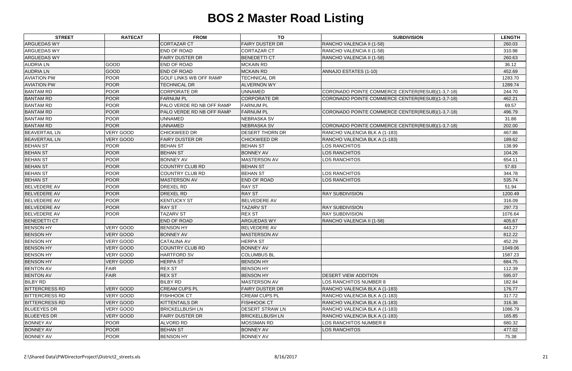| <b>STREET</b>         | <b>RATECAT</b>   | <b>FROM</b>                   | <b>TO</b>              | <b>SUBDIVISION</b>                               | <b>LENGTH</b> |
|-----------------------|------------------|-------------------------------|------------------------|--------------------------------------------------|---------------|
| <b>ARGUEDAS WY</b>    |                  | <b>CORTAZAR CT</b>            | <b>FAIRY DUSTER DR</b> | RANCHO VALENCIA II (1-58)                        | 260.03        |
| <b>ARGUEDAS WY</b>    |                  | <b>END OF ROAD</b>            | <b>CORTAZAR CT</b>     | RANCHO VALENCIA II (1-58)                        | 310.98        |
| <b>ARGUEDAS WY</b>    |                  | <b>FAIRY DUSTER DR</b>        | <b>BENEDETTI CT</b>    | RANCHO VALENCIA II (1-58)                        | 260.63        |
| <b>AUDRIA LN</b>      | GOOD             | <b>END OF ROAD</b>            | <b>MCKAIN RD</b>       |                                                  | 36.12         |
| <b>AUDRIA LN</b>      | GOOD             | <b>END OF ROAD</b>            | <b>MCKAIN RD</b>       | ANNAJO ESTATES (1-10)                            | 452.69        |
| <b>AVIATION PW</b>    | <b>POOR</b>      | <b>GOLF LINKS WB OFF RAMP</b> | <b>TECHNICAL DR</b>    |                                                  | 1283.70       |
| <b>AVIATION PW</b>    | <b>POOR</b>      | <b>TECHNICAL DR</b>           | <b>ALVERNON WY</b>     |                                                  | 1289.74       |
| <b>BANTAM RD</b>      | <b>POOR</b>      | <b>CORPORATE DR</b>           | <b>UNNAMED</b>         | CORONADO POINTE COMMERCE CENTER(RESUB)(1-3,7-18) | 244.70        |
| <b>BANTAM RD</b>      | <b>POOR</b>      | <b>FARNUM PL</b>              | <b>CORPORATE DR</b>    | CORONADO POINTE COMMERCE CENTER(RESUB)(1-3,7-18) | 462.21        |
| <b>BANTAM RD</b>      | <b>POOR</b>      | PALO VERDE RD NB OFF RAMP     | <b>FARNUM PL</b>       |                                                  | 69.57         |
| <b>BANTAM RD</b>      | <b>POOR</b>      | PALO VERDE RD NB OFF RAMP     | <b>FARNUM PL</b>       | CORONADO POINTE COMMERCE CENTER(RESUB)(1-3,7-18) | 496.79        |
| <b>BANTAM RD</b>      | <b>POOR</b>      | <b>UNNAMED</b>                | <b>NEBRASKA SV</b>     |                                                  | 31.86         |
| <b>BANTAM RD</b>      | <b>POOR</b>      | <b>UNNAMED</b>                | <b>NEBRASKA SV</b>     | CORONADO POINTE COMMERCE CENTER(RESUB)(1-3,7-18) | 202.00        |
| <b>BEAVERTAIL LN</b>  | <b>VERY GOOD</b> | <b>CHICKWEED DR</b>           | <b>DESERT THORN DR</b> | RANCHO VALENCIA BLK A (1-183)                    | 467.86        |
| <b>BEAVERTAIL LN</b>  | <b>VERY GOOD</b> | <b>FAIRY DUSTER DR</b>        | <b>CHICKWEED DR</b>    | RANCHO VALENCIA BLK A (1-183)                    | 189.62        |
| <b>BEHAN ST</b>       | <b>POOR</b>      | <b>BEHAN ST</b>               | <b>BEHAN ST</b>        | LOS RANCHITOS                                    | 138.99        |
| <b>BEHAN ST</b>       | POOR             | <b>BEHAN ST</b>               | <b>BONNEY AV</b>       | LOS RANCHITOS                                    | 104.26        |
| <b>BEHAN ST</b>       | <b>POOR</b>      | <b>BONNEY AV</b>              | <b>MASTERSON AV</b>    | LOS RANCHITOS                                    | 654.11        |
| <b>BEHAN ST</b>       | <b>POOR</b>      | <b>COUNTRY CLUB RD</b>        | <b>BEHAN ST</b>        |                                                  | 57.83         |
| <b>BEHAN ST</b>       | <b>POOR</b>      | <b>COUNTRY CLUB RD</b>        | <b>BEHAN ST</b>        | LOS RANCHITOS                                    | 344.78        |
| <b>BEHAN ST</b>       | <b>POOR</b>      | <b>MASTERSON AV</b>           | <b>END OF ROAD</b>     | <b>LOS RANCHITOS</b>                             | 535.74        |
| <b>BELVEDERE AV</b>   | <b>POOR</b>      | <b>DREXEL RD</b>              | <b>RAY ST</b>          |                                                  | 51.94         |
| <b>BELVEDERE AV</b>   | <b>POOR</b>      | <b>DREXEL RD</b>              | <b>RAY ST</b>          | <b>RAY SUBDIVISION</b>                           | 1200.49       |
| <b>BELVEDERE AV</b>   | <b>POOR</b>      | <b>KENTUCKY ST</b>            | <b>BELVEDERE AV</b>    |                                                  | 316.09        |
| <b>BELVEDERE AV</b>   | <b>POOR</b>      | <b>RAY ST</b>                 | <b>TAZARV ST</b>       | <b>RAY SUBDIVISION</b>                           | 297.73        |
| <b>BELVEDERE AV</b>   | <b>POOR</b>      | <b>TAZARV ST</b>              | <b>REX ST</b>          | <b>RAY SUBDIVISION</b>                           | 1076.64       |
| <b>BENEDETTI CT</b>   |                  | <b>END OF ROAD</b>            | <b>ARGUEDAS WY</b>     | RANCHO VALENCIA II (1-58)                        | 405.67        |
| <b>BENSON HY</b>      | VERY GOOD        | <b>BENSON HY</b>              | <b>BELVEDERE AV</b>    |                                                  | 443.27        |
| <b>BENSON HY</b>      | <b>VERY GOOD</b> | <b>BONNEY AV</b>              | <b>MASTERSON AV</b>    |                                                  | 812.22        |
| <b>BENSON HY</b>      | <b>VERY GOOD</b> | <b>CATALINA AV</b>            | <b>HERPA ST</b>        |                                                  | 452.29        |
| <b>BENSON HY</b>      | <b>VERY GOOD</b> | <b>COUNTRY CLUB RD</b>        | <b>BONNEY AV</b>       |                                                  | 1049.06       |
| <b>BENSON HY</b>      | <b>VERY GOOD</b> | <b>HARTFORD SV</b>            | <b>COLUMBUS BL</b>     |                                                  | 1587.23       |
| <b>BENSON HY</b>      | <b>VERY GOOD</b> | <b>HERPA ST</b>               | <b>BENSON HY</b>       |                                                  | 684.75        |
| <b>BENTON AV</b>      | <b>FAIR</b>      | <b>REX ST</b>                 | <b>BENSON HY</b>       |                                                  | 112.39        |
| <b>BENTON AV</b>      | <b>FAIR</b>      | <b>REX ST</b>                 | <b>BENSON HY</b>       | DESERT VIEW ADDITION                             | 595.07        |
| <b>BILBY RD</b>       |                  | <b>BILBY RD</b>               | <b>MASTERSON AV</b>    | LOS RANCHITOS NUMBER 8                           | 182.84        |
| <b>BITTERCRESS RD</b> | <b>VERY GOOD</b> | <b>CREAM CUPS PL</b>          | <b>FAIRY DUSTER DR</b> | RANCHO VALENCIA BLK A (1-183)                    | 176.77        |
| <b>BITTERCRESS RD</b> | <b>VERY GOOD</b> | <b>FISHHOOK CT</b>            | <b>CREAM CUPS PL</b>   | RANCHO VALENCIA BLK A (1-183)                    | 317.72        |
| <b>BITTERCRESS RD</b> | <b>VERY GOOD</b> | <b>KITTENTAILS DR</b>         | <b>FISHHOOK CT</b>     | RANCHO VALENCIA BLK A (1-183)                    | 316.36        |
| <b>BLUEEYES DR</b>    | VERY GOOD        | <b>BRICKELLBUSH LN</b>        | <b>DESERT STRAW LN</b> | RANCHO VALENCIA BLK A (1-183)                    | 1086.79       |
| <b>BLUEEYES DR</b>    | <b>VERY GOOD</b> | <b>FAIRY DUSTER DR</b>        | <b>BRICKELLBUSH LN</b> | RANCHO VALENCIA BLK A (1-183)                    | 165.85        |
| <b>BONNEY AV</b>      | <b>POOR</b>      | <b>ALVORD RD</b>              | <b>MOSSMAN RD</b>      | LOS RANCHITOS NUMBER 8                           | 680.32        |
| <b>BONNEY AV</b>      | <b>POOR</b>      | <b>BEHAN ST</b>               | <b>BONNEY AV</b>       | <b>LOS RANCHITOS</b>                             | 477.02        |
| <b>BONNEY AV</b>      | <b>POOR</b>      | <b>BENSON HY</b>              | <b>BONNEY AV</b>       |                                                  | 75.38         |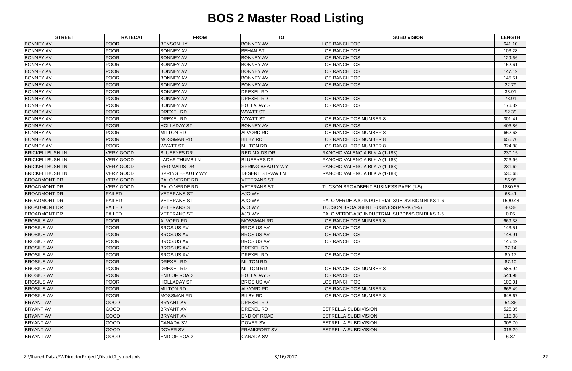| <b>STREET</b>          | <b>RATECAT</b>   | <b>FROM</b>             | <b>TO</b>               | <b>SUBDIVISION</b>                             | <b>LENGTH</b> |
|------------------------|------------------|-------------------------|-------------------------|------------------------------------------------|---------------|
| <b>BONNEY AV</b>       | <b>POOR</b>      | <b>BENSON HY</b>        | <b>BONNEY AV</b>        | LOS RANCHITOS                                  | 641.10        |
| <b>BONNEY AV</b>       | <b>POOR</b>      | <b>BONNEY AV</b>        | <b>BEHAN ST</b>         | LOS RANCHITOS                                  | 103.28        |
| <b>BONNEY AV</b>       | <b>POOR</b>      | <b>BONNEY AV</b>        | <b>BONNEY AV</b>        | LOS RANCHITOS                                  | 129.66        |
| <b>BONNEY AV</b>       | <b>POOR</b>      | <b>BONNEY AV</b>        | <b>BONNEY AV</b>        | LOS RANCHITOS                                  | 152.61        |
| <b>BONNEY AV</b>       | <b>POOR</b>      | <b>BONNEY AV</b>        | <b>BONNEY AV</b>        | LOS RANCHITOS                                  | 147.19        |
| <b>BONNEY AV</b>       | <b>POOR</b>      | <b>BONNEY AV</b>        | <b>BONNEY AV</b>        | LOS RANCHITOS                                  | 145.51        |
| <b>BONNEY AV</b>       | <b>POOR</b>      | <b>BONNEY AV</b>        | <b>BONNEY AV</b>        | <b>LOS RANCHITOS</b>                           | 22.79         |
| <b>BONNEY AV</b>       | <b>POOR</b>      | <b>BONNEY AV</b>        | <b>DREXEL RD</b>        |                                                | 33.91         |
| <b>BONNEY AV</b>       | <b>POOR</b>      | <b>BONNEY AV</b>        | <b>DREXEL RD</b>        | LOS RANCHITOS                                  | 73.91         |
| <b>BONNEY AV</b>       | <b>POOR</b>      | <b>BONNEY AV</b>        | <b>HOLLADAY ST</b>      | LOS RANCHITOS                                  | 176.32        |
| <b>BONNEY AV</b>       | <b>POOR</b>      | <b>DREXEL RD</b>        | <b>WYATT ST</b>         |                                                | 52.39         |
| <b>BONNEY AV</b>       | <b>POOR</b>      | <b>DREXEL RD</b>        | <b>WYATT ST</b>         | LOS RANCHITOS NUMBER 8                         | 301.41        |
| <b>BONNEY AV</b>       | <b>POOR</b>      | <b>HOLLADAY ST</b>      | <b>BONNEY AV</b>        | LOS RANCHITOS                                  | 403.86        |
| <b>BONNEY AV</b>       | <b>POOR</b>      | <b>MILTON RD</b>        | <b>ALVORD RD</b>        | LOS RANCHITOS NUMBER 8                         | 662.68        |
| <b>BONNEY AV</b>       | <b>POOR</b>      | <b>MOSSMAN RD</b>       | <b>BILBY RD</b>         | LOS RANCHITOS NUMBER 8                         | 655.70        |
| <b>BONNEY AV</b>       | <b>POOR</b>      | <b>WYATT ST</b>         | <b>MILTON RD</b>        | LOS RANCHITOS NUMBER 8                         | 324.88        |
| <b>BRICKELLBUSH LN</b> | <b>VERY GOOD</b> | <b>BLUEEYES DR</b>      | <b>RED MAIDS DR</b>     | RANCHO VALENCIA BLK A (1-183)                  | 230.15        |
| <b>BRICKELLBUSH LN</b> | <b>VERY GOOD</b> | <b>LADYS THUMB LN</b>   | <b>BLUEEYES DR</b>      | RANCHO VALENCIA BLK A (1-183)                  | 223.96        |
| <b>BRICKELLBUSH LN</b> | <b>VERY GOOD</b> | <b>RED MAIDS DR</b>     | <b>SPRING BEAUTY WY</b> | RANCHO VALENCIA BLK A (1-183)                  | 231.62        |
| <b>BRICKELLBUSH LN</b> | <b>VERY GOOD</b> | <b>SPRING BEAUTY WY</b> | <b>DESERT STRAW LN</b>  | RANCHO VALENCIA BLK A (1-183)                  | 530.68        |
| <b>BROADMONT DR</b>    | <b>VERY GOOD</b> | <b>PALO VERDE RD</b>    | <b>VETERANS ST</b>      |                                                | 56.95         |
| <b>BROADMONT DR</b>    | <b>VERY GOOD</b> | <b>PALO VERDE RD</b>    | <b>VETERANS ST</b>      | TUCSON BROADBENT BUSINESS PARK (1-5)           | 1880.55       |
| <b>BROADMONT DR</b>    | <b>FAILED</b>    | <b>VETERANS ST</b>      | AJO WY                  |                                                | 68.41         |
| <b>BROADMONT DR</b>    | <b>FAILED</b>    | <b>VETERANS ST</b>      | AJO WY                  | PALO VERDE-AJO INDUSTRIAL SUBDIVISION BLKS 1-6 | 1590.48       |
| <b>BROADMONT DR</b>    | <b>FAILED</b>    | <b>VETERANS ST</b>      | <b>AJO WY</b>           | TUCSON BROADBENT BUSINESS PARK (1-5)           | 40.38         |
| <b>BROADMONT DR</b>    | <b>FAILED</b>    | <b>VETERANS ST</b>      | AJO WY                  | PALO VERDE-AJO INDUSTRIAL SUBDIVISION BLKS 1-6 | 0.05          |
| <b>BROSIUS AV</b>      | <b>POOR</b>      | <b>ALVORD RD</b>        | <b>MOSSMAN RD</b>       | LOS RANCHITOS NUMBER 8                         | 669.38        |
| <b>BROSIUS AV</b>      | <b>POOR</b>      | <b>BROSIUS AV</b>       | <b>BROSIUS AV</b>       | LOS RANCHITOS                                  | 143.51        |
| <b>BROSIUS AV</b>      | <b>POOR</b>      | <b>BROSIUS AV</b>       | <b>BROSIUS AV</b>       | LOS RANCHITOS                                  | 148.91        |
| <b>BROSIUS AV</b>      | <b>POOR</b>      | <b>BROSIUS AV</b>       | <b>BROSIUS AV</b>       | LOS RANCHITOS                                  | 145.49        |
| <b>BROSIUS AV</b>      | <b>POOR</b>      | <b>BROSIUS AV</b>       | <b>DREXEL RD</b>        |                                                | 37.14         |
| <b>BROSIUS AV</b>      | <b>POOR</b>      | <b>BROSIUS AV</b>       | <b>DREXEL RD</b>        | LOS RANCHITOS                                  | 80.17         |
| <b>BROSIUS AV</b>      | <b>POOR</b>      | <b>DREXEL RD</b>        | <b>MILTON RD</b>        |                                                | 87.10         |
| <b>BROSIUS AV</b>      | <b>POOR</b>      | <b>DREXEL RD</b>        | <b>MILTON RD</b>        | LOS RANCHITOS NUMBER 8                         | 585.94        |
| <b>BROSIUS AV</b>      | <b>POOR</b>      | <b>END OF ROAD</b>      | <b>HOLLADAY ST</b>      | LOS RANCHITOS                                  | 544.98        |
| <b>BROSIUS AV</b>      | <b>POOR</b>      | <b>HOLLADAY ST</b>      | <b>BROSIUS AV</b>       | LOS RANCHITOS                                  | 100.01        |
| <b>BROSIUS AV</b>      | <b>POOR</b>      | <b>MILTON RD</b>        | <b>ALVORD RD</b>        | LOS RANCHITOS NUMBER 8                         | 666.49        |
| <b>BROSIUS AV</b>      | <b>POOR</b>      | MOSSMAN RD              | <b>BILBY RD</b>         | LOS RANCHITOS NUMBER 8                         | 648.67        |
| <b>BRYANT AV</b>       | GOOD             | <b>BRYANT AV</b>        | <b>DREXEL RD</b>        |                                                | 54.86         |
| <b>BRYANT AV</b>       | GOOD             | <b>BRYANT AV</b>        | <b>DREXEL RD</b>        | ESTRELLA SUBDIVISION                           | 525.35        |
| <b>BRYANT AV</b>       | <b>GOOD</b>      | <b>BRYANT AV</b>        | <b>END OF ROAD</b>      | <b>ESTRELLA SUBDIVISION</b>                    | 115.08        |
| <b>BRYANT AV</b>       | GOOD             | <b>CANADA SV</b>        | <b>DOVER SV</b>         | ESTRELLA SUBDIVISION                           | 306.70        |
| <b>BRYANT AV</b>       | GOOD             | <b>DOVER SV</b>         | <b>FRANKFORT SV</b>     | <b>ESTRELLA SUBDIVISION</b>                    | 316.29        |
| <b>BRYANT AV</b>       | GOOD             | <b>END OF ROAD</b>      | <b>CANADA SV</b>        |                                                | 6.87          |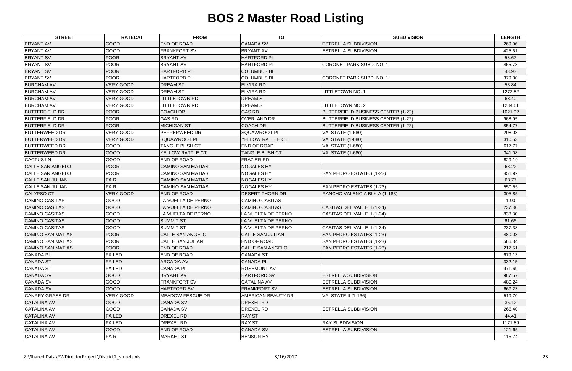| <b>STREET</b>            | <b>RATECAT</b>   | <b>FROM</b>              | <b>TO</b>                 | <b>SUBDIVISION</b>                        | <b>LENGTH</b> |
|--------------------------|------------------|--------------------------|---------------------------|-------------------------------------------|---------------|
| <b>BRYANT AV</b>         | GOOD             | <b>END OF ROAD</b>       | <b>CANADA SV</b>          | <b>ESTRELLA SUBDIVISION</b>               | 269.06        |
| <b>BRYANT AV</b>         | GOOD             | <b>FRANKFORT SV</b>      | <b>BRYANT AV</b>          | ESTRELLA SUBDIVISION                      | 425.61        |
| <b>BRYANT SV</b>         | <b>POOR</b>      | <b>BRYANT AV</b>         | <b>HARTFORD PL</b>        |                                           | 58.67         |
| <b>BRYANT SV</b>         | <b>POOR</b>      | <b>BRYANT AV</b>         | <b>HARTFORD PL</b>        | CORONET PARK SUBD. NO. 1                  | 465.78        |
| <b>BRYANT SV</b>         | <b>POOR</b>      | <b>HARTFORD PL</b>       | <b>COLUMBUS BL</b>        |                                           | 43.93         |
| <b>BRYANT SV</b>         | <b>POOR</b>      | <b>HARTFORD PL</b>       | <b>COLUMBUS BL</b>        | <b>CORONET PARK SUBD. NO. 1</b>           | 379.30        |
| <b>BURCHAM AV</b>        | <b>VERY GOOD</b> | <b>DREAM ST</b>          | <b>ELVIRA RD</b>          |                                           | 53.84         |
| <b>BURCHAM AV</b>        | <b>VERY GOOD</b> | <b>DREAM ST</b>          | <b>ELVIRA RD</b>          | LITTLETOWN NO. 1                          | 1272.82       |
| <b>BURCHAM AV</b>        | <b>VERY GOOD</b> | <b>LITTLETOWN RD</b>     | <b>DREAM ST</b>           |                                           | 68.40         |
| <b>BURCHAM AV</b>        | <b>VERY GOOD</b> | <b>LITTLETOWN RD</b>     | <b>DREAM ST</b>           | LITTLETOWN NO. 2                          | 1284.61       |
| <b>BUTTERFIELD DR</b>    | <b>POOR</b>      | <b>COACH DR</b>          | <b>GAS RD</b>             | <b>BUTTERFIELD BUSINESS CENTER (1-22)</b> | 1021.92       |
| <b>BUTTERFIELD DR</b>    | <b>POOR</b>      | <b>GAS RD</b>            | <b>OVERLAND DR</b>        | <b>BUTTERFIELD BUSINESS CENTER (1-22)</b> | 968.95        |
| <b>BUTTERFIELD DR</b>    | <b>POOR</b>      | <b>MICHIGAN ST</b>       | COACH DR                  | <b>BUTTERFIELD BUSINESS CENTER (1-22)</b> | 854.77        |
| <b>BUTTERWEED DR</b>     | <b>VERY GOOD</b> | PEPPERWEED DR            | <b>SQUAWROOT PL</b>       | <b>VALSTATE (1-680)</b>                   | 208.08        |
| <b>BUTTERWEED DR</b>     | <b>VERY GOOD</b> | <b>SQUAWROOT PL</b>      | <b>YELLOW RATTLE CT</b>   | VALSTATE (1-680)                          | 310.53        |
| <b>BUTTERWEED DR</b>     | GOOD             | <b>TANGLE BUSH CT</b>    | <b>END OF ROAD</b>        | <b>VALSTATE (1-680)</b>                   | 617.77        |
| <b>BUTTERWEED DR</b>     | <b>GOOD</b>      | YELLOW RATTLE CT         | <b>TANGLE BUSH CT</b>     | <b>VALSTATE (1-680)</b>                   | 341.08        |
| <b>CACTUS LN</b>         | GOOD             | <b>END OF ROAD</b>       | <b>FRAZIER RD</b>         |                                           | 829.19        |
| <b>CALLE SAN ANGELO</b>  | <b>POOR</b>      | <b>CAMINO SAN MATIAS</b> | <b>NOGALES HY</b>         |                                           | 63.22         |
| <b>CALLE SAN ANGELO</b>  | <b>POOR</b>      | <b>CAMINO SAN MATIAS</b> | <b>NOGALES HY</b>         | SAN PEDRO ESTATES (1-23)                  | 451.92        |
| <b>CALLE SAN JULIAN</b>  | <b>FAIR</b>      | <b>CAMINO SAN MATIAS</b> | <b>NOGALES HY</b>         |                                           | 68.77         |
| <b>CALLE SAN JULIAN</b>  | <b>FAIR</b>      | <b>CAMINO SAN MATIAS</b> | <b>NOGALES HY</b>         | SAN PEDRO ESTATES (1-23)                  | 550.55        |
| <b>CALYPSO CT</b>        | <b>VERY GOOD</b> | <b>END OF ROAD</b>       | <b>DESERT THORN DR</b>    | RANCHO VALENCIA BLK A (1-183)             | 305.85        |
| <b>CAMINO CASITAS</b>    | GOOD             | LA VUELTA DE PERNO       | <b>CAMINO CASITAS</b>     |                                           | 1.90          |
| <b>CAMINO CASITAS</b>    | GOOD             | LA VUELTA DE PERNO       | <b>CAMINO CASITAS</b>     | CASITAS DEL VALLE II (1-34)               | 237.36        |
| <b>CAMINO CASITAS</b>    | GOOD             | LA VUELTA DE PERNO       | LA VUELTA DE PERNO        | CASITAS DEL VALLE II (1-34)               | 838.30        |
| <b>CAMINO CASITAS</b>    | <b>GOOD</b>      | <b>SUMMIT ST</b>         | LA VUELTA DE PERNO        |                                           | 61.66         |
| CAMINO CASITAS           | GOOD             | <b>SUMMIT ST</b>         | LA VUELTA DE PERNO        | CASITAS DEL VALLE II (1-34)               | 237.38        |
| <b>CAMINO SAN MATIAS</b> | <b>POOR</b>      | <b>CALLE SAN ANGELO</b>  | <b>CALLE SAN JULIAN</b>   | SAN PEDRO ESTATES (1-23)                  | 480.08        |
| CAMINO SAN MATIAS        | <b>POOR</b>      | CALLE SAN JULIAN         | <b>END OF ROAD</b>        | SAN PEDRO ESTATES (1-23)                  | 566.34        |
| <b>CAMINO SAN MATIAS</b> | <b>POOR</b>      | <b>END OF ROAD</b>       | <b>CALLE SAN ANGELO</b>   | SAN PEDRO ESTATES (1-23)                  | 217.51        |
| <b>CANADA PL</b>         | <b>FAILED</b>    | END OF ROAD              | <b>CANADA ST</b>          |                                           | 679.13        |
| <b>CANADA ST</b>         | <b>FAILED</b>    | <b>ARCADIA AV</b>        | <b>CANADA PL</b>          |                                           | 332.15        |
| <b>CANADA ST</b>         | <b>FAILED</b>    | CANADA PL                | <b>ROSEMONT AV</b>        |                                           | 971.69        |
| <b>CANADA SV</b>         | GOOD             | <b>BRYANT AV</b>         | <b>HARTFORD SV</b>        | <b>ESTRELLA SUBDIVISION</b>               | 987.57        |
| <b>CANADA SV</b>         | <b>GOOD</b>      | <b>FRANKFORT SV</b>      | <b>CATALINA AV</b>        | ESTRELLA SUBDIVISION                      | 489.24        |
| <b>CANADA SV</b>         | <b>GOOD</b>      | <b>HARTFORD SV</b>       | <b>FRANKFORT SV</b>       | <b>ESTRELLA SUBDIVISION</b>               | 669.23        |
| <b>CANARY GRASS DR</b>   | <b>VERY GOOD</b> | <b>MEADOW FESCUE DR</b>  | <b>AMERICAN BEAUTY DR</b> | VALSTATE II (1-136)                       | 519.70        |
| <b>CATALINA AV</b>       | <b>GOOD</b>      | <b>CANADA SV</b>         | <b>DREXEL RD</b>          |                                           | 35.12         |
| <b>CATALINA AV</b>       | <b>GOOD</b>      | <b>CANADA SV</b>         | <b>DREXEL RD</b>          | ESTRELLA SUBDIVISION                      | 266.40        |
| <b>CATALINA AV</b>       | <b>FAILED</b>    | <b>DREXEL RD</b>         | <b>RAY ST</b>             |                                           | 44.41         |
| <b>CATALINA AV</b>       | <b>FAILED</b>    | <b>DREXEL RD</b>         | <b>RAY ST</b>             | <b>RAY SUBDIVISION</b>                    | 1171.89       |
| <b>CATALINA AV</b>       | GOOD             | <b>END OF ROAD</b>       | <b>CANADA SV</b>          | <b>ESTRELLA SUBDIVISION</b>               | 121.65        |
| <b>CATALINA AV</b>       | <b>FAIR</b>      | <b>MARKET ST</b>         | <b>BENSON HY</b>          |                                           | 115.74        |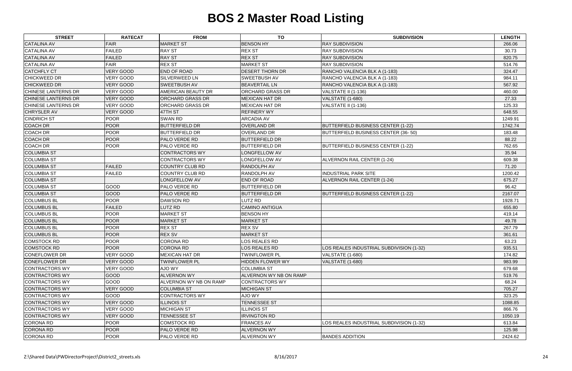| <b>STREET</b>              | <b>RATECAT</b>   | <b>FROM</b>                   | <b>TO</b>               | <b>SUBDIVISION</b>                        | <b>LENGTH</b> |
|----------------------------|------------------|-------------------------------|-------------------------|-------------------------------------------|---------------|
| <b>CATALINA AV</b>         | <b>FAIR</b>      | <b>MARKET ST</b>              | <b>BENSON HY</b>        | <b>RAY SUBDIVISION</b>                    | 266.06        |
| <b>CATALINA AV</b>         | <b>FAILED</b>    | <b>RAY ST</b>                 | <b>REX ST</b>           | <b>RAY SUBDIVISION</b>                    | 30.73         |
| <b>CATALINA AV</b>         | <b>FAILED</b>    | <b>RAY ST</b>                 | <b>REX ST</b>           | <b>RAY SUBDIVISION</b>                    | 820.75        |
| <b>CATALINA AV</b>         | <b>FAIR</b>      | <b>REX ST</b>                 | <b>MARKET ST</b>        | <b>RAY SUBDIVISION</b>                    | 514.76        |
| <b>CATCHFLY CT</b>         | <b>VERY GOOD</b> | <b>END OF ROAD</b>            | <b>DESERT THORN DR</b>  | RANCHO VALENCIA BLK A (1-183)             | 324.47        |
| <b>CHICKWEED DR</b>        | <b>VERY GOOD</b> | <b>SILVERWEED LN</b>          | <b>SWEETBUSH AV</b>     | RANCHO VALENCIA BLK A (1-183)             | 984.11        |
| <b>CHICKWEED DR</b>        | <b>VERY GOOD</b> | <b>SWEETBUSH AV</b>           | <b>BEAVERTAIL LN</b>    | RANCHO VALENCIA BLK A (1-183)             | 567.92        |
| <b>CHINESE LANTERNS DR</b> | <b>VERY GOOD</b> | AMERICAN BEAUTY DR            | <b>ORCHARD GRASS DR</b> | VALSTATE II (1-136)                       | 460.00        |
| <b>CHINESE LANTERNS DR</b> | VERY GOOD        | <b>ORCHARD GRASS DR</b>       | <b>MEXICAN HAT DR</b>   | <b>VALSTATE (1-680)</b>                   | 27.33         |
| <b>CHINESE LANTERNS DR</b> | VERY GOOD        | <b>ORCHARD GRASS DR</b>       | <b>MEXICAN HAT DR</b>   | VALSTATE II (1-136)                       | 125.33        |
| <b>CHRYSLER AV</b>         | <b>VERY GOOD</b> | 47TH ST                       | <b>REFINERY WY</b>      |                                           | 648.55        |
| <b>CINDRICH ST</b>         | <b>POOR</b>      | <b>SWAN RD</b>                | <b>ARCADIA AV</b>       |                                           | 1249.91       |
| <b>COACH DR</b>            | <b>POOR</b>      | <b>BUTTERFIELD DR</b>         | <b>OVERLAND DR</b>      | BUTTERFIELD BUSINESS CENTER (1-22)        | 1742.74       |
| COACH DR                   | <b>POOR</b>      | <b>BUTTERFIELD DR</b>         | <b>OVERLAND DR</b>      | BUTTERFIELD BUSINESS CENTER (36-50)       | 183.48        |
| <b>COACH DR</b>            | <b>POOR</b>      | PALO VERDE RD                 | <b>BUTTERFIELD DR</b>   |                                           | 88.22         |
| <b>COACH DR</b>            | <b>POOR</b>      | <b>PALO VERDE RD</b>          | <b>BUTTERFIELD DR</b>   | BUTTERFIELD BUSINESS CENTER (1-22)        | 762.65        |
| <b>COLUMBIA ST</b>         |                  | <b>CONTRACTORS WY</b>         | <b>LONGFELLOW AV</b>    |                                           | 35.94         |
| <b>COLUMBIA ST</b>         |                  | <b>CONTRACTORS WY</b>         | LONGFELLOW AV           | ALVERNON RAIL CENTER (1-24)               | 609.38        |
| <b>COLUMBIA ST</b>         | <b>FAILED</b>    | <b>COUNTRY CLUB RD</b>        | <b>RANDOLPH AV</b>      |                                           | 71.20         |
| <b>COLUMBIA ST</b>         | <b>FAILED</b>    | <b>COUNTRY CLUB RD</b>        | <b>RANDOLPH AV</b>      | <b>INDUSTRIAL PARK SITE</b>               | 1200.42       |
| <b>COLUMBIA ST</b>         |                  | LONGFELLOW AV                 | <b>END OF ROAD</b>      | ALVERNON RAIL CENTER (1-24)               | 675.27        |
| <b>COLUMBIA ST</b>         | GOOD             | <b>PALO VERDE RD</b>          | <b>BUTTERFIELD DR</b>   |                                           | 96.42         |
| <b>COLUMBIA ST</b>         | GOOD             | <b>PALO VERDE RD</b>          | <b>BUTTERFIELD DR</b>   | <b>BUTTERFIELD BUSINESS CENTER (1-22)</b> | 2167.07       |
| <b>COLUMBUS BL</b>         | <b>POOR</b>      | <b>DAWSON RD</b>              | LUTZ RD                 |                                           | 1928.71       |
| <b>COLUMBUS BL</b>         | <b>FAILED</b>    | LUTZ RD                       | <b>CAMINO ANTIGUA</b>   |                                           | 655.80        |
| <b>COLUMBUS BL</b>         | <b>POOR</b>      | <b>MARKET ST</b>              | <b>BENSON HY</b>        |                                           | 419.14        |
| <b>COLUMBUS BL</b>         | <b>POOR</b>      | <b>MARKET ST</b>              | <b>MARKET ST</b>        |                                           | 49.78         |
| <b>COLUMBUS BL</b>         | <b>POOR</b>      | <b>REX ST</b>                 | <b>REX SV</b>           |                                           | 267.79        |
| <b>COLUMBUS BL</b>         | <b>POOR</b>      | <b>REX SV</b>                 | <b>MARKET ST</b>        |                                           | 361.61        |
| <b>COMSTOCK RD</b>         | <b>POOR</b>      | <b>CORONA RD</b>              | <b>LOS REALES RD</b>    |                                           | 63.23         |
| <b>COMSTOCK RD</b>         | <b>POOR</b>      | <b>CORONA RD</b>              | <b>LOS REALES RD</b>    | LOS REALES INDUSTRIAL SUBDIVISION (1-32)  | 935.51        |
| <b>CONEFLOWER DR</b>       | <b>VERY GOOD</b> | MEXICAN HAT DR                | <b>TWINFLOWER PL</b>    | VALSTATE (1-680)                          | 174.82        |
| <b>CONEFLOWER DR</b>       | <b>VERY GOOD</b> | <b>TWINFLOWER PL</b>          | <b>HIDDEN FLOWER WY</b> | <b>VALSTATE (1-680)</b>                   | 983.99        |
| CONTRACTORS WY             | <b>VERY GOOD</b> | AJO WY                        | <b>COLUMBIA ST</b>      |                                           | 679.68        |
| <b>CONTRACTORS WY</b>      | <b>GOOD</b>      | <b>ALVERNON WY</b>            | ALVERNON WY NB ON RAMP  |                                           | 519.76        |
| CONTRACTORS WY             | <b>GOOD</b>      | <b>ALVERNON WY NB ON RAMP</b> | <b>CONTRACTORS WY</b>   |                                           | 68.24         |
| <b>CONTRACTORS WY</b>      | <b>VERY GOOD</b> | <b>COLUMBIA ST</b>            | <b>MICHIGAN ST</b>      |                                           | 705.27        |
| <b>CONTRACTORS WY</b>      | <b>GOOD</b>      | <b>CONTRACTORS WY</b>         | AJO WY                  |                                           | 323.25        |
| <b>CONTRACTORS WY</b>      | <b>VERY GOOD</b> | <b>ILLINOIS ST</b>            | <b>TENNESSEE ST</b>     |                                           | 1088.85       |
| <b>CONTRACTORS WY</b>      | VERY GOOD        | <b>MICHIGAN ST</b>            | <b>ILLINOIS ST</b>      |                                           | 866.76        |
| <b>CONTRACTORS WY</b>      | <b>VERY GOOD</b> | <b>TENNESSEE ST</b>           | <b>IRVINGTON RD</b>     |                                           | 1050.19       |
| <b>CORONA RD</b>           | <b>POOR</b>      | <b>COMSTOCK RD</b>            | <b>FRANCES AV</b>       | LOS REALES INDUSTRIAL SUBDIVISION (1-32)  | 613.84        |
| <b>CORONA RD</b>           | <b>POOR</b>      | <b>PALO VERDE RD</b>          | <b>ALVERNON WY</b>      |                                           | 125.98        |
| <b>CORONA RD</b>           | <b>POOR</b>      | <b>PALO VERDE RD</b>          | <b>ALVERNON WY</b>      | <b>BANDES ADDITION</b>                    | 2424.62       |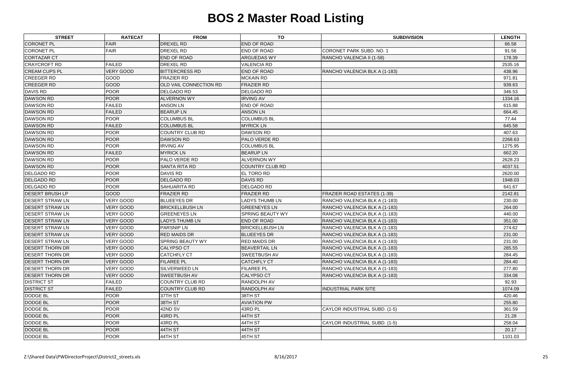| <b>STREET</b>          | <b>RATECAT</b>   | <b>FROM</b>                   | <b>TO</b>               | <b>SUBDIVISION</b>                 | <b>LENGTH</b> |
|------------------------|------------------|-------------------------------|-------------------------|------------------------------------|---------------|
| <b>CORONET PL</b>      | <b>FAIR</b>      | <b>DREXEL RD</b>              | <b>END OF ROAD</b>      |                                    | 66.58         |
| <b>CORONET PL</b>      | <b>FAIR</b>      | DREXEL RD                     | <b>END OF ROAD</b>      | <b>CORONET PARK SUBD. NO. 1</b>    | 91.56         |
| <b>CORTAZAR CT</b>     |                  | <b>END OF ROAD</b>            | <b>ARGUEDAS WY</b>      | RANCHO VALENCIA II (1-58)          | 178.39        |
| <b>CRAYCROFT RD</b>    | <b>FAILED</b>    | DREXEL RD                     | <b>VALENCIA RD</b>      |                                    | 2535.16       |
| <b>CREAM CUPS PL</b>   | <b>VERY GOOD</b> | <b>BITTERCRESS RD</b>         | <b>END OF ROAD</b>      | RANCHO VALENCIA BLK A (1-183)      | 438.96        |
| <b>CREEGER RD</b>      | GOOD             | <b>FRAZIER RD</b>             | <b>MCKAIN RD</b>        |                                    | 971.81        |
| <b>CREEGER RD</b>      | GOOD             | <b>OLD VAIL CONNECTION RD</b> | <b>FRAZIER RD</b>       |                                    | 939.63        |
| <b>DAVIS RD</b>        | <b>POOR</b>      | <b>DELGADO RD</b>             | <b>DELGADO RD</b>       |                                    | 346.53        |
| <b>DAWSON RD</b>       | <b>POOR</b>      | <b>ALVERNON WY</b>            | <b>IRVING AV</b>        |                                    | 1334.16       |
| <b>DAWSON RD</b>       | <b>FAILED</b>    | <b>ANSON LN</b>               | <b>END OF ROAD</b>      |                                    | 615.88        |
| <b>DAWSON RD</b>       | <b>FAILED</b>    | <b>BEARUPLN</b>               | <b>ANSON LN</b>         |                                    | 664.45        |
| <b>DAWSON RD</b>       | <b>POOR</b>      | <b>COLUMBUS BL</b>            | <b>COLUMBUS BL</b>      |                                    | 77.44         |
| <b>DAWSON RD</b>       | <b>FAILED</b>    | <b>COLUMBUS BL</b>            | <b>MYRICK LN</b>        |                                    | 645.58        |
| <b>DAWSON RD</b>       | <b>POOR</b>      | <b>COUNTRY CLUB RD</b>        | <b>DAWSON RD</b>        |                                    | 407.63        |
| <b>DAWSON RD</b>       | <b>POOR</b>      | <b>DAWSON RD</b>              | <b>PALO VERDE RD</b>    |                                    | 2268.63       |
| <b>DAWSON RD</b>       | <b>POOR</b>      | <b>IRVING AV</b>              | <b>COLUMBUS BL</b>      |                                    | 1275.95       |
| <b>DAWSON RD</b>       | <b>FAILED</b>    | <b>MYRICK LN</b>              | <b>BEARUPLN</b>         |                                    | 662.20        |
| <b>DAWSON RD</b>       | <b>POOR</b>      | PALO VERDE RD                 | <b>ALVERNON WY</b>      |                                    | 2628.23       |
| <b>DAWSON RD</b>       | <b>POOR</b>      | <b>SANTA RITA RD</b>          | <b>COUNTRY CLUB RD</b>  |                                    | 4037.51       |
| <b>DELGADO RD</b>      | <b>POOR</b>      | <b>DAVIS RD</b>               | <b>EL TORO RD</b>       |                                    | 2620.00       |
| <b>DELGADO RD</b>      | <b>POOR</b>      | <b>DELGADO RD</b>             | <b>DAVIS RD</b>         |                                    | 1948.03       |
| <b>DELGADO RD</b>      | <b>POOR</b>      | <b>SAHUARITA RD</b>           | <b>DELGADO RD</b>       |                                    | 641.67        |
| <b>DESERT BRUSH LP</b> | GOOD             | <b>FRAZIER RD</b>             | <b>FRAZIER RD</b>       | <b>FRAZIER ROAD ESTATES (1-39)</b> | 2142.81       |
| <b>DESERT STRAW LN</b> | <b>VERY GOOD</b> | <b>BLUEEYES DR</b>            | <b>LADYS THUMB LN</b>   | RANCHO VALENCIA BLK A (1-183)      | 230.00        |
| <b>DESERT STRAW LN</b> | <b>VERY GOOD</b> | <b>BRICKELLBUSH LN</b>        | <b>GREENEYES LN</b>     | RANCHO VALENCIA BLK A (1-183)      | 264.00        |
| <b>DESERT STRAW LN</b> | VERY GOOD        | <b>GREENEYES LN</b>           | <b>SPRING BEAUTY WY</b> | RANCHO VALENCIA BLK A (1-183)      | 440.00        |
| <b>DESERT STRAW LN</b> | <b>VERY GOOD</b> | <b>LADYS THUMB LN</b>         | <b>END OF ROAD</b>      | RANCHO VALENCIA BLK A (1-183)      | 351.00        |
| <b>DESERT STRAW LN</b> | VERY GOOD        | <b>PARSNIP LN</b>             | <b>BRICKELLBUSH LN</b>  | RANCHO VALENCIA BLK A (1-183)      | 274.62        |
| <b>DESERT STRAW LN</b> | <b>VERY GOOD</b> | <b>RED MAIDS DR</b>           | <b>BLUEEYES DR</b>      | RANCHO VALENCIA BLK A (1-183)      | 231.00        |
| <b>DESERT STRAW LN</b> | <b>VERY GOOD</b> | <b>SPRING BEAUTY WY</b>       | <b>RED MAIDS DR</b>     | RANCHO VALENCIA BLK A (1-183)      | 231.00        |
| <b>DESERT THORN DR</b> | <b>VERY GOOD</b> | <b>CALYPSO CT</b>             | <b>BEAVERTAIL LN</b>    | RANCHO VALENCIA BLK A (1-183)      | 285.55        |
| <b>DESERT THORN DR</b> | <b>VERY GOOD</b> | <b>CATCHFLY CT</b>            | <b>SWEETBUSH AV</b>     | RANCHO VALENCIA BLK A (1-183)      | 284.45        |
| <b>DESERT THORN DR</b> | <b>VERY GOOD</b> | <b>FILAREE PL</b>             | <b>CATCHFLY CT</b>      | RANCHO VALENCIA BLK A (1-183)      | 284.40        |
| <b>DESERT THORN DR</b> | <b>VERY GOOD</b> | <b>SILVERWEED LN</b>          | <b>FILAREE PL</b>       | RANCHO VALENCIA BLK A (1-183)      | 277.80        |
| <b>DESERT THORN DR</b> | VERY GOOD        | <b>SWEETBUSH AV</b>           | <b>CALYPSO CT</b>       | RANCHO VALENCIA BLK A (1-183)      | 334.08        |
| <b>DISTRICT ST</b>     | <b>FAILED</b>    | <b>COUNTRY CLUB RD</b>        | <b>RANDOLPH AV</b>      |                                    | 92.93         |
| <b>DISTRICT ST</b>     | <b>FAILED</b>    | <b>COUNTRY CLUB RD</b>        | <b>RANDOLPH AV</b>      | <b>INDUSTRIAL PARK SITE</b>        | 1074.09       |
| <b>DODGE BL</b>        | <b>POOR</b>      | 37TH ST                       | 38TH ST                 |                                    | 420.46        |
| <b>DODGE BL</b>        | <b>POOR</b>      | 38TH ST                       | <b>AVIATION PW</b>      |                                    | 255.80        |
| <b>DODGE BL</b>        | <b>POOR</b>      | 42ND SV                       | 43RD PL                 | CAYLOR INDUSTRIAL SUBD. (1-5)      | 361.59        |
| <b>DODGE BL</b>        | <b>POOR</b>      | 43RD PL                       | 44TH ST                 |                                    | 21.28         |
| <b>DODGE BL</b>        | <b>POOR</b>      | 43RD PL                       | 44TH ST                 | CAYLOR INDUSTRIAL SUBD. (1-5)      | 258.04        |
| <b>DODGE BL</b>        | <b>POOR</b>      | 44TH ST                       | 44TH ST                 |                                    | 20.17         |
| <b>DODGE BL</b>        | <b>POOR</b>      | 44TH ST                       | 45TH ST                 |                                    | 1101.03       |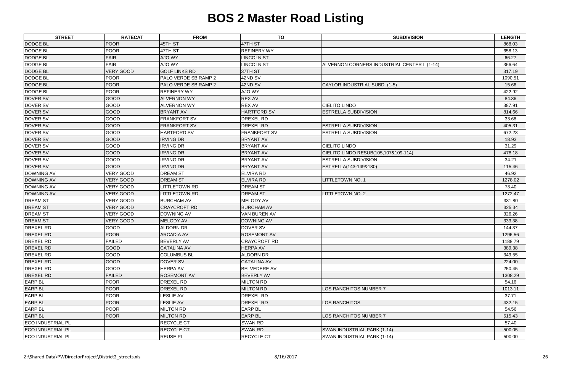| <b>STREET</b>            | <b>RATECAT</b>   | <b>FROM</b>          | <b>TO</b>           | <b>SUBDIVISION</b>                           | <b>LENGTH</b> |
|--------------------------|------------------|----------------------|---------------------|----------------------------------------------|---------------|
| <b>DODGE BL</b>          | <b>POOR</b>      | 45TH ST              | 47TH ST             |                                              | 868.03        |
| <b>DODGE BL</b>          | <b>POOR</b>      | 47TH ST              | <b>REFINERY WY</b>  |                                              | 658.13        |
| <b>DODGE BL</b>          | <b>FAIR</b>      | <b>AJO WY</b>        | <b>LINCOLN ST</b>   |                                              | 66.27         |
| <b>DODGE BL</b>          | <b>FAIR</b>      | <b>AJO WY</b>        | <b>LINCOLN ST</b>   | ALVERNON CORNERS INDUSTRIAL CENTER II (1-14) | 366.64        |
| <b>DODGE BL</b>          | <b>VERY GOOD</b> | <b>GOLF LINKS RD</b> | 37TH ST             |                                              | 317.19        |
| <b>DODGE BL</b>          | <b>POOR</b>      | PALO VERDE SB RAMP 2 | 42ND SV             |                                              | 1090.51       |
| <b>DODGE BL</b>          | <b>POOR</b>      | PALO VERDE SB RAMP 2 | 42ND SV             | CAYLOR INDUSTRIAL SUBD. (1-5)                | 15.66         |
| <b>DODGE BL</b>          | <b>POOR</b>      | <b>REFINERY WY</b>   | AJO WY              |                                              | 422.92        |
| <b>DOVER SV</b>          | GOOD             | <b>ALVERNON WY</b>   | <b>REX AV</b>       |                                              | 84.36         |
| DOVER SV                 | GOOD             | <b>ALVERNON WY</b>   | <b>REX AV</b>       | <b>CIELITO LINDO</b>                         | 387.91        |
| <b>DOVER SV</b>          | GOOD             | <b>BRYANT AV</b>     | <b>HARTFORD SV</b>  | ESTRELLA SUBDIVISION                         | 814.66        |
| <b>DOVER SV</b>          | GOOD             | <b>FRANKFORT SV</b>  | <b>DREXEL RD</b>    |                                              | 33.68         |
| <b>DOVER SV</b>          | GOOD             | <b>FRANKFORT SV</b>  | <b>DREXEL RD</b>    | <b>ESTRELLA SUBDIVISION</b>                  | 405.31        |
| DOVER SV                 | GOOD             | <b>HARTFORD SV</b>   | <b>FRANKFORT SV</b> | ESTRELLA SUBDIVISION                         | 672.23        |
| <b>DOVER SV</b>          | GOOD             | <b>IRVING DR</b>     | <b>BRYANT AV</b>    |                                              | 18.93         |
| DOVER SV                 | GOOD             | <b>IRVING DR</b>     | <b>BRYANT AV</b>    | <b>CIELITO LINDO</b>                         | 31.29         |
| <b>DOVER SV</b>          | GOOD             | <b>IRVING DR</b>     | <b>BRYANT AV</b>    | CIELITO LINDO RESUB(105,107&109-114)         | 478.18        |
| <b>DOVER SV</b>          | GOOD             | <b>IRVING DR</b>     | <b>BRYANT AV</b>    | <b>ESTRELLA SUBDIVISION</b>                  | 34.21         |
| <b>DOVER SV</b>          | GOOD             | <b>IRVING DR</b>     | <b>BRYANT AV</b>    | ESTRELLA(143-149&180)                        | 115.46        |
| <b>DOWNING AV</b>        | <b>VERY GOOD</b> | <b>DREAM ST</b>      | <b>ELVIRA RD</b>    |                                              | 46.92         |
| <b>DOWNING AV</b>        | <b>VERY GOOD</b> | <b>DREAM ST</b>      | <b>ELVIRA RD</b>    | <b>LITTLETOWN NO. 1</b>                      | 1278.02       |
| <b>DOWNING AV</b>        | <b>VERY GOOD</b> | <b>LITTLETOWN RD</b> | <b>DREAM ST</b>     |                                              | 73.40         |
| <b>DOWNING AV</b>        | <b>VERY GOOD</b> | <b>LITTLETOWN RD</b> | <b>DREAM ST</b>     | <b>LITTLETOWN NO. 2</b>                      | 1272.47       |
| <b>DREAM ST</b>          | <b>VERY GOOD</b> | <b>BURCHAM AV</b>    | MELODY AV           |                                              | 331.80        |
| <b>DREAM ST</b>          | <b>VERY GOOD</b> | <b>CRAYCROFT RD</b>  | <b>BURCHAM AV</b>   |                                              | 325.34        |
| <b>DREAM ST</b>          | <b>VERY GOOD</b> | <b>DOWNING AV</b>    | <b>VAN BUREN AV</b> |                                              | 326.26        |
| <b>DREAM ST</b>          | <b>VERY GOOD</b> | <b>MELODY AV</b>     | <b>DOWNING AV</b>   |                                              | 333.38        |
| <b>DREXEL RD</b>         | GOOD             | <b>ALDORN DR</b>     | DOVER SV            |                                              | 144.37        |
| <b>DREXEL RD</b>         | <b>POOR</b>      | <b>ARCADIA AV</b>    | <b>ROSEMONT AV</b>  |                                              | 1296.56       |
| <b>DREXEL RD</b>         | <b>FAILED</b>    | <b>BEVERLY AV</b>    | <b>CRAYCROFT RD</b> |                                              | 1188.79       |
| <b>DREXEL RD</b>         | <b>GOOD</b>      | <b>CATALINA AV</b>   | <b>HERPA AV</b>     |                                              | 389.38        |
| <b>DREXEL RD</b>         | <b>GOOD</b>      | <b>COLUMBUS BL</b>   | <b>ALDORN DR</b>    |                                              | 349.55        |
| <b>DREXEL RD</b>         | GOOD             | <b>DOVER SV</b>      | <b>CATALINA AV</b>  |                                              | 224.00        |
| <b>DREXEL RD</b>         | GOOD             | <b>HERPA AV</b>      | <b>BELVEDERE AV</b> |                                              | 250.45        |
| <b>DREXEL RD</b>         | <b>FAILED</b>    | <b>ROSEMONT AV</b>   | <b>BEVERLY AV</b>   |                                              | 1308.29       |
| <b>EARP BL</b>           | <b>POOR</b>      | DREXEL RD            | <b>MILTON RD</b>    |                                              | 54.16         |
| <b>EARP BL</b>           | <b>POOR</b>      | DREXEL RD            | <b>MILTON RD</b>    | LOS RANCHITOS NUMBER 7                       | 1013.11       |
| <b>EARP BL</b>           | <b>POOR</b>      | <b>LESLIE AV</b>     | <b>DREXEL RD</b>    |                                              | 37.71         |
| <b>EARP BL</b>           | <b>POOR</b>      | <b>LESLIE AV</b>     | <b>DREXEL RD</b>    | LOS RANCHITOS                                | 432.15        |
| <b>EARP BL</b>           | <b>POOR</b>      | <b>MILTON RD</b>     | <b>EARP BL</b>      |                                              | 54.56         |
| <b>EARP BL</b>           | <b>POOR</b>      | <b>MILTON RD</b>     | <b>EARP BL</b>      | LOS RANCHITOS NUMBER 7                       | 515.43        |
| <b>ECO INDUSTRIAL PL</b> |                  | <b>RECYCLE CT</b>    | <b>SWAN RD</b>      |                                              | 57.40         |
| <b>ECO INDUSTRIAL PL</b> |                  | <b>RECYCLE CT</b>    | <b>SWAN RD</b>      | SWAN INDUSTRIAL PARK (1-14)                  | 500.05        |
| <b>ECO INDUSTRIAL PL</b> |                  | <b>REUSE PL</b>      | <b>RECYCLE CT</b>   | SWAN INDUSTRIAL PARK (1-14)                  | 500.00        |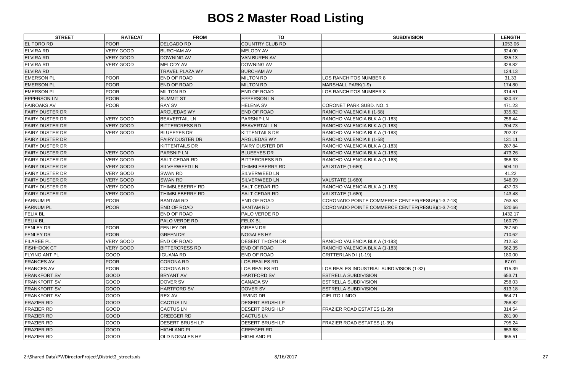| <b>STREET</b>          | <b>RATECAT</b>   | <b>FROM</b>            | <b>TO</b>              | <b>SUBDIVISION</b>                               | <b>LENGTH</b> |
|------------------------|------------------|------------------------|------------------------|--------------------------------------------------|---------------|
| <b>EL TORO RD</b>      | <b>POOR</b>      | <b>DELGADO RD</b>      | <b>COUNTRY CLUB RD</b> |                                                  | 1053.06       |
| <b>ELVIRA RD</b>       | <b>VERY GOOD</b> | <b>BURCHAM AV</b>      | <b>MELODY AV</b>       |                                                  | 324.00        |
| <b>ELVIRA RD</b>       | <b>VERY GOOD</b> | <b>DOWNING AV</b>      | <b>VAN BUREN AV</b>    |                                                  | 335.13        |
| <b>ELVIRA RD</b>       | VERY GOOD        | <b>MELODY AV</b>       | DOWNING AV             |                                                  | 328.82        |
| <b>ELVIRA RD</b>       |                  | <b>TRAVEL PLAZA WY</b> | <b>BURCHAM AV</b>      |                                                  | 124.13        |
| <b>EMERSON PL</b>      | <b>POOR</b>      | END OF ROAD            | <b>MILTON RD</b>       | LOS RANCHITOS NUMBER 8                           | 31.33         |
| <b>EMERSON PL</b>      | <b>POOR</b>      | <b>END OF ROAD</b>     | <b>MILTON RD</b>       | <b>MARSHALL PARK(1-9)</b>                        | 174.80        |
| <b>EMERSON PL</b>      | <b>POOR</b>      | <b>MILTON RD</b>       | <b>END OF ROAD</b>     | LOS RANCHITOS NUMBER 8                           | 314.51        |
| <b>EPPERSON LN</b>     | <b>POOR</b>      | <b>SUMMIT ST</b>       | <b>EPPERSON LN</b>     |                                                  | 630.47        |
| <b>FAIROAKS AV</b>     | <b>POOR</b>      | <b>RAY SV</b>          | <b>HELENA SV</b>       | CORONET PARK SUBD. NO. 1                         | 471.23        |
| <b>FAIRY DUSTER DR</b> |                  | ARGUEDAS WY            | <b>END OF ROAD</b>     | RANCHO VALENCIA II (1-58)                        | 335.82        |
| <b>FAIRY DUSTER DR</b> | <b>VERY GOOD</b> | <b>BEAVERTAIL LN</b>   | <b>PARSNIP LN</b>      | RANCHO VALENCIA BLK A (1-183)                    | 256.44        |
| <b>FAIRY DUSTER DR</b> | <b>VERY GOOD</b> | <b>BITTERCRESS RD</b>  | <b>BEAVERTAIL LN</b>   | RANCHO VALENCIA BLK A (1-183)                    | 204.73        |
| <b>FAIRY DUSTER DR</b> | <b>VERY GOOD</b> | <b>BLUEEYES DR</b>     | <b>KITTENTAILS DR</b>  | RANCHO VALENCIA BLK A (1-183)                    | 202.37        |
| <b>FAIRY DUSTER DR</b> |                  | <b>FAIRY DUSTER DR</b> | <b>ARGUEDAS WY</b>     | RANCHO VALENCIA II (1-58)                        | 131.11        |
| <b>FAIRY DUSTER DR</b> |                  | <b>KITTENTAILS DR</b>  | <b>FAIRY DUSTER DR</b> | RANCHO VALENCIA BLK A (1-183)                    | 287.84        |
| <b>FAIRY DUSTER DR</b> | <b>VERY GOOD</b> | <b>PARSNIP LN</b>      | <b>BLUEEYES DR</b>     | RANCHO VALENCIA BLK A (1-183)                    | 473.26        |
| <b>FAIRY DUSTER DR</b> | <b>VERY GOOD</b> | <b>SALT CEDAR RD</b>   | <b>BITTERCRESS RD</b>  | RANCHO VALENCIA BLK A (1-183)                    | 358.93        |
| <b>FAIRY DUSTER DR</b> | <b>VERY GOOD</b> | <b>SILVERWEED LN</b>   | THIMBLEBERRY RD        | VALSTATE (1-680)                                 | 504.10        |
| <b>FAIRY DUSTER DR</b> | <b>VERY GOOD</b> | SWAN RD                | <b>SILVERWEED LN</b>   |                                                  | 41.22         |
| <b>FAIRY DUSTER DR</b> | <b>VERY GOOD</b> | <b>SWAN RD</b>         | <b>SILVERWEED LN</b>   | <b>VALSTATE (1-680)</b>                          | 548.09        |
| <b>FAIRY DUSTER DR</b> | <b>VERY GOOD</b> | THIMBLEBERRY RD        | <b>SALT CEDAR RD</b>   | RANCHO VALENCIA BLK A (1-183)                    | 437.03        |
| <b>FAIRY DUSTER DR</b> | <b>VERY GOOD</b> | THIMBLEBERRY RD        | <b>SALT CEDAR RD</b>   | <b>VALSTATE (1-680)</b>                          | 143.48        |
| <b>FARNUM PL</b>       | <b>POOR</b>      | <b>BANTAM RD</b>       | <b>END OF ROAD</b>     | CORONADO POINTE COMMERCE CENTER(RESUB)(1-3,7-18) | 763.53        |
| <b>FARNUM PL</b>       | <b>POOR</b>      | <b>END OF ROAD</b>     | <b>BANTAM RD</b>       | CORONADO POINTE COMMERCE CENTER(RESUB)(1-3,7-18) | 520.66        |
| <b>FELIX BL</b>        |                  | <b>END OF ROAD</b>     | <b>PALO VERDE RD</b>   |                                                  | 1432.17       |
| <b>FELIX BL</b>        |                  | PALO VERDE RD          | <b>FELIX BL</b>        |                                                  | 160.79        |
| <b>FENLEY DR</b>       | <b>POOR</b>      | <b>FENLEY DR</b>       | <b>GREEN DR</b>        |                                                  | 267.50        |
| <b>FENLEY DR</b>       | <b>POOR</b>      | <b>GREEN DR</b>        | <b>NOGALES HY</b>      |                                                  | 710.62        |
| <b>FILAREE PL</b>      | VERY GOOD        | <b>END OF ROAD</b>     | <b>DESERT THORN DR</b> | RANCHO VALENCIA BLK A (1-183)                    | 212.53        |
| <b>FISHHOOK CT</b>     | <b>VERY GOOD</b> | <b>BITTERCRESS RD</b>  | <b>END OF ROAD</b>     | RANCHO VALENCIA BLK A (1-183)                    | 662.35        |
| <b>FLYING ANT PL</b>   | GOOD             | <b>IGUANA RD</b>       | <b>END OF ROAD</b>     | CRITTERLAND I (1-19)                             | 180.00        |
| <b>FRANCES AV</b>      | <b>POOR</b>      | <b>CORONA RD</b>       | <b>LOS REALES RD</b>   |                                                  | 67.01         |
| <b>FRANCES AV</b>      | <b>POOR</b>      | CORONA RD              | <b>LOS REALES RD</b>   | LOS REALES INDUSTRIAL SUBDIVISION (1-32)         | 915.39        |
| <b>FRANKFORT SV</b>    | <b>GOOD</b>      | <b>BRYANT AV</b>       | HARTFORD SV            | ESTRELLA SUBDIVISION                             | 653.71        |
| <b>FRANKFORT SV</b>    | GOOD             | DOVER SV               | <b>CANADA SV</b>       | ESTRELLA SUBDIVISION                             | 258.03        |
| <b>FRANKFORT SV</b>    | GOOD             | <b>HARTFORD SV</b>     | DOVER SV               | <b>ESTRELLA SUBDIVISION</b>                      | 813.18        |
| <b>FRANKFORT SV</b>    | GOOD             | <b>REX AV</b>          | <b>IRVING DR</b>       | <b>CIELITO LINDO</b>                             | 664.71        |
| <b>FRAZIER RD</b>      | GOOD             | <b>CACTUS LN</b>       | <b>DESERT BRUSH LP</b> |                                                  | 258.82        |
| <b>FRAZIER RD</b>      | GOOD             | <b>CACTUS LN</b>       | <b>DESERT BRUSH LP</b> | FRAZIER ROAD ESTATES (1-39)                      | 314.54        |
| <b>FRAZIER RD</b>      | GOOD             | <b>CREEGER RD</b>      | <b>CACTUS LN</b>       |                                                  | 281.90        |
| <b>FRAZIER RD</b>      | GOOD             | <b>DESERT BRUSH LP</b> | <b>DESERT BRUSH LP</b> | FRAZIER ROAD ESTATES (1-39)                      | 795.24        |
| <b>FRAZIER RD</b>      | GOOD             | <b>HIGHLAND PL</b>     | <b>CREEGER RD</b>      |                                                  | 653.68        |
| <b>FRAZIER RD</b>      | GOOD             | <b>OLD NOGALES HY</b>  | <b>HIGHLAND PL</b>     |                                                  | 965.51        |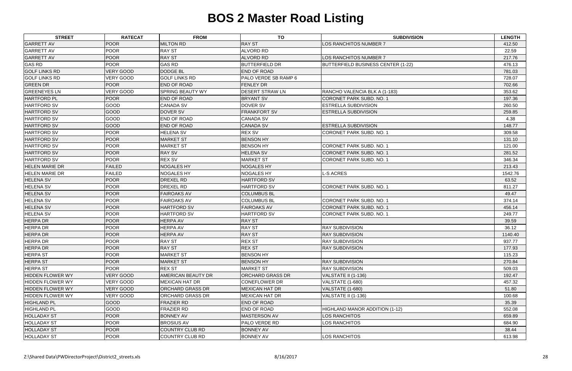| <b>STREET</b>           | <b>RATECAT</b>   | <b>FROM</b>             | <b>TO</b>                   | <b>SUBDIVISION</b>                        | <b>LENGTH</b> |
|-------------------------|------------------|-------------------------|-----------------------------|-------------------------------------------|---------------|
| <b>GARRETT AV</b>       | <b>POOR</b>      | <b>MILTON RD</b>        | <b>RAY ST</b>               | LOS RANCHITOS NUMBER 7                    | 412.50        |
| <b>GARRETT AV</b>       | <b>POOR</b>      | <b>RAY ST</b>           | <b>ALVORD RD</b>            |                                           | 22.59         |
| <b>GARRETT AV</b>       | <b>POOR</b>      | <b>RAY ST</b>           | <b>ALVORD RD</b>            | LOS RANCHITOS NUMBER 7                    | 217.76        |
| <b>GAS RD</b>           | <b>POOR</b>      | <b>GAS RD</b>           | <b>BUTTERFIELD DR</b>       | <b>BUTTERFIELD BUSINESS CENTER (1-22)</b> | 476.13        |
| <b>GOLF LINKS RD</b>    | <b>VERY GOOD</b> | <b>DODGE BL</b>         | <b>END OF ROAD</b>          |                                           | 781.03        |
| <b>GOLF LINKS RD</b>    | <b>VERY GOOD</b> | <b>GOLF LINKS RD</b>    | <b>PALO VERDE SB RAMP 6</b> |                                           | 728.07        |
| <b>GREEN DR</b>         | <b>POOR</b>      | <b>END OF ROAD</b>      | <b>FENLEY DR</b>            |                                           | 702.66        |
| <b>GREENEYES LN</b>     | <b>VERY GOOD</b> | <b>SPRING BEAUTY WY</b> | <b>DESERT STRAW LN</b>      | RANCHO VALENCIA BLK A (1-183)             | 353.62        |
| <b>HARTFORD PL</b>      | <b>POOR</b>      | <b>END OF ROAD</b>      | <b>BRYANT SV</b>            | CORONET PARK SUBD. NO. 1                  | 197.36        |
| HARTFORD SV             | GOOD             | <b>CANADA SV</b>        | DOVER SV                    | <b>ESTRELLA SUBDIVISION</b>               | 260.50        |
| <b>HARTFORD SV</b>      | GOOD             | DOVER SV                | <b>FRANKFORT SV</b>         | <b>ESTRELLA SUBDIVISION</b>               | 259.85        |
| HARTFORD SV             | GOOD             | <b>END OF ROAD</b>      | <b>CANADA SV</b>            |                                           | 4.38          |
| <b>HARTFORD SV</b>      | GOOD             | <b>END OF ROAD</b>      | <b>CANADA SV</b>            | <b>ESTRELLA SUBDIVISION</b>               | 148.77        |
| <b>HARTFORD SV</b>      | <b>POOR</b>      | <b>HELENA SV</b>        | <b>REX SV</b>               | <b>CORONET PARK SUBD. NO. 1</b>           | 309.58        |
| <b>HARTFORD SV</b>      | <b>POOR</b>      | <b>MARKET ST</b>        | <b>BENSON HY</b>            |                                           | 131.10        |
| <b>HARTFORD SV</b>      | <b>POOR</b>      | <b>MARKET ST</b>        | <b>BENSON HY</b>            | <b>CORONET PARK SUBD. NO. 1</b>           | 121.00        |
| <b>HARTFORD SV</b>      | POOR             | <b>RAY SV</b>           | <b>HELENA SV</b>            | CORONET PARK SUBD. NO. 1                  | 281.52        |
| <b>HARTFORD SV</b>      | <b>POOR</b>      | <b>REX SV</b>           | <b>MARKET ST</b>            | <b>CORONET PARK SUBD, NO. 1</b>           | 346.34        |
| <b>HELEN MARIE DR</b>   | <b>FAILED</b>    | <b>NOGALES HY</b>       | <b>NOGALES HY</b>           |                                           | 213.43        |
| <b>HELEN MARIE DR</b>   | <b>FAILED</b>    | <b>NOGALES HY</b>       | <b>NOGALES HY</b>           | <b>L-S ACRES</b>                          | 1542.76       |
| <b>HELENA SV</b>        | <b>POOR</b>      | <b>DREXEL RD</b>        | <b>HARTFORD SV</b>          |                                           | 63.52         |
| <b>HELENA SV</b>        | <b>POOR</b>      | <b>DREXEL RD</b>        | <b>HARTFORD SV</b>          | CORONET PARK SUBD. NO. 1                  | 811.27        |
| <b>HELENA SV</b>        | <b>POOR</b>      | <b>FAIROAKS AV</b>      | <b>COLUMBUS BL</b>          |                                           | 49.47         |
| <b>HELENA SV</b>        | <b>POOR</b>      | <b>FAIROAKS AV</b>      | <b>COLUMBUS BL</b>          | CORONET PARK SUBD. NO. 1                  | 374.14        |
| <b>HELENA SV</b>        | <b>POOR</b>      | <b>HARTFORD SV</b>      | <b>FAIROAKS AV</b>          | <b>CORONET PARK SUBD. NO. 1</b>           | 456.14        |
| <b>HELENA SV</b>        | <b>POOR</b>      | <b>HARTFORD SV</b>      | <b>HARTFORD SV</b>          | <b>CORONET PARK SUBD. NO. 1</b>           | 249.77        |
| <b>HERPA DR</b>         | <b>POOR</b>      | <b>HERPA AV</b>         | <b>RAY ST</b>               |                                           | 39.59         |
| <b>HERPA DR</b>         | <b>POOR</b>      | <b>HERPA AV</b>         | <b>RAY ST</b>               | <b>RAY SUBDIVISION</b>                    | 36.12         |
| <b>HERPA DR</b>         | <b>POOR</b>      | <b>HERPA AV</b>         | <b>RAY ST</b>               | <b>RAY SUBDIVISION</b>                    | 1140.40       |
| <b>HERPA DR</b>         | <b>POOR</b>      | <b>RAY ST</b>           | <b>REX ST</b>               | <b>RAY SUBDIVISION</b>                    | 937.77        |
| <b>HERPA DR</b>         | <b>POOR</b>      | <b>RAY ST</b>           | <b>REX ST</b>               | <b>RAY SUBDIVISION</b>                    | 177.93        |
| <b>HERPA ST</b>         | <b>POOR</b>      | <b>MARKET ST</b>        | <b>BENSON HY</b>            |                                           | 115.23        |
| <b>HERPA ST</b>         | <b>POOR</b>      | <b>MARKET ST</b>        | <b>BENSON HY</b>            | <b>RAY SUBDIVISION</b>                    | 270.84        |
| <b>HERPA ST</b>         | <b>POOR</b>      | <b>REX ST</b>           | <b>MARKET ST</b>            | <b>RAY SUBDIVISION</b>                    | 509.03        |
| <b>HIDDEN FLOWER WY</b> | <b>VERY GOOD</b> | AMERICAN BEAUTY DR      | <b>ORCHARD GRASS DR</b>     | VALSTATE II (1-136)                       | 192.47        |
| <b>HIDDEN FLOWER WY</b> | <b>VERY GOOD</b> | <b>MEXICAN HAT DR</b>   | <b>CONEFLOWER DR</b>        | VALSTATE (1-680)                          | 457.32        |
| <b>HIDDEN FLOWER WY</b> | <b>VERY GOOD</b> | <b>ORCHARD GRASS DR</b> | <b>MEXICAN HAT DR</b>       | VALSTATE (1-680)                          | 51.80         |
| <b>HIDDEN FLOWER WY</b> | <b>VERY GOOD</b> | <b>ORCHARD GRASS DR</b> | <b>MEXICAN HAT DR</b>       | VALSTATE II (1-136)                       | 100.68        |
| <b>HIGHLAND PL</b>      | <b>GOOD</b>      | <b>FRAZIER RD</b>       | <b>END OF ROAD</b>          |                                           | 35.39         |
| <b>HIGHLAND PL</b>      | GOOD             | <b>FRAZIER RD</b>       | <b>END OF ROAD</b>          | HIGHLAND MANOR ADDITION (1-12)            | 552.08        |
| <b>HOLLADAY ST</b>      | <b>POOR</b>      | <b>BONNEY AV</b>        | <b>MASTERSON AV</b>         | LOS RANCHITOS                             | 659.89        |
| <b>HOLLADAY ST</b>      | <b>POOR</b>      | <b>BROSIUS AV</b>       | PALO VERDE RD               | LOS RANCHITOS                             | 684.90        |
| <b>HOLLADAY ST</b>      | <b>POOR</b>      | <b>COUNTRY CLUB RD</b>  | <b>BONNEY AV</b>            |                                           | 38.44         |
| <b>HOLLADAY ST</b>      | <b>POOR</b>      | <b>COUNTRY CLUB RD</b>  | <b>BONNEY AV</b>            | LOS RANCHITOS                             | 613.98        |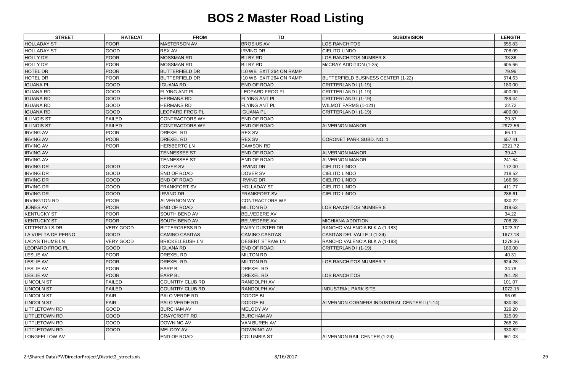| <b>STREET</b>          | <b>RATECAT</b>   | <b>FROM</b>            | <b>TO</b>               | <b>SUBDIVISION</b>                           | <b>LENGTH</b> |
|------------------------|------------------|------------------------|-------------------------|----------------------------------------------|---------------|
| <b>HOLLADAY ST</b>     | <b>POOR</b>      | <b>MASTERSON AV</b>    | <b>BROSIUS AV</b>       | LOS RANCHITOS                                | 655.83        |
| <b>HOLLADAY ST</b>     | GOOD             | <b>REX AV</b>          | <b>IRVING DR</b>        | <b>CIELITO LINDO</b>                         | 708.09        |
| <b>HOLLY DR</b>        | <b>POOR</b>      | <b>MOSSMAN RD</b>      | <b>BILBY RD</b>         | LOS RANCHITOS NUMBER 8                       | 33.86         |
| HOLLY DR               | <b>POOR</b>      | <b>MOSSMAN RD</b>      | <b>BILBY RD</b>         | McCRAY ADDITION (1-25)                       | 605.66        |
| <b>HOTEL DR</b>        | <b>POOR</b>      | <b>BUTTERFIELD DR</b>  | 110 WB EXIT 264 ON RAMP |                                              | 79.96         |
| <b>HOTEL DR</b>        | <b>POOR</b>      | <b>BUTTERFIELD DR</b>  | 110 WB EXIT 264 ON RAMP | <b>BUTTERFIELD BUSINESS CENTER (1-22)</b>    | 574.63        |
| <b>IGUANA PL</b>       | GOOD             | <b>IGUANA RD</b>       | <b>END OF ROAD</b>      | CRITTERLAND I (1-19)                         | 180.00        |
| <b>IGUANA RD</b>       | GOOD             | <b>FLYING ANT PL</b>   | LEOPARD FROG PL         | CRITTERLAND I (1-19)                         | 400.00        |
| <b>IGUANA RD</b>       | GOOD             | <b>HERMANS RD</b>      | <b>FLYING ANT PL</b>    | CRITTERLAND I (1-19)                         | 289.44        |
| <b>IGUANA RD</b>       | GOOD             | <b>HERMANS RD</b>      | <b>FLYING ANT PL</b>    | WILMOT FARMS (1-121)                         | 22.72         |
| <b>IGUANA RD</b>       | GOOD             | LEOPARD FROG PL        | <b>IGUANA PL</b>        | CRITTERLAND I (1-19)                         | 400.00        |
| <b>ILLINOIS ST</b>     | <b>FAILED</b>    | <b>CONTRACTORS WY</b>  | <b>END OF ROAD</b>      |                                              | 29.37         |
| <b>ILLINOIS ST</b>     | <b>FAILED</b>    | <b>CONTRACTORS WY</b>  | <b>END OF ROAD</b>      | <b>ALVERNON MANOR</b>                        | 2972.56       |
| <b>IRVING AV</b>       | <b>POOR</b>      | <b>DREXEL RD</b>       | <b>REX SV</b>           |                                              | 66.11         |
| <b>IRVING AV</b>       | <b>POOR</b>      | <b>DREXEL RD</b>       | <b>REX SV</b>           | CORONET PARK SUBD. NO. 1                     | 657.41        |
| <b>IRVING AV</b>       | <b>POOR</b>      | <b>HERIBERTO LN</b>    | <b>DAWSON RD</b>        |                                              | 2321.72       |
| <b>IRVING AV</b>       |                  | <b>TENNESSEE ST</b>    | <b>END OF ROAD</b>      | <b>ALVERNON MANOR</b>                        | 39.43         |
| <b>IRVING AV</b>       |                  | <b>TENNESSEE ST</b>    | <b>END OF ROAD</b>      | <b>ALVERNON MANOR</b>                        | 241.54        |
| <b>IRVING DR</b>       | GOOD             | <b>DOVER SV</b>        | <b>IRVING DR</b>        | <b>CIELITO LINDO</b>                         | 172.00        |
| <b>IRVING DR</b>       | GOOD             | <b>END OF ROAD</b>     | <b>DOVER SV</b>         | <b>CIELITO LINDO</b>                         | 219.52        |
| <b>IRVING DR</b>       | GOOD             | <b>END OF ROAD</b>     | <b>IRVING DR</b>        | <b>CIELITO LINDO</b>                         | 166.66        |
| <b>IRVING DR</b>       | GOOD             | <b>FRANKFORT SV</b>    | <b>HOLLADAY ST</b>      | <b>CIELITO LINDO</b>                         | 411.77        |
| <b>IRVING DR</b>       | GOOD             | <b>IRVING DR</b>       | <b>FRANKFORT SV</b>     | <b>CIELITO LINDO</b>                         | 286.61        |
| <b>IRVINGTON RD</b>    | <b>POOR</b>      | <b>ALVERNON WY</b>     | <b>CONTRACTORS WY</b>   |                                              | 330.22        |
| <b>JONES AV</b>        | <b>POOR</b>      | <b>END OF ROAD</b>     | <b>MILTON RD</b>        | LOS RANCHITOS NUMBER 8                       | 319.63        |
| <b>KENTUCKY ST</b>     | <b>POOR</b>      | <b>SOUTH BEND AV</b>   | <b>BELVEDERE AV</b>     |                                              | 34.22         |
| <b>KENTUCKY ST</b>     | <b>POOR</b>      | <b>SOUTH BEND AV</b>   | <b>BELVEDERE AV</b>     | <b>MICHIANA ADDITION</b>                     | 708.28        |
| <b>KITTENTAILS DR</b>  | <b>VERY GOOD</b> | <b>BITTERCRESS RD</b>  | <b>FAIRY DUSTER DR</b>  | RANCHO VALENCIA BLK A (1-183)                | 1023.37       |
| LA VUELTA DE PERNO     | GOOD             | <b>CAMINO CASITAS</b>  | <b>CAMINO CASITAS</b>   | CASITAS DEL VALLE II (1-34)                  | 1677.18       |
| <b>LADYS THUMB LN</b>  | VERY GOOD        | <b>BRICKELLBUSH LN</b> | <b>DESERT STRAW LN</b>  | RANCHO VALENCIA BLK A (1-183)                | 1278.36       |
| <b>LEOPARD FROG PL</b> | <b>GOOD</b>      | <b>IGUANA RD</b>       | <b>END OF ROAD</b>      | CRITTERLAND I (1-19)                         | 180.00        |
| <b>LESLIE AV</b>       | <b>POOR</b>      | DREXEL RD              | <b>MILTON RD</b>        |                                              | 40.31         |
| <b>LESLIE AV</b>       | <b>POOR</b>      | <b>DREXEL RD</b>       | <b>MILTON RD</b>        | LOS RANCHITOS NUMBER 7                       | 624.28        |
| <b>LESLIE AV</b>       | <b>POOR</b>      | <b>EARP BL</b>         | <b>DREXEL RD</b>        |                                              | 34.78         |
| <b>LESLIE AV</b>       | <b>POOR</b>      | <b>EARP BL</b>         | <b>DREXEL RD</b>        | LOS RANCHITOS                                | 261.28        |
| <b>LINCOLN ST</b>      | <b>FAILED</b>    | <b>COUNTRY CLUB RD</b> | <b>RANDOLPH AV</b>      |                                              | 101.07        |
| <b>LINCOLN ST</b>      | <b>FAILED</b>    | <b>COUNTRY CLUB RD</b> | <b>RANDOLPH AV</b>      | <b>INDUSTRIAL PARK SITE</b>                  | 1072.15       |
| <b>LINCOLN ST</b>      | <b>FAIR</b>      | <b>PALO VERDE RD</b>   | <b>DODGE BL</b>         |                                              | 96.09         |
| <b>LINCOLN ST</b>      | <b>FAIR</b>      | <b>PALO VERDE RD</b>   | <b>DODGE BL</b>         | ALVERNON CORNERS INDUSTRIAL CENTER II (1-14) | 930.38        |
| <b>LITTLETOWN RD</b>   | GOOD             | <b>BURCHAM AV</b>      | <b>MELODY AV</b>        |                                              | 329.20        |
| <b>LITTLETOWN RD</b>   | <b>GOOD</b>      | <b>CRAYCROFT RD</b>    | <b>BURCHAM AV</b>       |                                              | 325.09        |
| <b>LITTLETOWN RD</b>   | GOOD             | <b>DOWNING AV</b>      | <b>VAN BUREN AV</b>     |                                              | 268.26        |
| <b>LITTLETOWN RD</b>   | GOOD             | <b>MELODY AV</b>       | DOWNING AV              |                                              | 330.82        |
| LONGFELLOW AV          |                  | <b>END OF ROAD</b>     | <b>COLUMBIA ST</b>      | ALVERNON RAIL CENTER (1-24)                  | 661.03        |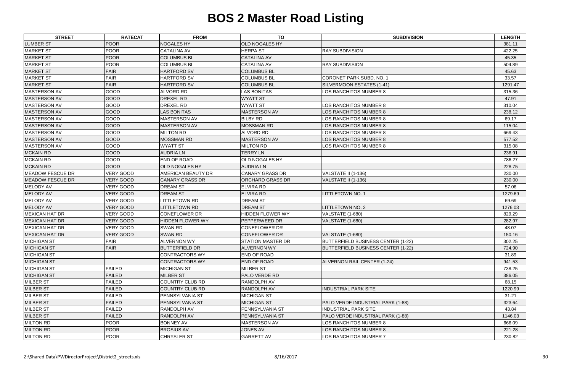| <b>STREET</b>           | <b>RATECAT</b>   | <b>FROM</b>             | <b>TO</b>              | <b>SUBDIVISION</b>                 | <b>LENGTH</b> |
|-------------------------|------------------|-------------------------|------------------------|------------------------------------|---------------|
| <b>LUMBER ST</b>        | POOR             | <b>NOGALES HY</b>       | <b>OLD NOGALES HY</b>  |                                    | 381.11        |
| <b>MARKET ST</b>        | POOR             | <b>CATALINA AV</b>      | <b>HERPA ST</b>        | <b>RAY SUBDIVISION</b>             | 422.25        |
| <b>MARKET ST</b>        | POOR             | <b>COLUMBUS BL</b>      | <b>CATALINA AV</b>     |                                    | 45.35         |
| <b>MARKET ST</b>        | POOR             | <b>COLUMBUS BL</b>      | <b>CATALINA AV</b>     | <b>RAY SUBDIVISION</b>             | 504.89        |
| <b>MARKET ST</b>        | <b>FAIR</b>      | <b>HARTFORD SV</b>      | <b>COLUMBUS BL</b>     |                                    | 45.63         |
| <b>MARKET ST</b>        | <b>FAIR</b>      | <b>HARTFORD SV</b>      | <b>COLUMBUS BL</b>     | <b>CORONET PARK SUBD. NO. 1</b>    | 33.57         |
| <b>MARKET ST</b>        | <b>FAIR</b>      | <b>HARTFORD SV</b>      | <b>COLUMBUS BL</b>     | SILVERMOON ESTATES (1-41)          | 1291.47       |
| <b>MASTERSON AV</b>     | GOOD             | ALVORD RD               | <b>LAS BONITAS</b>     | LOS RANCHITOS NUMBER 8             | 315.36        |
| <b>MASTERSON AV</b>     | <b>GOOD</b>      | <b>DREXEL RD</b>        | <b>WYATT ST</b>        |                                    | 47.91         |
| <b>MASTERSON AV</b>     | GOOD             | <b>DREXEL RD</b>        | <b>WYATT ST</b>        | LOS RANCHITOS NUMBER 8             | 310.04        |
| <b>MASTERSON AV</b>     | <b>GOOD</b>      | <b>LAS BONITAS</b>      | MASTERSON AV           | LOS RANCHITOS NUMBER 8             | 238.12        |
| <b>MASTERSON AV</b>     | <b>GOOD</b>      | <b>MASTERSON AV</b>     | <b>BILBY RD</b>        | <b>LOS RANCHITOS NUMBER 8</b>      | 69.17         |
| <b>MASTERSON AV</b>     | GOOD             | <b>MASTERSON AV</b>     | <b>MOSSMAN RD</b>      | LOS RANCHITOS NUMBER 8             | 115.04        |
| <b>MASTERSON AV</b>     | GOOD             | <b>MILTON RD</b>        | <b>ALVORD RD</b>       | LOS RANCHITOS NUMBER 8             | 669.43        |
| <b>MASTERSON AV</b>     | <b>GOOD</b>      | <b>MOSSMAN RD</b>       | <b>MASTERSON AV</b>    | LOS RANCHITOS NUMBER 8             | 577.52        |
| <b>MASTERSON AV</b>     | GOOD             | <b>WYATT ST</b>         | <b>MILTON RD</b>       | LOS RANCHITOS NUMBER 8             | 315.08        |
| <b>MCKAIN RD</b>        | GOOD             | <b>AUDRIA LN</b>        | <b>TERRY LN</b>        |                                    | 236.91        |
| <b>MCKAIN RD</b>        | GOOD             | <b>END OF ROAD</b>      | OLD NOGALES HY         |                                    | 786.27        |
| <b>MCKAIN RD</b>        | <b>GOOD</b>      | <b>OLD NOGALES HY</b>   | <b>AUDRIA LN</b>       |                                    | 228.75        |
| <b>MEADOW FESCUE DR</b> | <b>VERY GOOD</b> | AMERICAN BEAUTY DR      | <b>CANARY GRASS DR</b> | VALSTATE II (1-136)                | 230.00        |
| <b>MEADOW FESCUE DR</b> | <b>VERY GOOD</b> | <b>CANARY GRASS DR</b>  | ORCHARD GRASS DR       | VALSTATE II (1-136)                | 230.00        |
| <b>MELODY AV</b>        | <b>VERY GOOD</b> | <b>DREAM ST</b>         | <b>ELVIRA RD</b>       |                                    | 57.06         |
| <b>MELODY AV</b>        | <b>VERY GOOD</b> | <b>DREAM ST</b>         | <b>ELVIRA RD</b>       | <b>LITTLETOWN NO. 1</b>            | 1279.69       |
| <b>MELODY AV</b>        | <b>VERY GOOD</b> | <b>LITTLETOWN RD</b>    | <b>DREAM ST</b>        |                                    | 69.69         |
| <b>MELODY AV</b>        | <b>VERY GOOD</b> | <b>LITTLETOWN RD</b>    | <b>DREAM ST</b>        | LITTLETOWN NO. 2                   | 1276.03       |
| <b>MEXICAN HAT DR</b>   | <b>VERY GOOD</b> | <b>CONEFLOWER DR</b>    | HIDDEN FLOWER WY       | VALSTATE (1-680)                   | 829.29        |
| <b>MEXICAN HAT DR</b>   | <b>VERY GOOD</b> | <b>HIDDEN FLOWER WY</b> | PEPPERWEED DR          | <b>VALSTATE (1-680)</b>            | 282.97        |
| <b>MEXICAN HAT DR</b>   | VERY GOOD        | <b>SWAN RD</b>          | <b>CONEFLOWER DR</b>   |                                    | 48.07         |
| <b>MEXICAN HAT DR</b>   | VERY GOOD        | <b>SWAN RD</b>          | <b>CONEFLOWER DR</b>   | VALSTATE (1-680)                   | 150.16        |
| <b>MICHIGAN ST</b>      | <b>FAIR</b>      | <b>ALVERNON WY</b>      | STATION MASTER DR      | BUTTERFIELD BUSINESS CENTER (1-22) | 302.25        |
| <b>MICHIGAN ST</b>      | <b>FAIR</b>      | <b>BUTTERFIELD DR</b>   | <b>ALVERNON WY</b>     | BUTTERFIELD BUSINESS CENTER (1-22) | 724.90        |
| <b>MICHIGAN ST</b>      |                  | <b>CONTRACTORS WY</b>   | <b>END OF ROAD</b>     |                                    | 31.89         |
| <b>MICHIGAN ST</b>      |                  | <b>CONTRACTORS WY</b>   | <b>END OF ROAD</b>     | ALVERNON RAIL CENTER (1-24)        | 941.53        |
| <b>MICHIGAN ST</b>      | <b>FAILED</b>    | <b>MICHIGAN ST</b>      | <b>MILBER ST</b>       |                                    | 738.25        |
| <b>MICHIGAN ST</b>      | <b>FAILED</b>    | <b>MILBER ST</b>        | PALO VERDE RD          |                                    | 386.05        |
| <b>MILBER ST</b>        | <b>FAILED</b>    | COUNTRY CLUB RD         | RANDOLPH AV            |                                    | 68.15         |
| <b>MILBER ST</b>        | <b>FAILED</b>    | COUNTRY CLUB RD         | RANDOLPH AV            | <b>INDUSTRIAL PARK SITE</b>        | 1220.99       |
| <b>MILBER ST</b>        | <b>FAILED</b>    | <b>PENNSYLVANIA ST</b>  | <b>MICHIGAN ST</b>     |                                    | 31.21         |
| <b>MILBER ST</b>        | <b>FAILED</b>    | <b>PENNSYLVANIA ST</b>  | <b>MICHIGAN ST</b>     | PALO VERDE INDUSTRIAL PARK (1-88)  | 323.64        |
| <b>MILBER ST</b>        | <b>FAILED</b>    | <b>RANDOLPH AV</b>      | PENNSYLVANIA ST        | <b>INDUSTRIAL PARK SITE</b>        | 43.84         |
| <b>MILBER ST</b>        | <b>FAILED</b>    | <b>RANDOLPH AV</b>      | PENNSYLVANIA ST        | PALO VERDE INDUSTRIAL PARK (1-88)  | 1146.03       |
| <b>MILTON RD</b>        | <b>POOR</b>      | <b>BONNEY AV</b>        | MASTERSON AV           | LOS RANCHITOS NUMBER 8             | 666.09        |
| <b>MILTON RD</b>        | <b>POOR</b>      | <b>BROSIUS AV</b>       | <b>JONES AV</b>        | LOS RANCHITOS NUMBER 8             | 221.28        |
| <b>MILTON RD</b>        | <b>POOR</b>      | <b>CHRYSLER ST</b>      | <b>GARRETT AV</b>      | LOS RANCHITOS NUMBER 7             | 230.82        |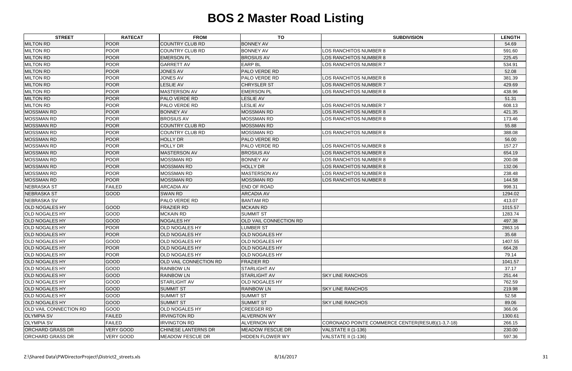| <b>STREET</b>                 | <b>RATECAT</b>   | <b>FROM</b>                | <b>TO</b>                     | <b>SUBDIVISION</b>                               | <b>LENGTH</b> |
|-------------------------------|------------------|----------------------------|-------------------------------|--------------------------------------------------|---------------|
| <b>MILTON RD</b>              | <b>POOR</b>      | <b>COUNTRY CLUB RD</b>     | <b>BONNEY AV</b>              |                                                  | 54.69         |
| <b>MILTON RD</b>              | <b>POOR</b>      | <b>COUNTRY CLUB RD</b>     | <b>BONNEY AV</b>              | LOS RANCHITOS NUMBER 8                           | 591.60        |
| <b>MILTON RD</b>              | <b>POOR</b>      | <b>EMERSON PL</b>          | <b>BROSIUS AV</b>             | LOS RANCHITOS NUMBER 8                           | 225.45        |
| <b>MILTON RD</b>              | <b>POOR</b>      | <b>GARRETT AV</b>          | <b>EARP BL</b>                | <b>LOS RANCHITOS NUMBER 7</b>                    | 534.91        |
| <b>MILTON RD</b>              | <b>POOR</b>      | <b>JONES AV</b>            | <b>PALO VERDE RD</b>          |                                                  | 52.08         |
| <b>MILTON RD</b>              | <b>POOR</b>      | <b>JONES AV</b>            | <b>PALO VERDE RD</b>          | LOS RANCHITOS NUMBER 8                           | 381.39        |
| <b>MILTON RD</b>              | <b>POOR</b>      | <b>LESLIE AV</b>           | <b>CHRYSLER ST</b>            | LOS RANCHITOS NUMBER 7                           | 429.69        |
| <b>MILTON RD</b>              | <b>POOR</b>      | <b>MASTERSON AV</b>        | <b>EMERSON PL</b>             | LOS RANCHITOS NUMBER 8                           | 438.96        |
| <b>MILTON RD</b>              | <b>POOR</b>      | <b>PALO VERDE RD</b>       | <b>LESLIE AV</b>              |                                                  | 51.31         |
| <b>MILTON RD</b>              | <b>POOR</b>      | <b>PALO VERDE RD</b>       | <b>LESLIE AV</b>              | LOS RANCHITOS NUMBER 7                           | 608.13        |
| <b>MOSSMAN RD</b>             | <b>POOR</b>      | <b>BONNEY AV</b>           | <b>MOSSMAN RD</b>             | LOS RANCHITOS NUMBER 8                           | 421.35        |
| <b>MOSSMAN RD</b>             | <b>POOR</b>      | <b>BROSIUS AV</b>          | <b>MOSSMAN RD</b>             | LOS RANCHITOS NUMBER 8                           | 173.46        |
| <b>MOSSMAN RD</b>             | <b>POOR</b>      | <b>COUNTRY CLUB RD</b>     | <b>MOSSMAN RD</b>             |                                                  | 55.88         |
| <b>MOSSMAN RD</b>             | <b>POOR</b>      | <b>COUNTRY CLUB RD</b>     | <b>MOSSMAN RD</b>             | LOS RANCHITOS NUMBER 8                           | 388.08        |
| <b>MOSSMAN RD</b>             | <b>POOR</b>      | <b>HOLLY DR</b>            | <b>PALO VERDE RD</b>          |                                                  | 56.00         |
| <b>MOSSMAN RD</b>             | <b>POOR</b>      | <b>HOLLY DR</b>            | <b>PALO VERDE RD</b>          | LOS RANCHITOS NUMBER 8                           | 157.27        |
| <b>MOSSMAN RD</b>             | <b>POOR</b>      | <b>MASTERSON AV</b>        | <b>BROSIUS AV</b>             | LOS RANCHITOS NUMBER 8                           | 654.19        |
| <b>MOSSMAN RD</b>             | <b>POOR</b>      | MOSSMAN RD                 | <b>BONNEY AV</b>              | LOS RANCHITOS NUMBER 8                           | 200.08        |
| <b>MOSSMAN RD</b>             | <b>POOR</b>      | <b>MOSSMAN RD</b>          | <b>HOLLY DR</b>               | LOS RANCHITOS NUMBER 8                           | 132.06        |
| <b>MOSSMAN RD</b>             | <b>POOR</b>      | <b>MOSSMAN RD</b>          | <b>MASTERSON AV</b>           | LOS RANCHITOS NUMBER 8                           | 238.48        |
| <b>MOSSMAN RD</b>             | <b>POOR</b>      | <b>MOSSMAN RD</b>          | MOSSMAN RD                    | LOS RANCHITOS NUMBER 8                           | 144.58        |
| NEBRASKA ST                   | <b>FAILED</b>    | <b>ARCADIA AV</b>          | <b>END OF ROAD</b>            |                                                  | 998.31        |
| <b>NEBRASKA ST</b>            | <b>GOOD</b>      | <b>SWAN RD</b>             | <b>ARCADIA AV</b>             |                                                  | 1294.02       |
| NEBRASKA SV                   |                  | <b>PALO VERDE RD</b>       | <b>BANTAM RD</b>              |                                                  | 413.07        |
| <b>OLD NOGALES HY</b>         | GOOD             | <b>FRAZIER RD</b>          | <b>MCKAIN RD</b>              |                                                  | 1015.57       |
| <b>OLD NOGALES HY</b>         | GOOD             | <b>MCKAIN RD</b>           | <b>SUMMIT ST</b>              |                                                  | 1283.74       |
| <b>OLD NOGALES HY</b>         | GOOD             | <b>NOGALES HY</b>          | <b>OLD VAIL CONNECTION RD</b> |                                                  | 497.38        |
| <b>OLD NOGALES HY</b>         | <b>POOR</b>      | OLD NOGALES HY             | <b>LUMBER ST</b>              |                                                  | 2863.16       |
| <b>OLD NOGALES HY</b>         | <b>POOR</b>      | <b>OLD NOGALES HY</b>      | <b>OLD NOGALES HY</b>         |                                                  | 35.68         |
| <b>OLD NOGALES HY</b>         | GOOD             | OLD NOGALES HY             | <b>OLD NOGALES HY</b>         |                                                  | 1407.55       |
| <b>OLD NOGALES HY</b>         | <b>POOR</b>      | <b>OLD NOGALES HY</b>      | <b>OLD NOGALES HY</b>         |                                                  | 664.28        |
| <b>OLD NOGALES HY</b>         | <b>POOR</b>      | OLD NOGALES HY             | <b>OLD NOGALES HY</b>         |                                                  | 79.14         |
| <b>OLD NOGALES HY</b>         | GOOD             | OLD VAIL CONNECTION RD     | <b>FRAZIER RD</b>             |                                                  | 1041.57       |
| <b>OLD NOGALES HY</b>         | GOOD             | <b>RAINBOW LN</b>          | <b>STARLIGHT AV</b>           |                                                  | 37.17         |
| <b>OLD NOGALES HY</b>         | GOOD             | <b>RAINBOW LN</b>          | <b>STARLIGHT AV</b>           | <b>SKY LINE RANCHOS</b>                          | 251.44        |
| <b>OLD NOGALES HY</b>         | GOOD             | <b>STARLIGHT AV</b>        | <b>OLD NOGALES HY</b>         |                                                  | 762.59        |
| <b>OLD NOGALES HY</b>         | <b>GOOD</b>      | <b>SUMMIT ST</b>           | <b>RAINBOW LN</b>             | <b>SKY LINE RANCHOS</b>                          | 219.98        |
| <b>OLD NOGALES HY</b>         | <b>GOOD</b>      | <b>SUMMIT ST</b>           | <b>SUMMIT ST</b>              |                                                  | 52.58         |
| <b>OLD NOGALES HY</b>         | <b>GOOD</b>      | <b>SUMMIT ST</b>           | <b>SUMMIT ST</b>              | <b>SKY LINE RANCHOS</b>                          | 89.06         |
| <b>OLD VAIL CONNECTION RD</b> | GOOD             | OLD NOGALES HY             | <b>CREEGER RD</b>             |                                                  | 366.06        |
| <b>OLYMPIA SV</b>             | <b>FAILED</b>    | <b>IRVINGTON RD</b>        | <b>ALVERNON WY</b>            |                                                  | 1300.61       |
| <b>OLYMPIA SV</b>             | <b>FAILED</b>    | <b>IRVINGTON RD</b>        | <b>ALVERNON WY</b>            | CORONADO POINTE COMMERCE CENTER(RESUB)(1-3,7-18) | 266.15        |
| <b>ORCHARD GRASS DR</b>       | <b>VERY GOOD</b> | <b>CHINESE LANTERNS DR</b> | <b>MEADOW FESCUE DR</b>       | VALSTATE II (1-136)                              | 230.00        |
| <b>ORCHARD GRASS DR</b>       | <b>VERY GOOD</b> | <b>MEADOW FESCUE DR</b>    | <b>HIDDEN FLOWER WY</b>       | VALSTATE II (1-136)                              | 597.36        |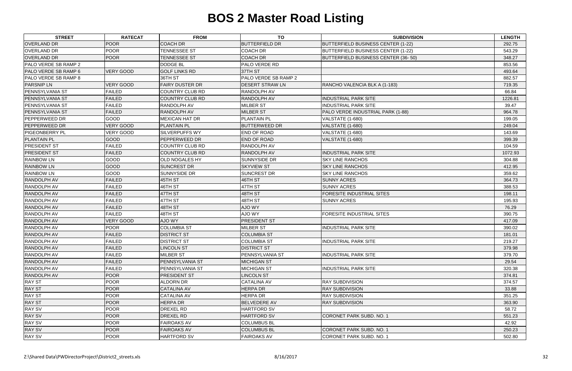| <b>POOR</b><br><b>COACH DR</b><br><b>BUTTERFIELD DR</b><br><b>OVERLAND DR</b><br>BUTTERFIELD BUSINESS CENTER (1-22)<br>292.75<br><b>OVERLAND DR</b><br><b>POOR</b><br><b>TENNESSEE ST</b><br><b>COACH DR</b><br>543.29<br><b>BUTTERFIELD BUSINESS CENTER (1-22)</b><br><b>POOR</b><br><b>OVERLAND DR</b><br><b>TENNESSEE ST</b><br><b>COACH DR</b><br>BUTTERFIELD BUSINESS CENTER (36-50)<br>348.27<br>PALO VERDE SB RAMP 2<br><b>DODGE BL</b><br><b>PALO VERDE RD</b><br>853.56<br><b>VERY GOOD</b><br><b>GOLF LINKS RD</b><br>PALO VERDE SB RAMP 6<br>37TH ST<br>493.64<br>36TH ST<br>PALO VERDE SB RAMP 2<br>PALO VERDE SB RAMP 8<br>882.57<br><b>VERY GOOD</b><br><b>FAIRY DUSTER DR</b><br><b>PARSNIP LN</b><br><b>DESERT STRAW LN</b><br>719.35<br>RANCHO VALENCIA BLK A (1-183)<br><b>PENNSYLVANIA ST</b><br><b>FAILED</b><br><b>COUNTRY CLUB RD</b><br><b>RANDOLPH AV</b><br>66.84<br><b>RANDOLPH AV</b><br><b>PENNSYLVANIA ST</b><br><b>FAILED</b><br><b>COUNTRY CLUB RD</b><br><b>INDUSTRIAL PARK SITE</b><br>1226.81<br><b>FAILED</b><br><b>RANDOLPH AV</b><br><b>MILBER ST</b><br><b>INDUSTRIAL PARK SITE</b><br>39.47<br><b>PENNSYLVANIA ST</b><br>PENNSYLVANIA ST<br><b>FAILED</b><br><b>RANDOLPH AV</b><br><b>MILBER ST</b><br>PALO VERDE INDUSTRIAL PARK (1-88)<br>964.78<br>GOOD<br><b>PEPPERWEED DR</b><br><b>MEXICAN HAT DR</b><br><b>PLANTAIN PL</b><br><b>VALSTATE (1-680)</b><br>199.05<br><b>VERY GOOD</b><br><b>PEPPERWEED DR</b><br><b>PLANTAIN PL</b><br><b>BUTTERWEED DR</b><br>VALSTATE (1-680)<br>249.04<br><b>VERY GOOD</b><br><b>END OF ROAD</b><br><b>PIGEONBERRY PL</b><br><b>SILVERPUFFS WY</b><br><b>VALSTATE (1-680)</b><br>143.69<br><b>PLANTAIN PL</b><br>GOOD<br>PEPPERWEED DR<br><b>END OF ROAD</b><br>399.39<br>VALSTATE (1-680)<br><b>PRESIDENT ST</b><br><b>FAILED</b><br><b>COUNTRY CLUB RD</b><br><b>RANDOLPH AV</b><br>104.59<br><b>FAILED</b><br>COUNTRY CLUB RD<br><b>RANDOLPH AV</b><br><b>INDUSTRIAL PARK SITE</b><br><b>PRESIDENT ST</b><br>1072.93<br>GOOD<br><b>RAINBOW LN</b><br><b>OLD NOGALES HY</b><br><b>SUNNYSIDE DR</b><br><b>SKY LINE RANCHOS</b><br>304.88<br>GOOD<br><b>RAINBOW LN</b><br><b>SUNCREST DR</b><br><b>SKYVIEW ST</b><br><b>SKY LINE RANCHOS</b><br>412.95<br>GOOD<br><b>RAINBOW LN</b><br>SUNNYSIDE DR<br><b>SUNCREST DR</b><br><b>SKY LINE RANCHOS</b><br>359.62<br><b>FAILED</b><br>45TH ST<br>46TH ST<br><b>RANDOLPH AV</b><br><b>SUNNY ACRES</b><br>364.73<br>46TH ST<br>47TH ST<br>RANDOLPH AV<br><b>FAILED</b><br><b>SUNNY ACRES</b><br>388.53<br>47TH ST<br><b>RANDOLPH AV</b><br><b>FAILED</b><br>48TH ST<br><b>FORESITE INDUSTRIAL SITES</b><br>198.11<br><b>RANDOLPH AV</b><br><b>FAILED</b><br>47TH ST<br>48TH ST<br><b>SUNNY ACRES</b><br>195.93<br>RANDOLPH AV<br><b>FAILED</b><br>48TH ST<br><b>AJO WY</b><br>76.29<br><b>FAILED</b><br>48TH ST<br>AJO WY<br><b>RANDOLPH AV</b><br>FORESITE INDUSTRIAL SITES<br>390.75<br><b>VERY GOOD</b><br>RANDOLPH AV<br>AJO WY<br><b>PRESIDENT ST</b><br>417.09<br>RANDOLPH AV<br><b>POOR</b><br><b>COLUMBIA ST</b><br><b>MILBER ST</b><br><b>INDUSTRIAL PARK SITE</b><br>390.02<br><b>RANDOLPH AV</b><br><b>FAILED</b><br><b>DISTRICT ST</b><br><b>COLUMBIA ST</b><br>181.01 |
|--------------------------------------------------------------------------------------------------------------------------------------------------------------------------------------------------------------------------------------------------------------------------------------------------------------------------------------------------------------------------------------------------------------------------------------------------------------------------------------------------------------------------------------------------------------------------------------------------------------------------------------------------------------------------------------------------------------------------------------------------------------------------------------------------------------------------------------------------------------------------------------------------------------------------------------------------------------------------------------------------------------------------------------------------------------------------------------------------------------------------------------------------------------------------------------------------------------------------------------------------------------------------------------------------------------------------------------------------------------------------------------------------------------------------------------------------------------------------------------------------------------------------------------------------------------------------------------------------------------------------------------------------------------------------------------------------------------------------------------------------------------------------------------------------------------------------------------------------------------------------------------------------------------------------------------------------------------------------------------------------------------------------------------------------------------------------------------------------------------------------------------------------------------------------------------------------------------------------------------------------------------------------------------------------------------------------------------------------------------------------------------------------------------------------------------------------------------------------------------------------------------------------------------------------------------------------------------------------------------------------------------------------------------------------------------------------------------------------------------------------------------------------------------------------------------------------------------------------------------------------------------------------------------------------------------------------------------------------------------------------------------------------------------------------------------------------------------------------------------------------------------------------------------------------------------------------------------|
|                                                                                                                                                                                                                                                                                                                                                                                                                                                                                                                                                                                                                                                                                                                                                                                                                                                                                                                                                                                                                                                                                                                                                                                                                                                                                                                                                                                                                                                                                                                                                                                                                                                                                                                                                                                                                                                                                                                                                                                                                                                                                                                                                                                                                                                                                                                                                                                                                                                                                                                                                                                                                                                                                                                                                                                                                                                                                                                                                                                                                                                                                                                                                                                                              |
|                                                                                                                                                                                                                                                                                                                                                                                                                                                                                                                                                                                                                                                                                                                                                                                                                                                                                                                                                                                                                                                                                                                                                                                                                                                                                                                                                                                                                                                                                                                                                                                                                                                                                                                                                                                                                                                                                                                                                                                                                                                                                                                                                                                                                                                                                                                                                                                                                                                                                                                                                                                                                                                                                                                                                                                                                                                                                                                                                                                                                                                                                                                                                                                                              |
|                                                                                                                                                                                                                                                                                                                                                                                                                                                                                                                                                                                                                                                                                                                                                                                                                                                                                                                                                                                                                                                                                                                                                                                                                                                                                                                                                                                                                                                                                                                                                                                                                                                                                                                                                                                                                                                                                                                                                                                                                                                                                                                                                                                                                                                                                                                                                                                                                                                                                                                                                                                                                                                                                                                                                                                                                                                                                                                                                                                                                                                                                                                                                                                                              |
|                                                                                                                                                                                                                                                                                                                                                                                                                                                                                                                                                                                                                                                                                                                                                                                                                                                                                                                                                                                                                                                                                                                                                                                                                                                                                                                                                                                                                                                                                                                                                                                                                                                                                                                                                                                                                                                                                                                                                                                                                                                                                                                                                                                                                                                                                                                                                                                                                                                                                                                                                                                                                                                                                                                                                                                                                                                                                                                                                                                                                                                                                                                                                                                                              |
|                                                                                                                                                                                                                                                                                                                                                                                                                                                                                                                                                                                                                                                                                                                                                                                                                                                                                                                                                                                                                                                                                                                                                                                                                                                                                                                                                                                                                                                                                                                                                                                                                                                                                                                                                                                                                                                                                                                                                                                                                                                                                                                                                                                                                                                                                                                                                                                                                                                                                                                                                                                                                                                                                                                                                                                                                                                                                                                                                                                                                                                                                                                                                                                                              |
|                                                                                                                                                                                                                                                                                                                                                                                                                                                                                                                                                                                                                                                                                                                                                                                                                                                                                                                                                                                                                                                                                                                                                                                                                                                                                                                                                                                                                                                                                                                                                                                                                                                                                                                                                                                                                                                                                                                                                                                                                                                                                                                                                                                                                                                                                                                                                                                                                                                                                                                                                                                                                                                                                                                                                                                                                                                                                                                                                                                                                                                                                                                                                                                                              |
|                                                                                                                                                                                                                                                                                                                                                                                                                                                                                                                                                                                                                                                                                                                                                                                                                                                                                                                                                                                                                                                                                                                                                                                                                                                                                                                                                                                                                                                                                                                                                                                                                                                                                                                                                                                                                                                                                                                                                                                                                                                                                                                                                                                                                                                                                                                                                                                                                                                                                                                                                                                                                                                                                                                                                                                                                                                                                                                                                                                                                                                                                                                                                                                                              |
|                                                                                                                                                                                                                                                                                                                                                                                                                                                                                                                                                                                                                                                                                                                                                                                                                                                                                                                                                                                                                                                                                                                                                                                                                                                                                                                                                                                                                                                                                                                                                                                                                                                                                                                                                                                                                                                                                                                                                                                                                                                                                                                                                                                                                                                                                                                                                                                                                                                                                                                                                                                                                                                                                                                                                                                                                                                                                                                                                                                                                                                                                                                                                                                                              |
|                                                                                                                                                                                                                                                                                                                                                                                                                                                                                                                                                                                                                                                                                                                                                                                                                                                                                                                                                                                                                                                                                                                                                                                                                                                                                                                                                                                                                                                                                                                                                                                                                                                                                                                                                                                                                                                                                                                                                                                                                                                                                                                                                                                                                                                                                                                                                                                                                                                                                                                                                                                                                                                                                                                                                                                                                                                                                                                                                                                                                                                                                                                                                                                                              |
|                                                                                                                                                                                                                                                                                                                                                                                                                                                                                                                                                                                                                                                                                                                                                                                                                                                                                                                                                                                                                                                                                                                                                                                                                                                                                                                                                                                                                                                                                                                                                                                                                                                                                                                                                                                                                                                                                                                                                                                                                                                                                                                                                                                                                                                                                                                                                                                                                                                                                                                                                                                                                                                                                                                                                                                                                                                                                                                                                                                                                                                                                                                                                                                                              |
|                                                                                                                                                                                                                                                                                                                                                                                                                                                                                                                                                                                                                                                                                                                                                                                                                                                                                                                                                                                                                                                                                                                                                                                                                                                                                                                                                                                                                                                                                                                                                                                                                                                                                                                                                                                                                                                                                                                                                                                                                                                                                                                                                                                                                                                                                                                                                                                                                                                                                                                                                                                                                                                                                                                                                                                                                                                                                                                                                                                                                                                                                                                                                                                                              |
|                                                                                                                                                                                                                                                                                                                                                                                                                                                                                                                                                                                                                                                                                                                                                                                                                                                                                                                                                                                                                                                                                                                                                                                                                                                                                                                                                                                                                                                                                                                                                                                                                                                                                                                                                                                                                                                                                                                                                                                                                                                                                                                                                                                                                                                                                                                                                                                                                                                                                                                                                                                                                                                                                                                                                                                                                                                                                                                                                                                                                                                                                                                                                                                                              |
|                                                                                                                                                                                                                                                                                                                                                                                                                                                                                                                                                                                                                                                                                                                                                                                                                                                                                                                                                                                                                                                                                                                                                                                                                                                                                                                                                                                                                                                                                                                                                                                                                                                                                                                                                                                                                                                                                                                                                                                                                                                                                                                                                                                                                                                                                                                                                                                                                                                                                                                                                                                                                                                                                                                                                                                                                                                                                                                                                                                                                                                                                                                                                                                                              |
|                                                                                                                                                                                                                                                                                                                                                                                                                                                                                                                                                                                                                                                                                                                                                                                                                                                                                                                                                                                                                                                                                                                                                                                                                                                                                                                                                                                                                                                                                                                                                                                                                                                                                                                                                                                                                                                                                                                                                                                                                                                                                                                                                                                                                                                                                                                                                                                                                                                                                                                                                                                                                                                                                                                                                                                                                                                                                                                                                                                                                                                                                                                                                                                                              |
|                                                                                                                                                                                                                                                                                                                                                                                                                                                                                                                                                                                                                                                                                                                                                                                                                                                                                                                                                                                                                                                                                                                                                                                                                                                                                                                                                                                                                                                                                                                                                                                                                                                                                                                                                                                                                                                                                                                                                                                                                                                                                                                                                                                                                                                                                                                                                                                                                                                                                                                                                                                                                                                                                                                                                                                                                                                                                                                                                                                                                                                                                                                                                                                                              |
|                                                                                                                                                                                                                                                                                                                                                                                                                                                                                                                                                                                                                                                                                                                                                                                                                                                                                                                                                                                                                                                                                                                                                                                                                                                                                                                                                                                                                                                                                                                                                                                                                                                                                                                                                                                                                                                                                                                                                                                                                                                                                                                                                                                                                                                                                                                                                                                                                                                                                                                                                                                                                                                                                                                                                                                                                                                                                                                                                                                                                                                                                                                                                                                                              |
|                                                                                                                                                                                                                                                                                                                                                                                                                                                                                                                                                                                                                                                                                                                                                                                                                                                                                                                                                                                                                                                                                                                                                                                                                                                                                                                                                                                                                                                                                                                                                                                                                                                                                                                                                                                                                                                                                                                                                                                                                                                                                                                                                                                                                                                                                                                                                                                                                                                                                                                                                                                                                                                                                                                                                                                                                                                                                                                                                                                                                                                                                                                                                                                                              |
|                                                                                                                                                                                                                                                                                                                                                                                                                                                                                                                                                                                                                                                                                                                                                                                                                                                                                                                                                                                                                                                                                                                                                                                                                                                                                                                                                                                                                                                                                                                                                                                                                                                                                                                                                                                                                                                                                                                                                                                                                                                                                                                                                                                                                                                                                                                                                                                                                                                                                                                                                                                                                                                                                                                                                                                                                                                                                                                                                                                                                                                                                                                                                                                                              |
|                                                                                                                                                                                                                                                                                                                                                                                                                                                                                                                                                                                                                                                                                                                                                                                                                                                                                                                                                                                                                                                                                                                                                                                                                                                                                                                                                                                                                                                                                                                                                                                                                                                                                                                                                                                                                                                                                                                                                                                                                                                                                                                                                                                                                                                                                                                                                                                                                                                                                                                                                                                                                                                                                                                                                                                                                                                                                                                                                                                                                                                                                                                                                                                                              |
|                                                                                                                                                                                                                                                                                                                                                                                                                                                                                                                                                                                                                                                                                                                                                                                                                                                                                                                                                                                                                                                                                                                                                                                                                                                                                                                                                                                                                                                                                                                                                                                                                                                                                                                                                                                                                                                                                                                                                                                                                                                                                                                                                                                                                                                                                                                                                                                                                                                                                                                                                                                                                                                                                                                                                                                                                                                                                                                                                                                                                                                                                                                                                                                                              |
|                                                                                                                                                                                                                                                                                                                                                                                                                                                                                                                                                                                                                                                                                                                                                                                                                                                                                                                                                                                                                                                                                                                                                                                                                                                                                                                                                                                                                                                                                                                                                                                                                                                                                                                                                                                                                                                                                                                                                                                                                                                                                                                                                                                                                                                                                                                                                                                                                                                                                                                                                                                                                                                                                                                                                                                                                                                                                                                                                                                                                                                                                                                                                                                                              |
|                                                                                                                                                                                                                                                                                                                                                                                                                                                                                                                                                                                                                                                                                                                                                                                                                                                                                                                                                                                                                                                                                                                                                                                                                                                                                                                                                                                                                                                                                                                                                                                                                                                                                                                                                                                                                                                                                                                                                                                                                                                                                                                                                                                                                                                                                                                                                                                                                                                                                                                                                                                                                                                                                                                                                                                                                                                                                                                                                                                                                                                                                                                                                                                                              |
|                                                                                                                                                                                                                                                                                                                                                                                                                                                                                                                                                                                                                                                                                                                                                                                                                                                                                                                                                                                                                                                                                                                                                                                                                                                                                                                                                                                                                                                                                                                                                                                                                                                                                                                                                                                                                                                                                                                                                                                                                                                                                                                                                                                                                                                                                                                                                                                                                                                                                                                                                                                                                                                                                                                                                                                                                                                                                                                                                                                                                                                                                                                                                                                                              |
|                                                                                                                                                                                                                                                                                                                                                                                                                                                                                                                                                                                                                                                                                                                                                                                                                                                                                                                                                                                                                                                                                                                                                                                                                                                                                                                                                                                                                                                                                                                                                                                                                                                                                                                                                                                                                                                                                                                                                                                                                                                                                                                                                                                                                                                                                                                                                                                                                                                                                                                                                                                                                                                                                                                                                                                                                                                                                                                                                                                                                                                                                                                                                                                                              |
|                                                                                                                                                                                                                                                                                                                                                                                                                                                                                                                                                                                                                                                                                                                                                                                                                                                                                                                                                                                                                                                                                                                                                                                                                                                                                                                                                                                                                                                                                                                                                                                                                                                                                                                                                                                                                                                                                                                                                                                                                                                                                                                                                                                                                                                                                                                                                                                                                                                                                                                                                                                                                                                                                                                                                                                                                                                                                                                                                                                                                                                                                                                                                                                                              |
|                                                                                                                                                                                                                                                                                                                                                                                                                                                                                                                                                                                                                                                                                                                                                                                                                                                                                                                                                                                                                                                                                                                                                                                                                                                                                                                                                                                                                                                                                                                                                                                                                                                                                                                                                                                                                                                                                                                                                                                                                                                                                                                                                                                                                                                                                                                                                                                                                                                                                                                                                                                                                                                                                                                                                                                                                                                                                                                                                                                                                                                                                                                                                                                                              |
|                                                                                                                                                                                                                                                                                                                                                                                                                                                                                                                                                                                                                                                                                                                                                                                                                                                                                                                                                                                                                                                                                                                                                                                                                                                                                                                                                                                                                                                                                                                                                                                                                                                                                                                                                                                                                                                                                                                                                                                                                                                                                                                                                                                                                                                                                                                                                                                                                                                                                                                                                                                                                                                                                                                                                                                                                                                                                                                                                                                                                                                                                                                                                                                                              |
|                                                                                                                                                                                                                                                                                                                                                                                                                                                                                                                                                                                                                                                                                                                                                                                                                                                                                                                                                                                                                                                                                                                                                                                                                                                                                                                                                                                                                                                                                                                                                                                                                                                                                                                                                                                                                                                                                                                                                                                                                                                                                                                                                                                                                                                                                                                                                                                                                                                                                                                                                                                                                                                                                                                                                                                                                                                                                                                                                                                                                                                                                                                                                                                                              |
|                                                                                                                                                                                                                                                                                                                                                                                                                                                                                                                                                                                                                                                                                                                                                                                                                                                                                                                                                                                                                                                                                                                                                                                                                                                                                                                                                                                                                                                                                                                                                                                                                                                                                                                                                                                                                                                                                                                                                                                                                                                                                                                                                                                                                                                                                                                                                                                                                                                                                                                                                                                                                                                                                                                                                                                                                                                                                                                                                                                                                                                                                                                                                                                                              |
| RANDOLPH AV<br><b>FAILED</b><br><b>DISTRICT ST</b><br><b>COLUMBIA ST</b><br><b>INDUSTRIAL PARK SITE</b><br>219.27                                                                                                                                                                                                                                                                                                                                                                                                                                                                                                                                                                                                                                                                                                                                                                                                                                                                                                                                                                                                                                                                                                                                                                                                                                                                                                                                                                                                                                                                                                                                                                                                                                                                                                                                                                                                                                                                                                                                                                                                                                                                                                                                                                                                                                                                                                                                                                                                                                                                                                                                                                                                                                                                                                                                                                                                                                                                                                                                                                                                                                                                                            |
| <b>FAILED</b><br><b>DISTRICT ST</b><br><b>RANDOLPH AV</b><br><b>LINCOLN ST</b><br>379.98                                                                                                                                                                                                                                                                                                                                                                                                                                                                                                                                                                                                                                                                                                                                                                                                                                                                                                                                                                                                                                                                                                                                                                                                                                                                                                                                                                                                                                                                                                                                                                                                                                                                                                                                                                                                                                                                                                                                                                                                                                                                                                                                                                                                                                                                                                                                                                                                                                                                                                                                                                                                                                                                                                                                                                                                                                                                                                                                                                                                                                                                                                                     |
| <b>RANDOLPH AV</b><br><b>FAILED</b><br>MILBER ST<br><b>PENNSYLVANIA ST</b><br><b>INDUSTRIAL PARK SITE</b><br>379.70                                                                                                                                                                                                                                                                                                                                                                                                                                                                                                                                                                                                                                                                                                                                                                                                                                                                                                                                                                                                                                                                                                                                                                                                                                                                                                                                                                                                                                                                                                                                                                                                                                                                                                                                                                                                                                                                                                                                                                                                                                                                                                                                                                                                                                                                                                                                                                                                                                                                                                                                                                                                                                                                                                                                                                                                                                                                                                                                                                                                                                                                                          |
| <b>FAILED</b><br><b>RANDOLPH AV</b><br><b>PENNSYLVANIA ST</b><br><b>MICHIGAN ST</b><br>29.54                                                                                                                                                                                                                                                                                                                                                                                                                                                                                                                                                                                                                                                                                                                                                                                                                                                                                                                                                                                                                                                                                                                                                                                                                                                                                                                                                                                                                                                                                                                                                                                                                                                                                                                                                                                                                                                                                                                                                                                                                                                                                                                                                                                                                                                                                                                                                                                                                                                                                                                                                                                                                                                                                                                                                                                                                                                                                                                                                                                                                                                                                                                 |
| <b>RANDOLPH AV</b><br><b>FAILED</b><br>PENNSYLVANIA ST<br><b>MICHIGAN ST</b><br><b>INDUSTRIAL PARK SITE</b><br>320.38                                                                                                                                                                                                                                                                                                                                                                                                                                                                                                                                                                                                                                                                                                                                                                                                                                                                                                                                                                                                                                                                                                                                                                                                                                                                                                                                                                                                                                                                                                                                                                                                                                                                                                                                                                                                                                                                                                                                                                                                                                                                                                                                                                                                                                                                                                                                                                                                                                                                                                                                                                                                                                                                                                                                                                                                                                                                                                                                                                                                                                                                                        |
| <b>POOR</b><br>RANDOLPH AV<br><b>PRESIDENT ST</b><br><b>LINCOLN ST</b><br>374.81                                                                                                                                                                                                                                                                                                                                                                                                                                                                                                                                                                                                                                                                                                                                                                                                                                                                                                                                                                                                                                                                                                                                                                                                                                                                                                                                                                                                                                                                                                                                                                                                                                                                                                                                                                                                                                                                                                                                                                                                                                                                                                                                                                                                                                                                                                                                                                                                                                                                                                                                                                                                                                                                                                                                                                                                                                                                                                                                                                                                                                                                                                                             |
| <b>RAY ST</b><br><b>POOR</b><br><b>CATALINA AV</b><br><b>ALDORN DR</b><br><b>RAY SUBDIVISION</b><br>374.57                                                                                                                                                                                                                                                                                                                                                                                                                                                                                                                                                                                                                                                                                                                                                                                                                                                                                                                                                                                                                                                                                                                                                                                                                                                                                                                                                                                                                                                                                                                                                                                                                                                                                                                                                                                                                                                                                                                                                                                                                                                                                                                                                                                                                                                                                                                                                                                                                                                                                                                                                                                                                                                                                                                                                                                                                                                                                                                                                                                                                                                                                                   |
| <b>POOR</b><br><b>HERPA DR</b><br><b>RAY ST</b><br><b>CATALINA AV</b><br><b>RAY SUBDIVISION</b><br>33.88                                                                                                                                                                                                                                                                                                                                                                                                                                                                                                                                                                                                                                                                                                                                                                                                                                                                                                                                                                                                                                                                                                                                                                                                                                                                                                                                                                                                                                                                                                                                                                                                                                                                                                                                                                                                                                                                                                                                                                                                                                                                                                                                                                                                                                                                                                                                                                                                                                                                                                                                                                                                                                                                                                                                                                                                                                                                                                                                                                                                                                                                                                     |
| <b>RAY ST</b><br><b>POOR</b><br><b>CATALINA AV</b><br><b>HERPA DR</b><br><b>RAY SUBDIVISION</b><br>351.25                                                                                                                                                                                                                                                                                                                                                                                                                                                                                                                                                                                                                                                                                                                                                                                                                                                                                                                                                                                                                                                                                                                                                                                                                                                                                                                                                                                                                                                                                                                                                                                                                                                                                                                                                                                                                                                                                                                                                                                                                                                                                                                                                                                                                                                                                                                                                                                                                                                                                                                                                                                                                                                                                                                                                                                                                                                                                                                                                                                                                                                                                                    |
| <b>RAY ST</b><br><b>POOR</b><br><b>HERPA DR</b><br><b>BELVEDERE AV</b><br><b>RAY SUBDIVISION</b><br>363.90                                                                                                                                                                                                                                                                                                                                                                                                                                                                                                                                                                                                                                                                                                                                                                                                                                                                                                                                                                                                                                                                                                                                                                                                                                                                                                                                                                                                                                                                                                                                                                                                                                                                                                                                                                                                                                                                                                                                                                                                                                                                                                                                                                                                                                                                                                                                                                                                                                                                                                                                                                                                                                                                                                                                                                                                                                                                                                                                                                                                                                                                                                   |
| <b>RAY SV</b><br><b>POOR</b><br>DREXEL RD<br><b>HARTFORD SV</b><br>58.72                                                                                                                                                                                                                                                                                                                                                                                                                                                                                                                                                                                                                                                                                                                                                                                                                                                                                                                                                                                                                                                                                                                                                                                                                                                                                                                                                                                                                                                                                                                                                                                                                                                                                                                                                                                                                                                                                                                                                                                                                                                                                                                                                                                                                                                                                                                                                                                                                                                                                                                                                                                                                                                                                                                                                                                                                                                                                                                                                                                                                                                                                                                                     |
| <b>POOR</b><br><b>RAY SV</b><br><b>DREXEL RD</b><br><b>HARTFORD SV</b><br>CORONET PARK SUBD. NO. 1<br>551.23                                                                                                                                                                                                                                                                                                                                                                                                                                                                                                                                                                                                                                                                                                                                                                                                                                                                                                                                                                                                                                                                                                                                                                                                                                                                                                                                                                                                                                                                                                                                                                                                                                                                                                                                                                                                                                                                                                                                                                                                                                                                                                                                                                                                                                                                                                                                                                                                                                                                                                                                                                                                                                                                                                                                                                                                                                                                                                                                                                                                                                                                                                 |
| <b>RAY SV</b><br><b>POOR</b><br><b>FAIROAKS AV</b><br><b>COLUMBUS BL</b><br>42.92                                                                                                                                                                                                                                                                                                                                                                                                                                                                                                                                                                                                                                                                                                                                                                                                                                                                                                                                                                                                                                                                                                                                                                                                                                                                                                                                                                                                                                                                                                                                                                                                                                                                                                                                                                                                                                                                                                                                                                                                                                                                                                                                                                                                                                                                                                                                                                                                                                                                                                                                                                                                                                                                                                                                                                                                                                                                                                                                                                                                                                                                                                                            |
| <b>RAY SV</b><br><b>POOR</b><br><b>FAIROAKS AV</b><br><b>COLUMBUS BL</b><br>CORONET PARK SUBD. NO. 1<br>250.23                                                                                                                                                                                                                                                                                                                                                                                                                                                                                                                                                                                                                                                                                                                                                                                                                                                                                                                                                                                                                                                                                                                                                                                                                                                                                                                                                                                                                                                                                                                                                                                                                                                                                                                                                                                                                                                                                                                                                                                                                                                                                                                                                                                                                                                                                                                                                                                                                                                                                                                                                                                                                                                                                                                                                                                                                                                                                                                                                                                                                                                                                               |
| <b>RAY SV</b><br><b>POOR</b><br><b>HARTFORD SV</b><br><b>FAIROAKS AV</b><br>CORONET PARK SUBD. NO. 1<br>502.80                                                                                                                                                                                                                                                                                                                                                                                                                                                                                                                                                                                                                                                                                                                                                                                                                                                                                                                                                                                                                                                                                                                                                                                                                                                                                                                                                                                                                                                                                                                                                                                                                                                                                                                                                                                                                                                                                                                                                                                                                                                                                                                                                                                                                                                                                                                                                                                                                                                                                                                                                                                                                                                                                                                                                                                                                                                                                                                                                                                                                                                                                               |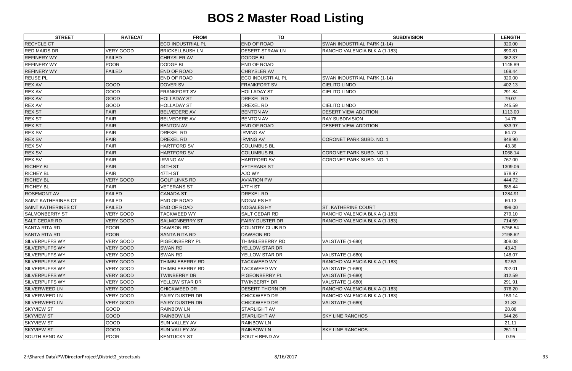| <b>ECO INDUSTRIAL PL</b><br><b>END OF ROAD</b><br><b>RECYCLE CT</b><br>SWAN INDUSTRIAL PARK (1-14)<br><b>RED MAIDS DR</b><br><b>VERY GOOD</b><br><b>BRICKELLBUSH LN</b><br>890.81<br><b>DESERT STRAW LN</b><br>RANCHO VALENCIA BLK A (1-183)<br><b>REFINERY WY</b><br><b>FAILED</b><br>CHRYSLER AV<br><b>DODGE BL</b><br><b>POOR</b><br><b>REFINERY WY</b><br><b>DODGE BL</b><br><b>END OF ROAD</b><br><b>REFINERY WY</b><br><b>FAILED</b><br><b>END OF ROAD</b><br><b>CHRYSLER AV</b><br>169.44<br><b>REUSE PL</b><br>END OF ROAD<br><b>ECO INDUSTRIAL PL</b><br>SWAN INDUSTRIAL PARK (1-14)<br>320.00<br>GOOD<br><b>DOVER SV</b><br><b>CIELITO LINDO</b><br><b>REX AV</b><br><b>FRANKFORT SV</b><br><b>REX AV</b><br>GOOD<br><b>FRANKFORT SV</b><br><b>HOLLADAY ST</b><br><b>CIELITO LINDO</b> | 320.00<br>362.37<br>1145.89<br>402.13<br>291.84 |
|--------------------------------------------------------------------------------------------------------------------------------------------------------------------------------------------------------------------------------------------------------------------------------------------------------------------------------------------------------------------------------------------------------------------------------------------------------------------------------------------------------------------------------------------------------------------------------------------------------------------------------------------------------------------------------------------------------------------------------------------------------------------------------------------------|-------------------------------------------------|
|                                                                                                                                                                                                                                                                                                                                                                                                                                                                                                                                                                                                                                                                                                                                                                                                  |                                                 |
|                                                                                                                                                                                                                                                                                                                                                                                                                                                                                                                                                                                                                                                                                                                                                                                                  |                                                 |
|                                                                                                                                                                                                                                                                                                                                                                                                                                                                                                                                                                                                                                                                                                                                                                                                  |                                                 |
|                                                                                                                                                                                                                                                                                                                                                                                                                                                                                                                                                                                                                                                                                                                                                                                                  |                                                 |
|                                                                                                                                                                                                                                                                                                                                                                                                                                                                                                                                                                                                                                                                                                                                                                                                  |                                                 |
|                                                                                                                                                                                                                                                                                                                                                                                                                                                                                                                                                                                                                                                                                                                                                                                                  |                                                 |
|                                                                                                                                                                                                                                                                                                                                                                                                                                                                                                                                                                                                                                                                                                                                                                                                  |                                                 |
|                                                                                                                                                                                                                                                                                                                                                                                                                                                                                                                                                                                                                                                                                                                                                                                                  |                                                 |
| <b>REX AV</b><br>GOOD<br><b>DREXEL RD</b><br><b>HOLLADAY ST</b><br>79.07                                                                                                                                                                                                                                                                                                                                                                                                                                                                                                                                                                                                                                                                                                                         |                                                 |
| <b>REX AV</b><br>GOOD<br><b>HOLLADAY ST</b><br><b>DREXEL RD</b><br><b>CIELITO LINDO</b>                                                                                                                                                                                                                                                                                                                                                                                                                                                                                                                                                                                                                                                                                                          | 245.59                                          |
| <b>REX ST</b><br><b>FAIR</b><br><b>BELVEDERE AV</b><br><b>BENTON AV</b><br><b>DESERT VIEW ADDITION</b>                                                                                                                                                                                                                                                                                                                                                                                                                                                                                                                                                                                                                                                                                           | 1113.00                                         |
| <b>REX ST</b><br><b>FAIR</b><br><b>BENTON AV</b><br><b>RAY SUBDIVISION</b><br><b>BELVEDERE AV</b>                                                                                                                                                                                                                                                                                                                                                                                                                                                                                                                                                                                                                                                                                                | 14.78                                           |
| <b>FAIR</b><br><b>REX ST</b><br><b>BENTON AV</b><br><b>END OF ROAD</b><br>DESERT VIEW ADDITION                                                                                                                                                                                                                                                                                                                                                                                                                                                                                                                                                                                                                                                                                                   | 533.97                                          |
| <b>REX SV</b><br><b>FAIR</b><br>DREXEL RD<br><b>IRVING AV</b><br>64.73                                                                                                                                                                                                                                                                                                                                                                                                                                                                                                                                                                                                                                                                                                                           |                                                 |
| <b>FAIR</b><br><b>REX SV</b><br>DREXEL RD<br><b>IRVING AV</b><br><b>CORONET PARK SUBD. NO. 1</b><br>848.90                                                                                                                                                                                                                                                                                                                                                                                                                                                                                                                                                                                                                                                                                       |                                                 |
| <b>REX SV</b><br><b>FAIR</b><br><b>HARTFORD SV</b><br><b>COLUMBUS BL</b>                                                                                                                                                                                                                                                                                                                                                                                                                                                                                                                                                                                                                                                                                                                         | 43.36                                           |
| <b>REX SV</b><br><b>FAIR</b><br><b>HARTFORD SV</b><br><b>COLUMBUS BL</b><br>CORONET PARK SUBD. NO. 1                                                                                                                                                                                                                                                                                                                                                                                                                                                                                                                                                                                                                                                                                             | 1068.14                                         |
| <b>REX SV</b><br><b>FAIR</b><br><b>IRVING AV</b><br><b>HARTFORD SV</b><br><b>CORONET PARK SUBD. NO. 1</b>                                                                                                                                                                                                                                                                                                                                                                                                                                                                                                                                                                                                                                                                                        | 767.00                                          |
| <b>RICHEY BL</b><br><b>FAIR</b><br>44TH ST<br><b>VETERANS ST</b>                                                                                                                                                                                                                                                                                                                                                                                                                                                                                                                                                                                                                                                                                                                                 | 1309.06                                         |
| <b>FAIR</b><br><b>RICHEY BL</b><br>47TH ST<br><b>AJO WY</b><br>678.97                                                                                                                                                                                                                                                                                                                                                                                                                                                                                                                                                                                                                                                                                                                            |                                                 |
| <b>RICHEY BL</b><br><b>VERY GOOD</b><br><b>GOLF LINKS RD</b><br><b>AVIATION PW</b>                                                                                                                                                                                                                                                                                                                                                                                                                                                                                                                                                                                                                                                                                                               | 444.72                                          |
| <b>FAIR</b><br>47TH ST<br><b>RICHEY BL</b><br><b>VETERANS ST</b><br>685.44                                                                                                                                                                                                                                                                                                                                                                                                                                                                                                                                                                                                                                                                                                                       |                                                 |
| <b>ROSEMONT AV</b><br><b>FAILED</b><br><b>CANADA ST</b><br><b>DREXEL RD</b>                                                                                                                                                                                                                                                                                                                                                                                                                                                                                                                                                                                                                                                                                                                      | 1284.91                                         |
| <b>SAINT KATHERINES CT</b><br><b>FAILED</b><br><b>END OF ROAD</b><br><b>NOGALES HY</b>                                                                                                                                                                                                                                                                                                                                                                                                                                                                                                                                                                                                                                                                                                           | 60.13                                           |
| <b>FAILED</b><br><b>SAINT KATHERINES CT</b><br><b>END OF ROAD</b><br><b>NOGALES HY</b><br>ST. KATHERINE COURT                                                                                                                                                                                                                                                                                                                                                                                                                                                                                                                                                                                                                                                                                    | 499.00                                          |
| VERY GOOD<br><b>SALMONBERRY ST</b><br><b>TACKWEED WY</b><br><b>SALT CEDAR RD</b><br>RANCHO VALENCIA BLK A (1-183)                                                                                                                                                                                                                                                                                                                                                                                                                                                                                                                                                                                                                                                                                | 279.10                                          |
| <b>VERY GOOD</b><br><b>SALT CEDAR RD</b><br><b>SALMONBERRY ST</b><br><b>FAIRY DUSTER DR</b><br>RANCHO VALENCIA BLK A (1-183)                                                                                                                                                                                                                                                                                                                                                                                                                                                                                                                                                                                                                                                                     | 714.59                                          |
| SANTA RITA RD<br><b>POOR</b><br><b>DAWSON RD</b><br><b>COUNTRY CLUB RD</b>                                                                                                                                                                                                                                                                                                                                                                                                                                                                                                                                                                                                                                                                                                                       | 5756.54                                         |
| <b>POOR</b><br><b>SANTA RITA RD</b><br><b>SANTA RITA RD</b><br><b>DAWSON RD</b>                                                                                                                                                                                                                                                                                                                                                                                                                                                                                                                                                                                                                                                                                                                  | 2198.62                                         |
| <b>SILVERPUFFS WY</b><br><b>VERY GOOD</b><br>PIGEONBERRY PL<br><b>THIMBLEBERRY RD</b><br>VALSTATE (1-680)                                                                                                                                                                                                                                                                                                                                                                                                                                                                                                                                                                                                                                                                                        | 308.08                                          |
| <b>VERY GOOD</b><br><b>SWAN RD</b><br><b>YELLOW STAR DR</b><br><b>SILVERPUFFS WY</b><br>43.43                                                                                                                                                                                                                                                                                                                                                                                                                                                                                                                                                                                                                                                                                                    |                                                 |
| <b>VERY GOOD</b><br>SWAN RD<br><b>SILVERPUFFS WY</b><br>YELLOW STAR DR<br>VALSTATE (1-680)                                                                                                                                                                                                                                                                                                                                                                                                                                                                                                                                                                                                                                                                                                       | 148.07                                          |
| RANCHO VALENCIA BLK A (1-183)<br><b>SILVERPUFFS WY</b><br><b>VERY GOOD</b><br>THIMBLEBERRY RD<br><b>TACKWEED WY</b>                                                                                                                                                                                                                                                                                                                                                                                                                                                                                                                                                                                                                                                                              | 92.53                                           |
| <b>VERY GOOD</b><br><b>SILVERPUFFS WY</b><br>THIMBLEBERRY RD<br><b>TACKWEED WY</b><br><b>VALSTATE (1-680)</b><br>202.01                                                                                                                                                                                                                                                                                                                                                                                                                                                                                                                                                                                                                                                                          |                                                 |
| <b>SILVERPUFFS WY</b><br>VERY GOOD<br><b>TWINBERRY DR</b><br><b>PIGEONBERRY PL</b><br><b>VALSTATE (1-680)</b>                                                                                                                                                                                                                                                                                                                                                                                                                                                                                                                                                                                                                                                                                    | 312.59                                          |
| <b>SILVERPUFFS WY</b><br><b>VERY GOOD</b><br>YELLOW STAR DR<br><b>TWINBERRY DR</b><br>291.91<br>VALSTATE (1-680)                                                                                                                                                                                                                                                                                                                                                                                                                                                                                                                                                                                                                                                                                 |                                                 |
| <b>SILVERWEED LN</b><br><b>VERY GOOD</b><br><b>CHICKWEED DR</b><br><b>DESERT THORN DR</b><br>RANCHO VALENCIA BLK A (1-183)                                                                                                                                                                                                                                                                                                                                                                                                                                                                                                                                                                                                                                                                       | 376.20                                          |
| <b>VERY GOOD</b><br><b>FAIRY DUSTER DR</b><br><b>SILVERWEED LN</b><br><b>CHICKWEED DR</b><br>RANCHO VALENCIA BLK A (1-183)                                                                                                                                                                                                                                                                                                                                                                                                                                                                                                                                                                                                                                                                       | 159.14                                          |
| <b>VERY GOOD</b><br>SILVERWEED LN<br><b>FAIRY DUSTER DR</b><br><b>CHICKWEED DR</b><br>VALSTATE (1-680)                                                                                                                                                                                                                                                                                                                                                                                                                                                                                                                                                                                                                                                                                           | 31.83                                           |
| <b>RAINBOW LN</b><br><b>SKYVIEW ST</b><br><b>GOOD</b><br><b>STARLIGHT AV</b><br>28.88                                                                                                                                                                                                                                                                                                                                                                                                                                                                                                                                                                                                                                                                                                            |                                                 |
| GOOD<br><b>RAINBOW LN</b><br><b>STARLIGHT AV</b><br><b>SKY LINE RANCHOS</b><br><b>SKYVIEW ST</b>                                                                                                                                                                                                                                                                                                                                                                                                                                                                                                                                                                                                                                                                                                 | 544.26                                          |
| <b>SKYVIEW ST</b><br>GOOD<br><b>SUN VALLEY AV</b><br><b>RAINBOW LN</b><br>21.11                                                                                                                                                                                                                                                                                                                                                                                                                                                                                                                                                                                                                                                                                                                  |                                                 |
| GOOD<br><b>SKY LINE RANCHOS</b><br><b>SKYVIEW ST</b><br><b>SUN VALLEY AV</b><br><b>RAINBOW LN</b><br>251.11                                                                                                                                                                                                                                                                                                                                                                                                                                                                                                                                                                                                                                                                                      |                                                 |
| <b>POOR</b><br><b>SOUTH BEND AV</b><br><b>KENTUCKY ST</b><br><b>SOUTH BEND AV</b><br>0.95                                                                                                                                                                                                                                                                                                                                                                                                                                                                                                                                                                                                                                                                                                        |                                                 |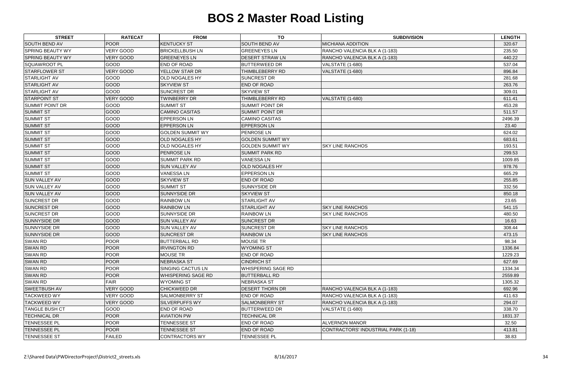| <b>STREET</b>           | <b>RATECAT</b>   | <b>FROM</b>               | <b>TO</b>               | <b>SUBDIVISION</b>                         | <b>LENGTH</b> |
|-------------------------|------------------|---------------------------|-------------------------|--------------------------------------------|---------------|
| <b>SOUTH BEND AV</b>    | <b>POOR</b>      | <b>KENTUCKY ST</b>        | <b>SOUTH BEND AV</b>    | <b>MICHIANA ADDITION</b>                   | 320.67        |
| <b>SPRING BEAUTY WY</b> | <b>VERY GOOD</b> | <b>BRICKELLBUSH LN</b>    | <b>GREENEYES LN</b>     | RANCHO VALENCIA BLK A (1-183)              | 235.50        |
| <b>SPRING BEAUTY WY</b> | <b>VERY GOOD</b> | <b>GREENEYES LN</b>       | <b>DESERT STRAW LN</b>  | RANCHO VALENCIA BLK A (1-183)              | 440.22        |
| <b>SQUAWROOT PL</b>     | GOOD             | <b>END OF ROAD</b>        | <b>BUTTERWEED DR</b>    | <b>VALSTATE (1-680)</b>                    | 537.04        |
| <b>STARFLOWER ST</b>    | <b>VERY GOOD</b> | <b>YELLOW STAR DR</b>     | THIMBLEBERRY RD         | VALSTATE (1-680)                           | 896.84        |
| <b>STARLIGHT AV</b>     | GOOD             | <b>OLD NOGALES HY</b>     | SUNCREST DR             |                                            | 281.68        |
| <b>STARLIGHT AV</b>     | GOOD             | <b>SKYVIEW ST</b>         | <b>END OF ROAD</b>      |                                            | 263.76        |
| <b>STARLIGHT AV</b>     | GOOD             | <b>SUNCREST DR</b>        | <b>SKYVIEW ST</b>       |                                            | 309.01        |
| <b>STARPOINT ST</b>     | <b>VERY GOOD</b> | <b>TWINBERRY DR</b>       | THIMBLEBERRY RD         | <b>VALSTATE (1-680)</b>                    | 611.41        |
| <b>SUMMIT POINT DR</b>  | GOOD             | <b>SUMMIT ST</b>          | <b>SUMMIT POINT DR</b>  |                                            | 453.28        |
| <b>SUMMIT ST</b>        | GOOD             | <b>CAMINO CASITAS</b>     | <b>SUMMIT POINT DR</b>  |                                            | 511.57        |
| <b>SUMMIT ST</b>        | GOOD             | <b>EPPERSON LN</b>        | <b>CAMINO CASITAS</b>   |                                            | 2496.39       |
| <b>SUMMIT ST</b>        | GOOD             | <b>EPPERSON LN</b>        | <b>EPPERSON LN</b>      |                                            | 23.40         |
| <b>SUMMIT ST</b>        | GOOD             | <b>GOLDEN SUMMIT WY</b>   | PENROSE LN              |                                            | 624.02        |
| <b>SUMMIT ST</b>        | GOOD             | <b>OLD NOGALES HY</b>     | <b>GOLDEN SUMMIT WY</b> |                                            | 683.61        |
| <b>SUMMIT ST</b>        | GOOD             | <b>OLD NOGALES HY</b>     | <b>GOLDEN SUMMIT WY</b> | <b>SKY LINE RANCHOS</b>                    | 193.51        |
| <b>SUMMIT ST</b>        | GOOD             | <b>PENROSE LN</b>         | <b>SUMMIT PARK RD</b>   |                                            | 299.53        |
| <b>SUMMIT ST</b>        | GOOD             | <b>SUMMIT PARK RD</b>     | <b>VANESSALN</b>        |                                            | 1009.85       |
| <b>SUMMIT ST</b>        | GOOD             | <b>SUN VALLEY AV</b>      | <b>OLD NOGALES HY</b>   |                                            | 978.76        |
| <b>SUMMIT ST</b>        | GOOD             | <b>VANESSA LN</b>         | <b>EPPERSON LN</b>      |                                            | 665.29        |
| <b>SUN VALLEY AV</b>    | GOOD             | <b>SKYVIEW ST</b>         | <b>END OF ROAD</b>      |                                            | 255.85        |
| <b>SUN VALLEY AV</b>    | GOOD             | <b>SUMMIT ST</b>          | SUNNYSIDE DR            |                                            | 332.56        |
| <b>SUN VALLEY AV</b>    | GOOD             | <b>SUNNYSIDE DR</b>       | <b>SKYVIEW ST</b>       |                                            | 850.18        |
| <b>SUNCREST DR</b>      | GOOD             | <b>RAINBOW LN</b>         | <b>STARLIGHT AV</b>     |                                            | 23.65         |
| <b>SUNCREST DR</b>      | GOOD             | <b>RAINBOW LN</b>         | <b>STARLIGHT AV</b>     | <b>SKY LINE RANCHOS</b>                    | 541.15        |
| <b>SUNCREST DR</b>      | GOOD             | <b>SUNNYSIDE DR</b>       | <b>RAINBOW LN</b>       | <b>SKY LINE RANCHOS</b>                    | 480.50        |
| <b>SUNNYSIDE DR</b>     | GOOD             | <b>SUN VALLEY AV</b>      | <b>SUNCREST DR</b>      |                                            | 16.63         |
| <b>SUNNYSIDE DR</b>     | GOOD             | <b>SUN VALLEY AV</b>      | <b>SUNCREST DR</b>      | <b>SKY LINE RANCHOS</b>                    | 308.44        |
| <b>SUNNYSIDE DR</b>     | GOOD             | <b>SUNCREST DR</b>        | <b>RAINBOW LN</b>       | <b>SKY LINE RANCHOS</b>                    | 473.15        |
| <b>SWAN RD</b>          | <b>POOR</b>      | <b>BUTTERBALL RD</b>      | MOUSE TR                |                                            | 98.34         |
| <b>SWAN RD</b>          | <b>POOR</b>      | <b>IRVINGTON RD</b>       | <b>WYOMING ST</b>       |                                            | 1336.84       |
| <b>SWAN RD</b>          | <b>POOR</b>      | <b>MOUSE TR</b>           | <b>END OF ROAD</b>      |                                            | 1229.23       |
| <b>SWAN RD</b>          | <b>POOR</b>      | NEBRASKA ST               | <b>CINDRICH ST</b>      |                                            | 627.69        |
| <b>SWAN RD</b>          | <b>POOR</b>      | SINGING CACTUS LN         | WHISPERING SAGE RD      |                                            | 1334.34       |
| <b>SWAN RD</b>          | <b>POOR</b>      | <b>WHISPERING SAGE RD</b> | <b>BUTTERBALL RD</b>    |                                            | 2559.89       |
| <b>SWAN RD</b>          | <b>FAIR</b>      | <b>WYOMING ST</b>         | <b>NEBRASKA ST</b>      |                                            | 1305.32       |
| <b>SWEETBUSH AV</b>     | <b>VERY GOOD</b> | <b>CHICKWEED DR</b>       | <b>DESERT THORN DR</b>  | RANCHO VALENCIA BLK A (1-183)              | 692.96        |
| <b>TACKWEED WY</b>      | <b>VERY GOOD</b> | <b>SALMONBERRY ST</b>     | <b>END OF ROAD</b>      | RANCHO VALENCIA BLK A (1-183)              | 411.63        |
| <b>TACKWEED WY</b>      | <b>VERY GOOD</b> | <b>SILVERPUFFS WY</b>     | <b>SALMONBERRY ST</b>   | RANCHO VALENCIA BLK A (1-183)              | 294.07        |
| <b>TANGLE BUSH CT</b>   | GOOD             | END OF ROAD               | <b>BUTTERWEED DR</b>    | <b>VALSTATE (1-680)</b>                    | 338.70        |
| <b>TECHNICAL DR</b>     | <b>POOR</b>      | <b>AVIATION PW</b>        | <b>TECHNICAL DR</b>     |                                            | 1831.37       |
| <b>TENNESSEE PL</b>     | <b>POOR</b>      | <b>TENNESSEE ST</b>       | <b>END OF ROAD</b>      | <b>ALVERNON MANOR</b>                      | 32.50         |
| <b>TENNESSEE PL</b>     | <b>POOR</b>      | <b>TENNESSEE ST</b>       | <b>END OF ROAD</b>      | <b>CONTRACTORS' INDUSTRIAL PARK (1-18)</b> | 413.81        |
| <b>TENNESSEE ST</b>     | <b>FAILED</b>    | CONTRACTORS WY            | <b>TENNESSEE PL</b>     |                                            | 38.83         |